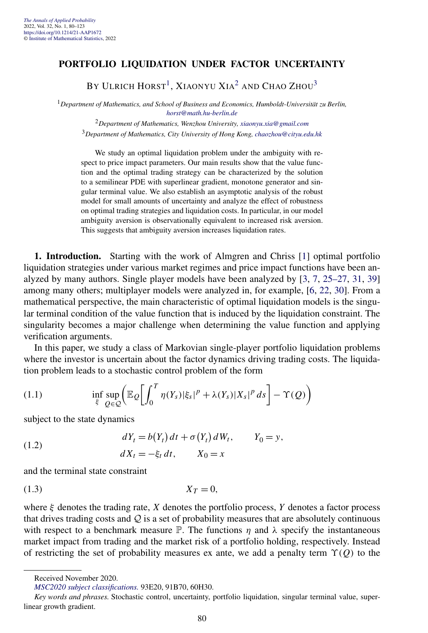# **PORTFOLIO LIQUIDATION UNDER FACTOR UNCERTAINTY**

BY ULRICH HORST<sup>1</sup>, XIAONYU XIA<sup>2</sup> AND CHAO ZHOU<sup>3</sup>

<sup>1</sup>*Department of Mathematics, and School of Business and Economics, Humboldt-Universität zu Berlin, [horst@math.hu-berlin.de](mailto:horst@math.hu-berlin.de)*

<sup>2</sup>*Department of Mathematics, Wenzhou University, [xiaonyu.xia@gmail.com](mailto:xiaonyu.xia@gmail.com)* <sup>3</sup>*Department of Mathematics, City University of Hong Kong, [chaozhou@cityu.edu.hk](mailto:chaozhou@cityu.edu.hk)*

We study an optimal liquidation problem under the ambiguity with respect to price impact parameters. Our main results show that the value function and the optimal trading strategy can be characterized by the solution to a semilinear PDE with superlinear gradient, monotone generator and singular terminal value. We also establish an asymptotic analysis of the robust model for small amounts of uncertainty and analyze the effect of robustness on optimal trading strategies and liquidation costs. In particular, in our model ambiguity aversion is observationally equivalent to increased risk aversion. This suggests that ambiguity aversion increases liquidation rates.

**1. Introduction.** Starting with the work of Almgren and Chriss [\[1\]](#page-42-0) optimal portfolio liquidation strategies under various market regimes and price impact functions have been analyzed by many authors. Single player models have been analyzed by [\[3,](#page-42-0) [7,](#page-42-0) [25–27,](#page-43-0) [31,](#page-43-0) [39\]](#page-43-0) among many others; multiplayer models were analyzed in, for example, [\[6,](#page-42-0) [22,](#page-42-0) [30\]](#page-43-0). From a mathematical perspective, the main characteristic of optimal liquidation models is the singular terminal condition of the value function that is induced by the liquidation constraint. The singularity becomes a major challenge when determining the value function and applying verification arguments.

In this paper, we study a class of Markovian single-player portfolio liquidation problems where the investor is uncertain about the factor dynamics driving trading costs. The liquidation problem leads to a stochastic control problem of the form

(1.1) 
$$
\inf_{\xi} \sup_{Q \in \mathcal{Q}} \left( \mathbb{E}_{Q} \left[ \int_{0}^{T} \eta(Y_{s}) |\xi_{s}|^{p} + \lambda(Y_{s}) |X_{s}|^{p} ds \right] - \Upsilon(Q) \right)
$$

subject to the state dynamics

(1.2) 
$$
dY_t = b(Y_t) dt + \sigma(Y_t) dW_t, \qquad Y_0 = y,
$$

$$
dX_t = -\xi_t dt, \qquad X_0 = x
$$

and the terminal state constraint

$$
(1.3) \t\t\t X_T = 0,
$$

where  $\xi$  denotes the trading rate,  $X$  denotes the portfolio process,  $Y$  denotes a factor process that drives trading costs and  $Q$  is a set of probability measures that are absolutely continuous with respect to a benchmark measure  $\mathbb P$ . The functions  $\eta$  and  $\lambda$  specify the instantaneous market impact from trading and the market risk of a portfolio holding, respectively. Instead of restricting the set of probability measures ex ante, we add a penalty term *ϒ(Q)* to the

*[MSC2020 subject classifications.](https://mathscinet.ams.org/mathscinet/msc/msc2020.html)* 93E20, 91B70, 60H30.

Received November 2020.

*Key words and phrases.* Stochastic control, uncertainty, portfolio liquidation, singular terminal value, superlinear growth gradient.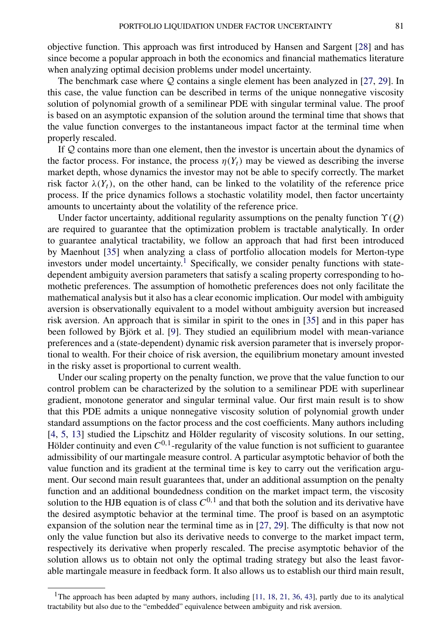objective function. This approach was first introduced by Hansen and Sargent [\[28\]](#page-43-0) and has since become a popular approach in both the economics and financial mathematics literature when analyzing optimal decision problems under model uncertainty.

The benchmark case where  $Q$  contains a single element has been analyzed in [\[27,](#page-43-0) [29\]](#page-43-0). In this case, the value function can be described in terms of the unique nonnegative viscosity solution of polynomial growth of a semilinear PDE with singular terminal value. The proof is based on an asymptotic expansion of the solution around the terminal time that shows that the value function converges to the instantaneous impact factor at the terminal time when properly rescaled.

If Q contains more than one element, then the investor is uncertain about the dynamics of the factor process. For instance, the process  $\eta(Y_t)$  may be viewed as describing the inverse market depth, whose dynamics the investor may not be able to specify correctly. The market risk factor  $\lambda(Y_t)$ , on the other hand, can be linked to the volatility of the reference price process. If the price dynamics follows a stochastic volatility model, then factor uncertainty amounts to uncertainty about the volatility of the reference price.

Under factor uncertainty, additional regularity assumptions on the penalty function *ϒ(Q)* are required to guarantee that the optimization problem is tractable analytically. In order to guarantee analytical tractability, we follow an approach that had first been introduced by Maenhout [\[35\]](#page-43-0) when analyzing a class of portfolio allocation models for Merton-type investors under model uncertainty.<sup>1</sup> Specifically, we consider penalty functions with statedependent ambiguity aversion parameters that satisfy a scaling property corresponding to homothetic preferences. The assumption of homothetic preferences does not only facilitate the mathematical analysis but it also has a clear economic implication. Our model with ambiguity aversion is observationally equivalent to a model without ambiguity aversion but increased risk aversion. An approach that is similar in spirit to the ones in [\[35\]](#page-43-0) and in this paper has been followed by Björk et al. [\[9\]](#page-42-0). They studied an equilibrium model with mean-variance preferences and a (state-dependent) dynamic risk aversion parameter that is inversely proportional to wealth. For their choice of risk aversion, the equilibrium monetary amount invested in the risky asset is proportional to current wealth.

Under our scaling property on the penalty function, we prove that the value function to our control problem can be characterized by the solution to a semilinear PDE with superlinear gradient, monotone generator and singular terminal value. Our first main result is to show that this PDE admits a unique nonnegative viscosity solution of polynomial growth under standard assumptions on the factor process and the cost coefficients. Many authors including [\[4,](#page-42-0) [5,](#page-42-0) [13\]](#page-42-0) studied the Lipschitz and Hölder regularity of viscosity solutions. In our setting, Hölder continuity and even  $C^{0,1}$ -regularity of the value function is not sufficient to guarantee admissibility of our martingale measure control. A particular asymptotic behavior of both the value function and its gradient at the terminal time is key to carry out the verification argument. Our second main result guarantees that, under an additional assumption on the penalty function and an additional boundedness condition on the market impact term, the viscosity solution to the HJB equation is of class  $C^{0,1}$  and that both the solution and its derivative have the desired asymptotic behavior at the terminal time. The proof is based on an asymptotic expansion of the solution near the terminal time as in [\[27,](#page-43-0) [29\]](#page-43-0). The difficulty is that now not only the value function but also its derivative needs to converge to the market impact term, respectively its derivative when properly rescaled. The precise asymptotic behavior of the solution allows us to obtain not only the optimal trading strategy but also the least favorable martingale measure in feedback form. It also allows us to establish our third main result,

<sup>&</sup>lt;sup>1</sup>The approach has been adapted by many authors, including [\[11,](#page-42-0) [18,](#page-42-0) [21,](#page-42-0) [36,](#page-43-0) [43\]](#page-43-0), partly due to its analytical tractability but also due to the "embedded" equivalence between ambiguity and risk aversion.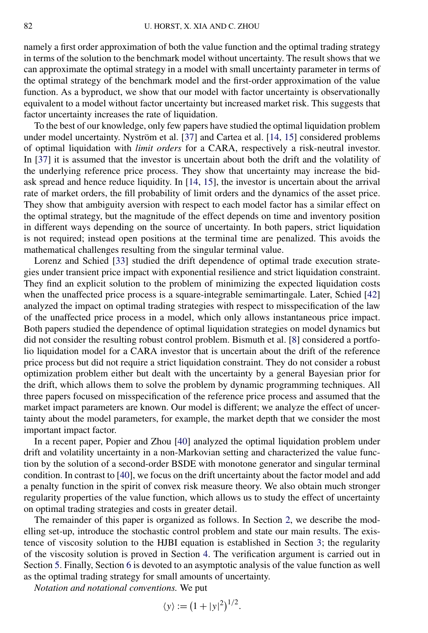namely a first order approximation of both the value function and the optimal trading strategy in terms of the solution to the benchmark model without uncertainty. The result shows that we can approximate the optimal strategy in a model with small uncertainty parameter in terms of the optimal strategy of the benchmark model and the first-order approximation of the value function. As a byproduct, we show that our model with factor uncertainty is observationally equivalent to a model without factor uncertainty but increased market risk. This suggests that factor uncertainty increases the rate of liquidation.

To the best of our knowledge, only few papers have studied the optimal liquidation problem under model uncertainty. Nyström et al. [\[37\]](#page-43-0) and Cartea et al. [\[14,](#page-42-0) [15\]](#page-42-0) considered problems of optimal liquidation with *limit orders* for a CARA, respectively a risk-neutral investor. In [\[37\]](#page-43-0) it is assumed that the investor is uncertain about both the drift and the volatility of the underlying reference price process. They show that uncertainty may increase the bidask spread and hence reduce liquidity. In [\[14,](#page-42-0) [15\]](#page-42-0), the investor is uncertain about the arrival rate of market orders, the fill probability of limit orders and the dynamics of the asset price. They show that ambiguity aversion with respect to each model factor has a similar effect on the optimal strategy, but the magnitude of the effect depends on time and inventory position in different ways depending on the source of uncertainty. In both papers, strict liquidation is not required; instead open positions at the terminal time are penalized. This avoids the mathematical challenges resulting from the singular terminal value.

Lorenz and Schied [\[33\]](#page-43-0) studied the drift dependence of optimal trade execution strategies under transient price impact with exponential resilience and strict liquidation constraint. They find an explicit solution to the problem of minimizing the expected liquidation costs when the unaffected price process is a square-integrable semimartingale. Later, Schied [\[42\]](#page-43-0) analyzed the impact on optimal trading strategies with respect to misspecification of the law of the unaffected price process in a model, which only allows instantaneous price impact. Both papers studied the dependence of optimal liquidation strategies on model dynamics but did not consider the resulting robust control problem. Bismuth et al. [\[8\]](#page-42-0) considered a portfolio liquidation model for a CARA investor that is uncertain about the drift of the reference price process but did not require a strict liquidation constraint. They do not consider a robust optimization problem either but dealt with the uncertainty by a general Bayesian prior for the drift, which allows them to solve the problem by dynamic programming techniques. All three papers focused on misspecification of the reference price process and assumed that the market impact parameters are known. Our model is different; we analyze the effect of uncertainty about the model parameters, for example, the market depth that we consider the most important impact factor.

In a recent paper, Popier and Zhou [\[40\]](#page-43-0) analyzed the optimal liquidation problem under drift and volatility uncertainty in a non-Markovian setting and characterized the value function by the solution of a second-order BSDE with monotone generator and singular terminal condition. In contrast to [\[40\]](#page-43-0), we focus on the drift uncertainty about the factor model and add a penalty function in the spirit of convex risk measure theory. We also obtain much stronger regularity properties of the value function, which allows us to study the effect of uncertainty on optimal trading strategies and costs in greater detail.

The remainder of this paper is organized as follows. In Section [2,](#page-3-0) we describe the modelling set-up, introduce the stochastic control problem and state our main results. The existence of viscosity solution to the HJBI equation is established in Section [3;](#page-10-0) the regularity of the viscosity solution is proved in Section [4.](#page-15-0) The verification argument is carried out in Section [5.](#page-21-0) Finally, Section [6](#page-25-0) is devoted to an asymptotic analysis of the value function as well as the optimal trading strategy for small amounts of uncertainty.

*Notation and notational conventions.* We put

$$
\langle y \rangle := (1 + |y|^2)^{1/2}.
$$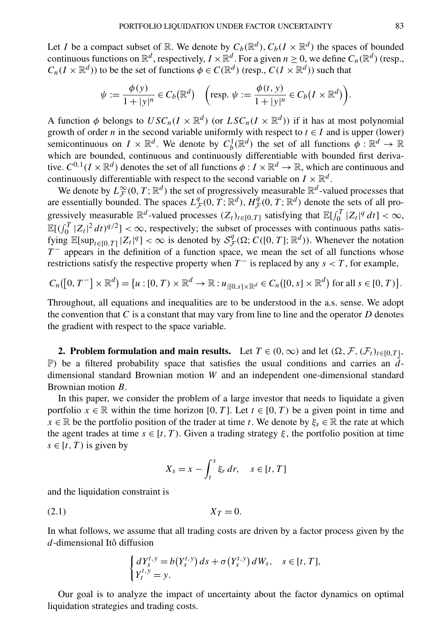<span id="page-3-0"></span>Let *I* be a compact subset of R. We denote by  $C_b(\mathbb{R}^d)$ ,  $C_b(I \times \mathbb{R}^d)$  the spaces of bounded continuous functions on  $\mathbb{R}^d$ , respectively,  $I \times \mathbb{R}^d$ . For a given  $n \ge 0$ , we define  $C_n(\mathbb{R}^d)$  (resp.,  $C_n(I \times \mathbb{R}^d)$  to be the set of functions  $\phi \in C(\mathbb{R}^d)$  (resp.,  $C(I \times \mathbb{R}^d)$ ) such that

$$
\psi := \frac{\phi(y)}{1+|y|^n} \in C_b(\mathbb{R}^d) \quad \left(\text{resp. } \psi := \frac{\phi(t, y)}{1+|y|^n} \in C_b(I \times \mathbb{R}^d)\right).
$$

A function  $\phi$  belongs to  $USC_n(I \times \mathbb{R}^d)$  (or  $LSC_n(I \times \mathbb{R}^d)$ ) if it has at most polynomial growth of order *n* in the second variable uniformly with respect to  $t \in I$  and is upper (lower) semicontinuous on  $I \times \mathbb{R}^d$ . We denote by  $C_b^1(\mathbb{R}^d)$  the set of all functions  $\phi: \mathbb{R}^d \to \mathbb{R}$ which are bounded, continuous and continuously differentiable with bounded first derivative.  $C^{0,1}(I \times \mathbb{R}^d)$  denotes the set of all functions  $\phi: I \times \mathbb{R}^d \to \mathbb{R}$ , which are continuous and continuously differentiable with respect to the second variable on  $I \times \mathbb{R}^d$ .

We denote by  $L^{\infty}_F(0, T; \mathbb{R}^d)$  the set of progressively measurable  $\mathbb{R}^d$ -valued processes that are essentially bounded. The spaces  $L^q_{\mathcal{F}}(0,T;\mathbb{R}^d)$ ,  $H^q_{\mathcal{F}}(0,T;\mathbb{R}^d)$  denote the sets of all progressively measurable  $\mathbb{R}^d$ -valued processes  $(Z_t)_{t \in [0,T]}$  satisfying that  $\mathbb{E}[\int_0^T |Z_t|^q dt] < \infty$ ,  $\mathbb{E}[(\int_0^T |Z_t|^2 dt)^{q/2}] < \infty$ , respectively; the subset of processes with continuous paths satisfying  $\mathbb{E}[\sup_{t\in[0,T]}|Z_t|^q]<\infty$  is denoted by  $\mathcal{S}_{\mathcal{F}}^q(\Omega;\mathcal{C}([0,T];\mathbb{R}^d))$ . Whenever the notation  $T^-$  appears in the definition of a function space, we mean the set of all functions whose restrictions satisfy the respective property when  $T^-$  is replaced by any  $s < T$ , for example,

$$
C_n([0,T^-] \times \mathbb{R}^d) = \{u : [0,T) \times \mathbb{R}^d \to \mathbb{R} : u_{|[0,s] \times \mathbb{R}^d} \in C_n([0,s] \times \mathbb{R}^d) \text{ for all } s \in [0,T) \}.
$$

Throughout, all equations and inequalities are to be understood in the a.s. sense. We adopt the convention that  $C$  is a constant that may vary from line to line and the operator  $D$  denotes the gradient with respect to the space variable.

**2. Problem formulation and main results.** Let  $T \in (0, \infty)$  and let  $(\Omega, \mathcal{F}, (\mathcal{F}_t)_{t \in [0, T]},$ **P**) be a filtered probability space that satisfies the usual conditions and carries an  $\tilde{d}$ dimensional standard Brownian motion *W* and an independent one-dimensional standard Brownian motion *B*.

In this paper, we consider the problem of a large investor that needs to liquidate a given portfolio  $x \in \mathbb{R}$  within the time horizon [0*,T*]. Let  $t \in [0, T)$  be a given point in time and  $x \in \mathbb{R}$  be the portfolio position of the trader at time *t*. We denote by  $\xi_s \in \mathbb{R}$  the rate at which the agent trades at time  $s \in [t, T)$ . Given a trading strategy  $\xi$ , the portfolio position at time  $s \in [t, T)$  is given by

$$
X_s = x - \int_t^s \xi_r \, dr, \quad s \in [t, T]
$$

and the liquidation constraint is

$$
(2.1) \t\t\t X_T = 0.
$$

In what follows, we assume that all trading costs are driven by a factor process given by the *d*-dimensional Itô diffusion

$$
\begin{cases} dY_s^{t,y} = b(Y_s^{t,y}) ds + \sigma(Y_s^{t,y}) dW_s, \quad s \in [t, T], \\ Y_t^{t,y} = y. \end{cases}
$$

Our goal is to analyze the impact of uncertainty about the factor dynamics on optimal liquidation strategies and trading costs.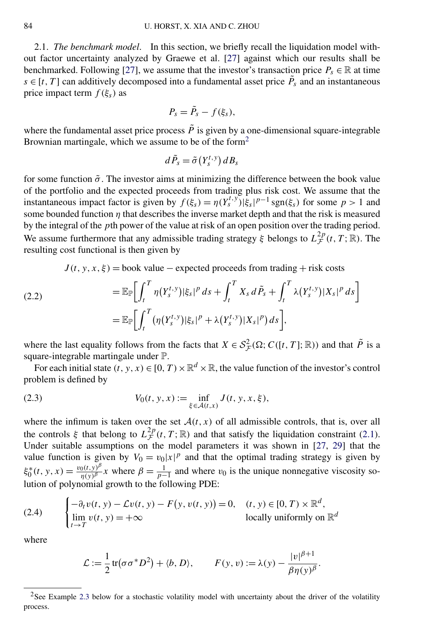<span id="page-4-0"></span>2.1. *The benchmark model*. In this section, we briefly recall the liquidation model without factor uncertainty analyzed by Graewe et al. [\[27\]](#page-43-0) against which our results shall be benchmarked. Following [\[27\]](#page-43-0), we assume that the investor's transaction price  $P_s \in \mathbb{R}$  at time  $s \in [t, T]$  can additively decomposed into a fundamental asset price  $\tilde{P}_s$  and an instantaneous price impact term  $f(\xi_s)$  as

$$
P_s = \tilde{P}_s - f(\xi_s),
$$

where the fundamental asset price process  $\tilde{P}$  is given by a one-dimensional square-integrable Brownian martingale, which we assume to be of the form<sup>2</sup>

$$
d\,\tilde{P}_s=\tilde{\sigma}\left(Y_s^{t,\,y}\right)dB_s
$$

for some function  $\tilde{\sigma}$ . The investor aims at minimizing the difference between the book value of the portfolio and the expected proceeds from trading plus risk cost. We assume that the instantaneous impact factor is given by  $f(\xi_s) = \eta(Y_s^{t,y}) |\xi_s|^{p-1} \operatorname{sgn}(\xi_s)$  for some  $p > 1$  and some bounded function  $\eta$  that describes the inverse market depth and that the risk is measured by the integral of the *p*th power of the value at risk of an open position over the trading period. We assume furthermore that any admissible trading strategy  $\xi$  belongs to  $L_{\mathcal{F}}^{2p}(t,T;\mathbb{R})$ . The resulting cost functional is then given by

 $J(t, y, x, \xi)$  = book value – expected proceeds from trading + risk costs

(2.2) 
$$
= \mathbb{E}_{\mathbb{P}} \bigg[ \int_{t}^{T} \eta(Y_{s}^{t,y}) |\xi_{s}|^{p} ds + \int_{t}^{T} X_{s} d\tilde{P}_{s} + \int_{t}^{T} \lambda(Y_{s}^{t,y}) |X_{s}|^{p} ds \bigg] = \mathbb{E}_{\mathbb{P}} \bigg[ \int_{t}^{T} (\eta(Y_{s}^{t,y}) |\xi_{s}|^{p} + \lambda(Y_{s}^{t,y}) |X_{s}|^{p}) ds \bigg],
$$

where the last equality follows from the facts that  $X \in S^2_{\mathcal{F}}(\Omega; C([t, T]; \mathbb{R}))$  and that  $\tilde{P}$  is a square-integrable martingale under P.

For each initial state  $(t, y, x) \in [0, T) \times \mathbb{R}^d \times \mathbb{R}$ , the value function of the investor's control problem is defined by

(2.3) 
$$
V_0(t, y, x) := \inf_{\xi \in \mathcal{A}(t, x)} J(t, y, x, \xi),
$$

where the infimum is taken over the set  $A(t, x)$  of all admissible controls, that is, over all the controls  $\xi$  that belong to  $L_{\mathcal{F}}^{2p}(t,T;\mathbb{R})$  and that satisfy the liquidation constraint [\(2.1\)](#page-3-0). Under suitable assumptions on the model parameters it was shown in [\[27,](#page-43-0) [29\]](#page-43-0) that the value function is given by  $V_0 = v_0 |x|^p$  and that the optimal trading strategy is given by  $\xi_0^*(t, y, x) = \frac{v_0(t, y)^\beta}{\eta(y)^\beta} x$  where  $\beta = \frac{1}{p-1}$  and where  $v_0$  is the unique nonnegative viscosity solution of polynomial growth to the following PDE:

(2.4) 
$$
\begin{cases} -\partial_t v(t, y) - \mathcal{L}v(t, y) - F(y, v(t, y)) = 0, & (t, y) \in [0, T) \times \mathbb{R}^d, \\ \lim_{t \to T} v(t, y) = +\infty & \text{locally uniformly on } \mathbb{R}^d \end{cases}
$$

where

$$
\mathcal{L} := \frac{1}{2} \operatorname{tr}(\sigma \sigma^* D^2) + \langle b, D \rangle, \qquad F(y, v) := \lambda(y) - \frac{|v|^{\beta + 1}}{\beta \eta(y)^{\beta}}.
$$

<sup>&</sup>lt;sup>2</sup>See Example [2.3](#page-7-0) below for a stochastic volatility model with uncertainty about the driver of the volatility process.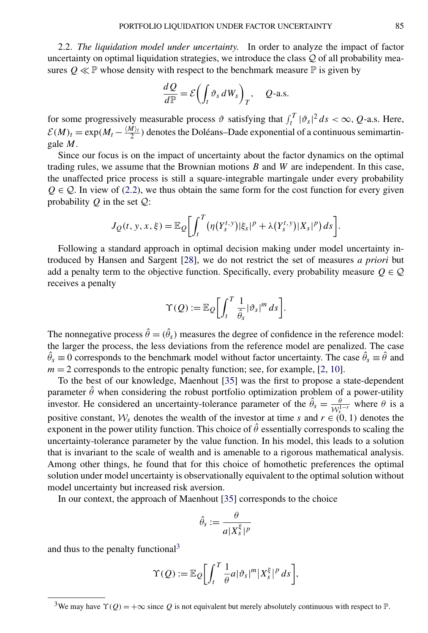2.2. *The liquidation model under uncertainty*. In order to analyze the impact of factor uncertainty on optimal liquidation strategies, we introduce the class  $Q$  of all probability measures  $Q \ll P$  whose density with respect to the benchmark measure  $P$  is given by

$$
\frac{dQ}{d\mathbb{P}} = \mathcal{E}\left(\int_t \vartheta_s \, dW_s\right)_T, \quad Q\text{-a.s.}
$$

for some progressively measurable process  $\vartheta$  satisfying that  $\int_t^T |\vartheta_s|^2 ds < \infty$ , *Q*-a.s. Here,  $\mathcal{E}(M)_t = \exp(M_t - \frac{\langle M \rangle_t}{2})$  denotes the Doléans–Dade exponential of a continuous semimartingale *M*.

Since our focus is on the impact of uncertainty about the factor dynamics on the optimal trading rules, we assume that the Brownian motions *B* and *W* are independent. In this case, the unaffected price process is still a square-integrable martingale under every probability  $Q \in \mathcal{Q}$ . In view of [\(2.2\)](#page-4-0), we thus obtain the same form for the cost function for every given probability  $Q$  in the set  $Q$ :

$$
J_Q(t, y, x, \xi) = \mathbb{E}_Q \bigg[ \int_t^T \big( \eta(Y_s^{t, y}) |\xi_s|^p + \lambda(Y_s^{t, y}) |X_s|^p \big) ds \bigg].
$$

Following a standard approach in optimal decision making under model uncertainty introduced by Hansen and Sargent [\[28\]](#page-43-0), we do not restrict the set of measures *a priori* but add a penalty term to the objective function. Specifically, every probability measure  $Q \in \mathcal{Q}$ receives a penalty

$$
\Upsilon(Q) := \mathbb{E}_{Q} \bigg[ \int_{t}^{T} \frac{1}{\hat{\theta}_{s}} |\vartheta_{s}|^{m} ds \bigg].
$$

The nonnegative process  $\hat{\theta} = (\hat{\theta}_s)$  measures the degree of confidence in the reference model: the larger the process, the less deviations from the reference model are penalized. The case  $\hat{\theta}_s \equiv 0$  corresponds to the benchmark model without factor uncertainty. The case  $\hat{\theta}_s \equiv \hat{\theta}$  and  $m = 2$  corresponds to the entropic penalty function; see, for example, [\[2,](#page-42-0) [10\]](#page-42-0).

To the best of our knowledge, Maenhout [\[35\]](#page-43-0) was the first to propose a state-dependent parameter  $\hat{\theta}$  when considering the robust portfolio optimization problem of a power-utility investor. He considered an uncertainty-tolerance parameter of the  $\hat{\theta}_s = \frac{\theta}{W_s^{1-r}}$  where  $\theta$  is a positive constant,  $W_s$  denotes the wealth of the investor at time *s* and  $r \in (0, 1)$  denotes the exponent in the power utility function. This choice of  $\hat{\theta}$  essentially corresponds to scaling the uncertainty-tolerance parameter by the value function. In his model, this leads to a solution that is invariant to the scale of wealth and is amenable to a rigorous mathematical analysis. Among other things, he found that for this choice of homothetic preferences the optimal solution under model uncertainty is observationally equivalent to the optimal solution without model uncertainty but increased risk aversion.

In our context, the approach of Maenhout [\[35\]](#page-43-0) corresponds to the choice

$$
\hat{\theta}_s := \frac{\theta}{a|X_s^{\xi}|^p}
$$

and thus to the penalty functional3

$$
\Upsilon(Q) := \mathbb{E}_{Q} \bigg[ \int_t^T \frac{1}{\theta} a |\vartheta_s|^m |X_s^{\xi}|^p ds \bigg],
$$

<sup>&</sup>lt;sup>3</sup>We may have  $\Upsilon(Q) = +\infty$  since Q is not equivalent but merely absolutely continuous with respect to  $\mathbb{P}$ .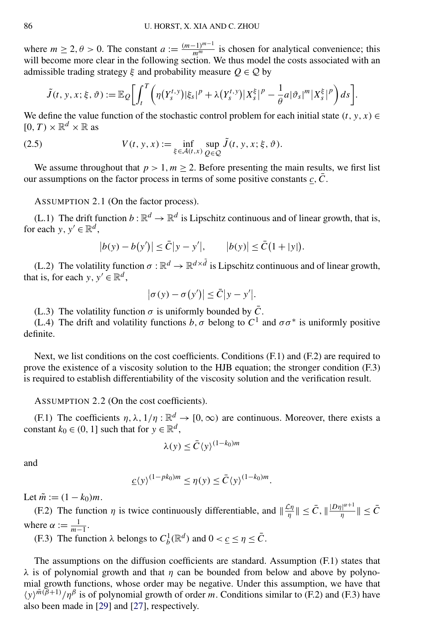<span id="page-6-0"></span>where  $m \ge 2$ ,  $\theta > 0$ . The constant  $a := \frac{(m-1)^{m-1}}{m^m}$  is chosen for analytical convenience; this will become more clear in the following section. We thus model the costs associated with an admissible trading strategy  $\xi$  and probability measure  $Q \in \mathcal{Q}$  by

$$
\tilde{J}(t, y, x; \xi, \vartheta) := \mathbb{E}_{\mathcal{Q}} \bigg[ \int_t^T \bigg( \eta(Y_s^{t, y}) |\xi_s|^p + \lambda(Y_s^{t, y}) |X_s^{\xi}|^p - \frac{1}{\theta} a |\vartheta_s|^m |X_s^{\xi}|^p \bigg) ds \bigg].
$$

We define the value function of the stochastic control problem for each initial state  $(t, y, x) \in$  $[0, T) \times \mathbb{R}^d \times \mathbb{R}$  as

(2.5) 
$$
V(t, y, x) := \inf_{\xi \in \mathcal{A}(t, x)} \sup_{Q \in \mathcal{Q}} \tilde{J}(t, y, x; \xi, \vartheta).
$$

We assume throughout that  $p > 1, m > 2$ . Before presenting the main results, we first list our assumptions on the factor process in terms of some positive constants  $c, \bar{C}$ .

ASSUMPTION 2.1 (On the factor process).

(L.1) The drift function  $b : \mathbb{R}^d \to \mathbb{R}^d$  is Lipschitz continuous and of linear growth, that is, for each *y*,  $y' \in \mathbb{R}^d$ ,

$$
|b(y) - b(y')| \le \bar{C}|y - y'|, \qquad |b(y)| \le \bar{C}(1 + |y|).
$$

(L.2) The volatility function  $\sigma : \mathbb{R}^d \to \mathbb{R}^{d \times d}$  is Lipschitz continuous and of linear growth, that is, for each  $y, y' \in \mathbb{R}^d$ ,

$$
|\sigma(y) - \sigma(y')| \leq \bar{C}|y - y'|.
$$

(L.3) The volatility function  $\sigma$  is uniformly bounded by  $\bar{C}$ .

(L.4) The drift and volatility functions *b*,  $\sigma$  belong to  $C^1$  and  $\sigma \sigma^*$  is uniformly positive definite.

Next, we list conditions on the cost coefficients. Conditions (F.1) and (F.2) are required to prove the existence of a viscosity solution to the HJB equation; the stronger condition (F.3) is required to establish differentiability of the viscosity solution and the verification result.

ASSUMPTION 2.2 (On the cost coefficients).

(F.1) The coefficients  $\eta$ ,  $\lambda$ ,  $1/\eta$ :  $\mathbb{R}^d \to [0,\infty)$  are continuous. Moreover, there exists a constant  $k_0 \in (0, 1]$  such that for  $y \in \mathbb{R}^d$ ,

$$
\lambda(y) \le \bar{C} \langle y \rangle^{(1-k_0)m}
$$

and

$$
\underline{c}\langle y \rangle^{(1-pk_0)m} \leq \eta(y) \leq \overline{C}\langle y \rangle^{(1-k_0)m}.
$$

Let  $\tilde{m} := (1 - k_0)m$ .

(F.2) The function  $\eta$  is twice continuously differentiable, and  $\|\frac{\mathcal{L}\eta}{\eta}\| \leq \bar{C}$ ,  $\|\frac{|D\eta|^{\alpha+1}}{\eta}\| \leq \bar{C}$ where  $\alpha := \frac{1}{m-1}$ .

(F.3) The function  $\lambda$  belongs to  $C_b^1(\mathbb{R}^d)$  and  $0 < \underline{c} \le \eta \le \overline{C}$ .

The assumptions on the diffusion coefficients are standard. Assumption (F.1) states that  $λ$  is of polynomial growth and that *η* can be bounded from below and above by polynomial growth functions, whose order may be negative. Under this assumption, we have that  $\langle y \rangle^{m(\bar{\beta}+1)}/\eta^{\beta}$  is of polynomial growth of order *m*. Conditions similar to (F.2) and (F.3) have also been made in [\[29\]](#page-43-0) and [\[27\]](#page-43-0), respectively.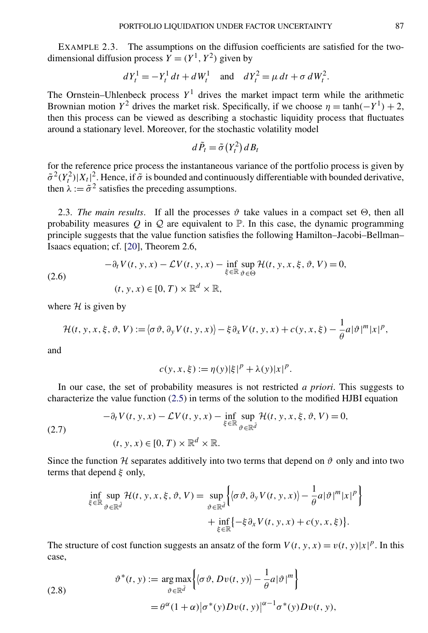<span id="page-7-0"></span>EXAMPLE 2.3. The assumptions on the diffusion coefficients are satisfied for the twodimensional diffusion process  $Y = (Y^1, Y^2)$  given by

$$
dY_t^1 = -Y_t^1 dt + dW_t^1 \text{ and } dY_t^2 = \mu dt + \sigma dW_t^2.
$$

The Ornstein–Uhlenbeck process  $Y^1$  drives the market impact term while the arithmetic Brownian motion  $Y^2$  drives the market risk. Specifically, if we choose  $\eta = \tanh(-Y^1) + 2$ , then this process can be viewed as describing a stochastic liquidity process that fluctuates around a stationary level. Moreover, for the stochastic volatility model

$$
d\,\tilde{P}_t = \tilde{\sigma}\left(Y_t^2\right)dB_t
$$

for the reference price process the instantaneous variance of the portfolio process is given by  $\tilde{\sigma}^2(Y_t^2)|X_t|^2$ . Hence, if  $\tilde{\sigma}$  is bounded and continuously differentiable with bounded derivative, then  $\lambda := \tilde{\sigma}^2$  satisfies the preceding assumptions.

2.3. *The main results*. If all the processes  $\vartheta$  take values in a compact set  $\Theta$ , then all probability measures  $Q$  in  $Q$  are equivalent to  $P$ . In this case, the dynamic programming principle suggests that the value function satisfies the following Hamilton–Jacobi–Bellman– Isaacs equation; cf. [\[20\]](#page-42-0), Theorem 2.6,

$$
(2.6)
$$

$$
-\partial_t V(t, y, x) - \mathcal{L}V(t, y, x) - \inf_{\xi \in \mathbb{R}} \sup_{\vartheta \in \Theta} \mathcal{H}(t, y, x, \xi, \vartheta, V) = 0,
$$
  
(t, y, x) \in [0, T) \times \mathbb{R}^d \times \mathbb{R},

where  $H$  is given by

$$
\mathcal{H}(t, y, x, \xi, \vartheta, V) := \langle \sigma \vartheta, \partial_y V(t, y, x) \rangle - \xi \partial_x V(t, y, x) + c(y, x, \xi) - \frac{1}{\theta} a |\vartheta|^m |x|^p,
$$

and

$$
c(y, x, \xi) := \eta(y)|\xi|^p + \lambda(y)|x|^p.
$$

In our case, the set of probability measures is not restricted *a priori*. This suggests to characterize the value function [\(2.5\)](#page-6-0) in terms of the solution to the modified HJBI equation

$$
-\partial_t V(t, y, x) - \mathcal{L}V(t, y, x) - \inf_{\xi \in \mathbb{R}} \sup_{\vartheta \in \mathbb{R}^{\tilde{d}}} \mathcal{H}(t, y, x, \xi, \vartheta, V) = 0,
$$
  
(t, y, x) \in [0, T) \times \mathbb{R}^d \times \mathbb{R}.

(2.7)

Since the function H separates additively into two terms that depend on  $\vartheta$  only and into two terms that depend *ξ* only,

$$
\inf_{\xi \in \mathbb{R}} \sup_{\vartheta \in \mathbb{R}^{\tilde{d}}} \mathcal{H}(t, y, x, \xi, \vartheta, V) = \sup_{\vartheta \in \mathbb{R}^{\tilde{d}}} \Big\{ \langle \sigma \vartheta, \partial_y V(t, y, x) \rangle - \frac{1}{\theta} a |\vartheta|^m |x|^p \Big\} + \inf_{\xi \in \mathbb{R}} \{-\xi \partial_x V(t, y, x) + c(y, x, \xi) \}.
$$

The structure of cost function suggests an ansatz of the form  $V(t, y, x) = v(t, y)|x|^p$ . In this case,

(2.8) 
$$
\vartheta^*(t, y) := \underset{\vartheta \in \mathbb{R}^{\tilde{d}}}{\arg \max} \Big\{ \langle \sigma \vartheta, Dv(t, y) \rangle - \frac{1}{\theta} a |\vartheta|^m \Big\} = \theta^{\alpha} (1 + \alpha) |\sigma^*(y) Dv(t, y)|^{\alpha - 1} \sigma^*(y) Dv(t, y),
$$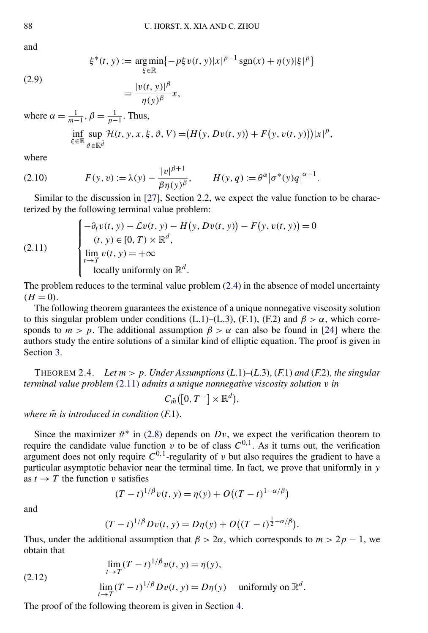<span id="page-8-0"></span>and

$$
\xi^*(t, y) := \underset{\xi \in \mathbb{R}}{\arg \min} \{-p\xi v(t, y)|x|^{p-1} \operatorname{sgn}(x) + \eta(y)|\xi|^p\}
$$

(2.9)

$$
=\frac{|v(t, y)|^{\beta}}{\eta(y)^{\beta}}x,
$$

where  $\alpha = \frac{1}{m-1}, \beta = \frac{1}{p-1}$ . Thus,

$$
\inf_{\xi \in \mathbb{R}} \sup_{\vartheta \in \mathbb{R}^{\bar{d}}} \mathcal{H}(t, y, x, \xi, \vartheta, V) = (H(y, Dv(t, y)) + F(y, v(t, y)))|x|^p,
$$

where

(2.10) 
$$
F(y, v) := \lambda(y) - \frac{|v|^{\beta + 1}}{\beta \eta(y)^{\beta}}, \qquad H(y, q) := \theta^{\alpha} |\sigma^*(y)q|^{\alpha + 1}.
$$

Similar to the discussion in [\[27\]](#page-43-0), Section 2.2, we expect the value function to be characterized by the following terminal value problem:

(2.11) 
$$
\begin{cases}\n-\partial_t v(t, y) - \mathcal{L}v(t, y) - H(y, Dv(t, y)) - F(y, v(t, y)) = 0 \\
(t, y) \in [0, T) \times \mathbb{R}^d, \\
\lim_{t \to T} v(t, y) = +\infty \\
\text{locally uniformly on } \mathbb{R}^d.\n\end{cases}
$$

The problem reduces to the terminal value problem [\(2.4\)](#page-4-0) in the absence of model uncertainty  $(H = 0)$ .

The following theorem guarantees the existence of a unique nonnegative viscosity solution to this singular problem under conditions (L.1)–(L.3), (F.1), (F.2) and  $\beta > \alpha$ , which corresponds to  $m > p$ . The additional assumption  $\beta > \alpha$  can also be found in [\[24\]](#page-43-0) where the authors study the entire solutions of a similar kind of elliptic equation. The proof is given in Section [3.](#page-10-0)

THEOREM 2.4. *Let*  $m > p$ . *Under Assumptions* (*L.*1)–(*L.3*), (*F.1*) *and* (*F.2*), *the singular terminal value problem* (2.11) *admits a unique nonnegative viscosity solution v in*

$$
C_{\tilde{m}}([0, T^-] \times \mathbb{R}^d),
$$

*where m*˜ *is introduced in condition* (*F*.1).

Since the maximizer  $\vartheta^*$  in [\(2.8\)](#page-7-0) depends on  $Dv$ , we expect the verification theorem to require the candidate value function *v* to be of class  $C^{0,1}$ . As it turns out, the verification argument does not only require  $C^{0,1}$ -regularity of *v* but also requires the gradient to have a particular asymptotic behavior near the terminal time. In fact, we prove that uniformly in *y* as  $t \rightarrow T$  the function *v* satisfies

$$
(T-t)^{1/\beta}v(t, y) = \eta(y) + O((T-t)^{1-\alpha/\beta})
$$

and

$$
(T-t)^{1/\beta}Dv(t, y) = D\eta(y) + O((T-t)^{\frac{1}{2}-\alpha/\beta})
$$

*.*

Thus, under the additional assumption that  $\beta > 2\alpha$ , which corresponds to  $m > 2p - 1$ , we obtain that

(2.12) 
$$
\lim_{t \to T} (T - t)^{1/\beta} v(t, y) = \eta(y),
$$

$$
\lim_{t \to T} (T - t)^{1/\beta} Dv(t, y) = D\eta(y) \quad \text{uniformly on } \mathbb{R}^d.
$$

The proof of the following theorem is given in Section [4.](#page-15-0)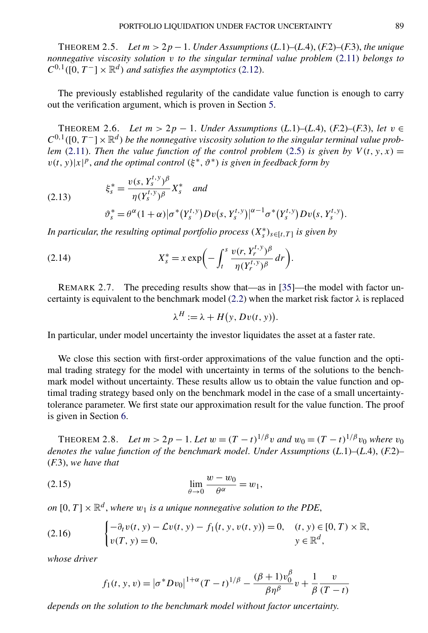<span id="page-9-0"></span>THEOREM 2.5. *Let*  $m > 2p - 1$ . *Under Assumptions* (*L.1*)–(*L.4*), (*F.2*)–(*F.3*), *the unique nonnegative viscosity solution v to the singular terminal value problem* [\(2.11\)](#page-8-0) *belongs to*  $C^{0,1}([0,T^-] \times \mathbb{R}^d)$  *and satisfies the asymptotics* [\(2.12\)](#page-8-0).

The previously established regularity of the candidate value function is enough to carry out the verification argument, which is proven in Section [5.](#page-21-0)

THEOREM 2.6. *Let m >* 2*p* − 1. *Under Assumptions* (*L*.1)*–*(*L*.4), (*F*.2)*–*(*F*.3), *let v* ∈  $C^{0,1}([0,T^-] \times \mathbb{R}^d)$  be the nonnegative viscosity solution to the singular terminal value prob*lem* [\(2.11\)](#page-8-0). *Then the value function of the control problem* [\(2.5\)](#page-6-0) *is given by*  $V(t, y, x) =$  $v(t, y)|x|^p$ , *and the optimal control*  $(\xi^*, \vartheta^*)$  *is given in feedback form by* 

(2.13) 
$$
\xi_s^* = \frac{v(s, Y_s^{t, y})^{\beta}}{\eta(Y_s^{t, y})^{\beta}} X_s^* \quad and \n\vartheta_s^* = \theta^{\alpha} (1 + \alpha) |\sigma^*(Y_s^{t, y})Dv(s, Y_s^{t, y})|^{\alpha - 1} \sigma^*(Y_s^{t, y})Dv(s, Y_s^{t, y}).
$$

*In particular, the resulting optimal portfolio process*  $(X_s^*)_{s \in [t,T]}$  *is given by* 

(2.14) 
$$
X_s^* = x \exp\biggl(-\int_t^s \frac{v(r, Y_r^{t, y})^{\beta}}{\eta (Y_r^{t, y})^{\beta}} dr\biggr).
$$

REMARK 2.7. The preceding results show that—as in [\[35\]](#page-43-0)—the model with factor un-certainty is equivalent to the benchmark model [\(2.2\)](#page-4-0) when the market risk factor  $\lambda$  is replaced

$$
\lambda^H := \lambda + H(y, Dv(t, y)).
$$

In particular, under model uncertainty the investor liquidates the asset at a faster rate.

We close this section with first-order approximations of the value function and the optimal trading strategy for the model with uncertainty in terms of the solutions to the benchmark model without uncertainty. These results allow us to obtain the value function and optimal trading strategy based only on the benchmark model in the case of a small uncertaintytolerance parameter. We first state our approximation result for the value function. The proof is given in Section [6.](#page-25-0)

THEOREM 2.8. *Let*  $m > 2p - 1$ . *Let*  $w = (T - t)^{1/\beta}v$  and  $w_0 = (T - t)^{1/\beta}v_0$  where  $v_0$ *denotes the value function of the benchmark model*. *Under Assumptions* (*L*.1)*–*(*L*.4), (*F*.2)*–* (*F*.3), *we have that*

(2.15) 
$$
\lim_{\theta \to 0} \frac{w - w_0}{\theta^{\alpha}} = w_1,
$$

*on*  $[0, T] \times \mathbb{R}^d$ , *where*  $w_1$  *is a unique nonnegative solution to the PDE*,

(2.16) 
$$
\begin{cases} -\partial_t v(t, y) - \mathcal{L}v(t, y) - f_1(t, y, v(t, y)) = 0, & (t, y) \in [0, T) \times \mathbb{R}, \\ v(T, y) = 0, & y \in \mathbb{R}^d, \end{cases}
$$

*whose driver*

$$
f_1(t, y, v) = |\sigma^* D v_0|^{1+\alpha} (T-t)^{1/\beta} - \frac{(\beta+1)v_0^{\beta}}{\beta \eta^{\beta}} v + \frac{1}{\beta} \frac{v}{(T-t)}
$$

*depends on the solution to the benchmark model without factor uncertainty*.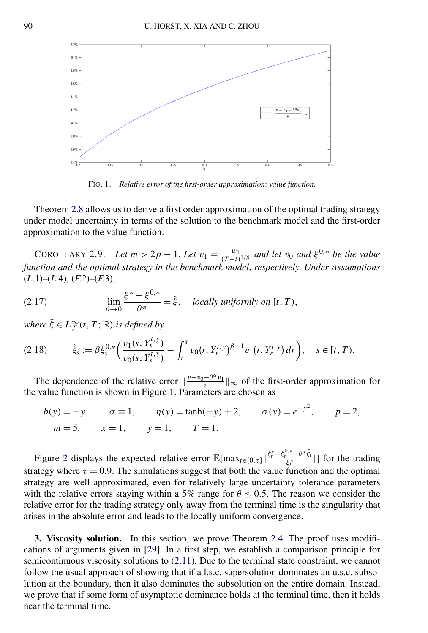<span id="page-10-0"></span>

FIG. 1. *Relative error of the first-order approximation*: *value function*.

Theorem [2.8](#page-9-0) allows us to derive a first order approximation of the optimal trading strategy under model uncertainty in terms of the solution to the benchmark model and the first-order approximation to the value function.

COROLLARY 2.9. *Let*  $m > 2p - 1$ . Let  $v_1 = \frac{w_1}{(T-t)^{1/\beta}}$  and let  $v_0$  and  $\xi^{0,*}$  be the value *function and the optimal strategy in the benchmark model*, *respectively*. *Under Assumptions* (*L*.1)*–*(*L*.4), (*F*.2)*–*(*F*.3),

(2.17) 
$$
\lim_{\theta \to 0} \frac{\xi^* - \xi^{0,*}}{\theta^{\alpha}} = \tilde{\xi}, \quad locally \text{ uniformly on } [t, T),
$$

 $where \tilde{\xi} \in L^{\infty}_{\mathcal{F}}(t, T; \mathbb{R})$  *is defined by* 

$$
(2.18) \qquad \tilde{\xi}_s := \beta \xi_s^{0,*} \bigg( \frac{v_1(s, Y_s^{t,y})}{v_0(s, Y_s^{t,y})} - \int_t^s v_0(r, Y_r^{t,y})^{\beta - 1} v_1(r, Y_r^{t,y}) dr \bigg), \quad s \in [t, T).
$$

The dependence of the relative error  $\|\frac{v-v_0-\theta^{\alpha}v_1}{v}\|_{\infty}$  of the first-order approximation for the value function is shown in Figure 1. Parameters are chosen as

$$
b(y) = -y
$$
,  $\sigma \equiv 1$ ,  $\eta(y) = \tanh(-y) + 2$ ,  $\sigma(y) = e^{-y^2}$ ,  $p = 2$ ,  
\n $m = 5$ ,  $x = 1$ ,  $y = 1$ ,  $T = 1$ .

Figure [2](#page-11-0) displays the expected relative error  $\mathbb{E}[\max_{t \in [0,\tau]} |\frac{\xi_t^* - \xi_t^{0,*} - \theta^{\alpha} \tilde{\xi}_t}{\xi_t^*}|]$  for the trading strategy where  $\tau = 0.9$ . The simulations suggest that both the value function and the optimal strategy are well approximated, even for relatively large uncertainty tolerance parameters with the relative errors staying within a 5% range for  $\theta \le 0.5$ . The reason we consider the relative error for the trading strategy only away from the terminal time is the singularity that arises in the absolute error and leads to the locally uniform convergence.

**3. Viscosity solution.** In this section, we prove Theorem [2.4.](#page-8-0) The proof uses modifications of arguments given in [\[29\]](#page-43-0). In a first step, we establish a comparison principle for semicontinuous viscosity solutions to [\(2.11\)](#page-8-0). Due to the terminal state constraint, we cannot follow the usual approach of showing that if a l.s.c. supersolution dominates an u.s.c. subsolution at the boundary, then it also dominates the subsolution on the entire domain. Instead, we prove that if some form of asymptotic dominance holds at the terminal time, then it holds near the terminal time.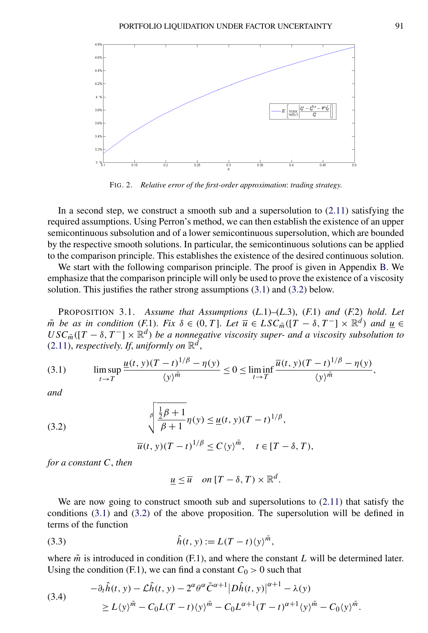<span id="page-11-0"></span>

FIG. 2. *Relative error of the first-order approximation*: *trading strategy*.

In a second step, we construct a smooth sub and a supersolution to [\(2.11\)](#page-8-0) satisfying the required assumptions. Using Perron's method, we can then establish the existence of an upper semicontinuous subsolution and of a lower semicontinuous supersolution, which are bounded by the respective smooth solutions. In particular, the semicontinuous solutions can be applied to the comparison principle. This establishes the existence of the desired continuous solution.

We start with the following comparison principle. The proof is given in Appendix [B.](#page-37-0) We emphasize that the comparison principle will only be used to prove the existence of a viscosity solution. This justifies the rather strong assumptions (3.1) and (3.2) below.

PROPOSITION 3.1. *Assume that Assumptions* (*L*.1)*–*(*L*.3), (*F*.1) *and* (*F*.2) *hold*. *Let m*<sup> $\tilde{m}$  *be as in condition* (*F.1*). *Fix*  $\delta \in (0, T]$ . *Let*  $\overline{u} \in LSC_{\tilde{m}}([T - \delta, T^-] \times \mathbb{R}^d)$  *and*  $\underline{u} \in$ </sup>  $USC_{\tilde{m}}([T - \delta, T^-] \times \mathbb{R}^d)$  *be a nonnegative viscosity super- and a viscosity subsolution to*  $(2.11)$ , *respectively. If, uniformly on*  $\mathbb{R}^d$ ,

$$
(3.1) \qquad \limsup_{t \to T} \frac{\underline{u}(t, y)(T - t)^{1/\beta} - \eta(y)}{\langle y \rangle^{\tilde{m}}} \le 0 \le \liminf_{t \to T} \frac{\overline{u}(t, y)(T - t)^{1/\beta} - \eta(y)}{\langle y \rangle^{\tilde{m}}},
$$

*and*

(3.2) 
$$
\sqrt{\frac{\frac{1}{2}\beta+1}{\beta+1}}\eta(y) \leq \underline{u}(t, y)(T-t)^{1/\beta},
$$

$$
\overline{u}(t, y)(T-t)^{1/\beta} \leq C\langle y \rangle^{\tilde{m}}, \quad t \in [T-\delta, T),
$$

*for a constant C*, *then*

$$
\underline{u} \leq \overline{u} \quad on \ [T-\delta, T) \times \mathbb{R}^d.
$$

We are now going to construct smooth sub and supersolutions to [\(2.11\)](#page-8-0) that satisfy the conditions (3.1) and (3.2) of the above proposition. The supersolution will be defined in terms of the function

$$
\hat{h}(t, y) := L(T - t) \langle y \rangle^{\tilde{m}},
$$

where  $\tilde{m}$  is introduced in condition (F.1), and where the constant *L* will be determined later. Using the condition (F.1), we can find a constant  $C_0 > 0$  such that

(3.4) 
$$
- \partial_t \hat{h}(t, y) - \mathcal{L}\hat{h}(t, y) - 2^{\alpha} \theta^{\alpha} \bar{C}^{\alpha+1} |D\hat{h}(t, y)|^{\alpha+1} - \lambda(y) \geq L \langle y \rangle^{\tilde{m}} - C_0 L (T - t) \langle y \rangle^{\tilde{m}} - C_0 L^{\alpha+1} (T - t)^{\alpha+1} \langle y \rangle^{\tilde{m}} - C_0 \langle y \rangle^{\tilde{m}}.
$$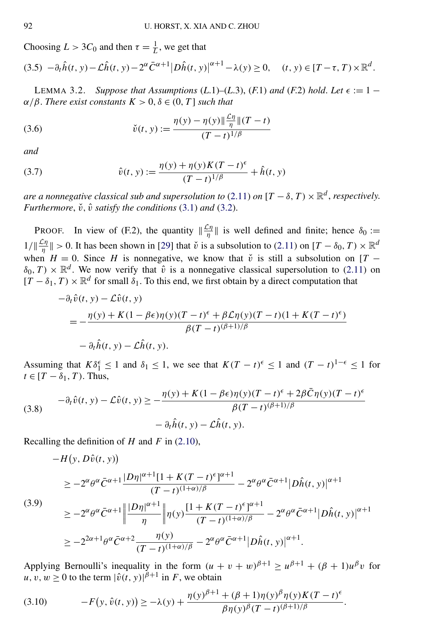<span id="page-12-0"></span>Choosing  $L > 3C_0$  and then  $\tau = \frac{1}{L}$ , we get that  $(3.5)$   $-\partial_t \hat{h}(t, y) - \hat{\mathcal{L}} \hat{h}(t, y) - 2^{\alpha} \bar{C}^{\alpha+1} |D \hat{h}(t, y)|^{\alpha+1} - \lambda(y) \ge 0, \quad (t, y) \in [T - \tau, T) \times \mathbb{R}^d.$ 

LEMMA 3.2. *Suppose that Assumptions* (*L*.1)–(*L*.3), (*F*.1) *and* (*F.2*) *hold. Let*  $\epsilon := 1 - \frac{1}{\epsilon}$  $\alpha/\beta$ . *There exist constants*  $K > 0$ ,  $\delta \in (0, T]$  *such that* 

(3.6) 
$$
\check{v}(t, y) := \frac{\eta(y) - \eta(y) \|\frac{\mathcal{L}\eta}{\eta}\|(T - t)}{(T - t)^{1/\beta}}
$$

*and*

(3.7) 
$$
\hat{v}(t, y) := \frac{\eta(y) + \eta(y)K(T - t)^{\epsilon}}{(T - t)^{1/\beta}} + \hat{h}(t, y)
$$

*are a nonnegative classical sub and supersolution to* [\(2.11\)](#page-8-0) *on*  $[T - \delta, T) \times \mathbb{R}^d$ , *respectively. Furthermore,*  $\check{v}$ *,*  $\hat{v}$  *satisfy the conditions* [\(3.1\)](#page-11-0) *and* [\(3.2\)](#page-11-0).

**PROOF.** In view of (F.2), the quantity  $\|\frac{\mathcal{L}\eta}{\eta}\|$  is well defined and finite; hence  $\delta_0 :=$  $1/||\frac{\mathcal{L}\eta}{\eta}|| > 0$ . It has been shown in [\[29\]](#page-43-0) that  $\check{v}$  is a subsolution to [\(2.11\)](#page-8-0) on  $[T - \delta_0, T) \times \mathbb{R}^d$ when  $H = 0$ . Since *H* is nonnegative, we know that  $\check{v}$  is still a subsolution on [*T* −  $\delta_0, T) \times \mathbb{R}^d$ . We now verify that  $\hat{v}$  is a nonnegative classical supersolution to [\(2.11\)](#page-8-0) on  $[T - \delta_1, T] \times \mathbb{R}^d$  for small  $\delta_1$ . To this end, we first obtain by a direct computation that

$$
-\partial_t \hat{v}(t, y) - \mathcal{L}\hat{v}(t, y)
$$
  
= 
$$
-\frac{\eta(y) + K(1 - \beta \epsilon)\eta(y)(T - t)^{\epsilon} + \beta \mathcal{L}\eta(y)(T - t)(1 + K(T - t)^{\epsilon})}{\beta(T - t)^{(\beta + 1)/\beta}}
$$
  
- 
$$
\partial_t \hat{h}(t, y) - \mathcal{L}\hat{h}(t, y).
$$

Assuming that  $K\delta_1^{\epsilon} \leq 1$  and  $\delta_1 \leq 1$ , we see that  $K(T - t)^{\epsilon} \leq 1$  and  $(T - t)^{1 - \epsilon} \leq 1$  for  $t \in [T - \delta_1, T)$ . Thus,

(3.8) 
$$
-\partial_t \hat{v}(t, y) - \mathcal{L}\hat{v}(t, y) \ge -\frac{\eta(y) + K(1 - \beta \epsilon)\eta(y)(T - t)^{\epsilon} + 2\beta \bar{C}\eta(y)(T - t)^{\epsilon}}{\beta(T - t)^{(\beta + 1)/\beta}} - \partial_t \hat{h}(t, y) - \mathcal{L}\hat{h}(t, y).
$$

Recalling the definition of *H* and *F* in [\(2.10\)](#page-8-0),

$$
-H(y, D\hat{v}(t, y))
$$
\n
$$
\geq -2^{\alpha}\theta^{\alpha}\bar{C}^{\alpha+1}\frac{|D\eta|^{\alpha+1}[1+K(T-t)^{\epsilon}]^{\alpha+1}}{(T-t)^{(1+\alpha)/\beta}} - 2^{\alpha}\theta^{\alpha}\bar{C}^{\alpha+1}|D\hat{h}(t, y)|^{\alpha+1}
$$
\n
$$
\geq -2^{\alpha}\theta^{\alpha}\bar{C}^{\alpha+1}\left\|\frac{|D\eta|^{\alpha+1}}{\eta}\right\|\eta(y)\frac{[1+K(T-t)^{\epsilon}]^{\alpha+1}}{(T-t)^{(1+\alpha)/\beta}} - 2^{\alpha}\theta^{\alpha}\bar{C}^{\alpha+1}|D\hat{h}(t, y)|^{\alpha+1}
$$
\n
$$
\geq -2^{2\alpha+1}\theta^{\alpha}\bar{C}^{\alpha+2}\frac{\eta(y)}{(T-t)^{(1+\alpha)/\beta}} - 2^{\alpha}\theta^{\alpha}\bar{C}^{\alpha+1}|D\hat{h}(t, y)|^{\alpha+1}.
$$

Applying Bernoulli's inequality in the form  $(u + v + w)^{\beta+1} \ge u^{\beta+1} + (\beta + 1)u^{\beta}v$  for  $u, v, w \ge 0$  to the term  $|\hat{v}(t, y)|^{\beta+1}$  in *F*, we obtain

(3.10) 
$$
-F(y, \hat{v}(t, y)) \ge -\lambda(y) + \frac{\eta(y)^{\beta+1} + (\beta+1)\eta(y)^{\beta}\eta(y)K(T-t)^{\epsilon}}{\beta\eta(y)^{\beta}(T-t)^{(\beta+1)/\beta}}.
$$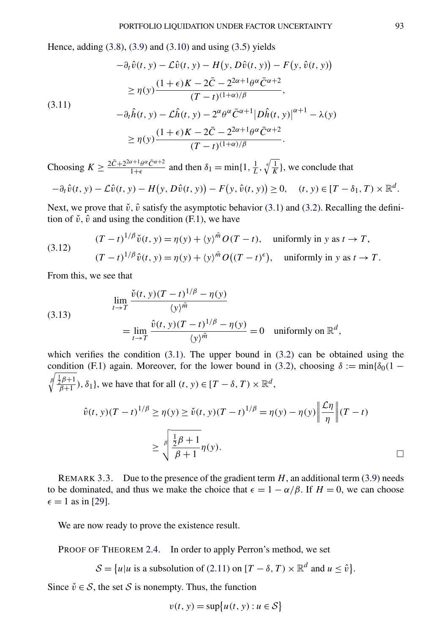<span id="page-13-0"></span>Hence, adding  $(3.8)$ ,  $(3.9)$  and  $(3.10)$  and using  $(3.5)$  yields

$$
-\partial_t \hat{v}(t, y) - \mathcal{L}\hat{v}(t, y) - H(y, D\hat{v}(t, y)) - F(y, \hat{v}(t, y))
$$
  
\n
$$
\geq \eta(y) \frac{(1+\epsilon)K - 2\bar{C} - 2^{2\alpha+1}\theta^{\alpha}\bar{C}^{\alpha+2}}{(T-t)^{(1+\alpha)/\beta}},
$$
  
\n(3.11)  
\n
$$
-\partial_t \hat{h}(t, y) - \mathcal{L}\hat{h}(t, y) - 2^{\alpha}\theta^{\alpha}\bar{C}^{\alpha+1} |D\hat{h}(t, y)|^{\alpha+1} - \lambda(y)
$$

$$
\geq \eta(y) \frac{(1+\epsilon)K - 2\bar{C} - 2^{2\alpha+1}\theta^{\alpha}\bar{C}^{\alpha+2}}{(T-t)^{(1+\alpha)/\beta}}.
$$

Choosing  $K \ge \frac{2\bar{C} + 2^{2\alpha + 1}\theta^{\alpha}\bar{C}^{\alpha+2}}{1+\epsilon}$  and then  $\delta_1 = \min\{1, \frac{1}{L}, \sqrt[\ell]{\frac{1}{K}}\}$ , we conclude that

$$
-\partial_t \hat{v}(t, y) - \mathcal{L}\hat{v}(t, y) - H\big(y, D\hat{v}(t, y)\big) - F\big(y, \hat{v}(t, y)\big) \geq 0, \quad (t, y) \in [T - \delta_1, T) \times \mathbb{R}^d.
$$

Next, we prove that  $\check{v}$ ,  $\hat{v}$  satisfy the asymptotic behavior [\(3.1\)](#page-11-0) and [\(3.2\)](#page-11-0). Recalling the definition of  $\check{v}$ ,  $\hat{v}$  and using the condition (F.1), we have

(3.12) 
$$
(T-t)^{1/\beta} \check{v}(t, y) = \eta(y) + \langle y \rangle^{\tilde{m}} O(T-t), \text{ uniformly in } y \text{ as } t \to T,
$$

$$
(T-t)^{1/\beta} \hat{v}(t, y) = \eta(y) + \langle y \rangle^{\tilde{m}} O((T-t)^{\epsilon}), \text{ uniformly in } y \text{ as } t \to T.
$$

From this, we see that

(3.13)  
\n
$$
\lim_{t \to T} \frac{\check{v}(t, y)(T - t)^{1/\beta} - \eta(y)}{\langle y \rangle^{\tilde{m}}}
$$
\n
$$
= \lim_{t \to T} \frac{\hat{v}(t, y)(T - t)^{1/\beta} - \eta(y)}{\langle y \rangle^{\tilde{m}}} = 0 \quad \text{uniformly on } \mathbb{R}^d,
$$

which verifies the condition  $(3.1)$ . The upper bound in  $(3.2)$  can be obtained using the condition (F.1) again. Moreover, for the lower bound in [\(3.2\)](#page-11-0), choosing  $\delta := \min{\delta_0(1 - \frac{1}{\delta_0 t})}$  $\oint_{\beta} \frac{\frac{1}{2}\beta+1}{\beta+1}$ ,  $\delta_1$ , we have that for all  $(t, y) \in [T - \delta, T) \times \mathbb{R}^d$ ,

$$
\hat{v}(t, y)(T - t)^{1/\beta} \ge \eta(y) \ge \check{v}(t, y)(T - t)^{1/\beta} = \eta(y) - \eta(y) \left\| \frac{\mathcal{L}\eta}{\eta} \right\| (T - t)
$$

$$
\ge \int_0^{\beta} \frac{\frac{1}{2}\beta + 1}{\beta + 1} \eta(y).
$$

REMARK 3.3. Due to the presence of the gradient term  $H$ , an additional term  $(3.9)$  needs to be dominated, and thus we make the choice that  $\epsilon = 1 - \alpha/\beta$ . If  $H = 0$ , we can choose  $\epsilon = 1$  as in [\[29\]](#page-43-0).

We are now ready to prove the existence result.

PROOF OF THEOREM [2.4.](#page-8-0) In order to apply Perron's method, we set

 $\mathcal{S} = \{u | u \text{ is a subsolution of } (2.11) \text{ on } [T - \delta, T) \times \mathbb{R}^d \text{ and } u \leq \hat{v}\}.$  $\mathcal{S} = \{u | u \text{ is a subsolution of } (2.11) \text{ on } [T - \delta, T) \times \mathbb{R}^d \text{ and } u \leq \hat{v}\}.$  $\mathcal{S} = \{u | u \text{ is a subsolution of } (2.11) \text{ on } [T - \delta, T) \times \mathbb{R}^d \text{ and } u \leq \hat{v}\}.$ 

Since  $\check{v} \in S$ , the set S is nonempty. Thus, the function

$$
v(t, y) = \sup\{u(t, y) : u \in \mathcal{S}\}\
$$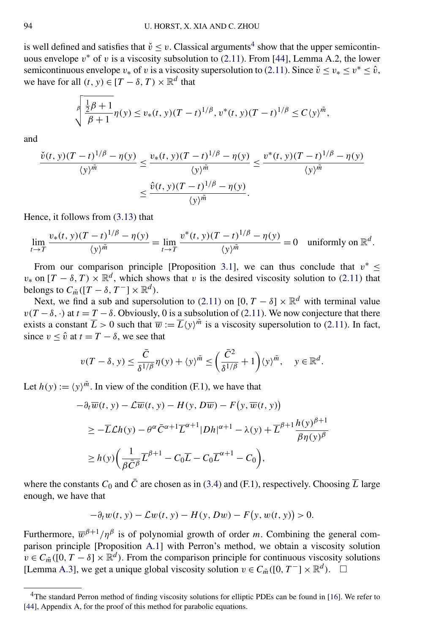is well defined and satisfies that  $\check{v} \le v$ . Classical arguments<sup>4</sup> show that the upper semicontinuous envelope  $v^*$  of *v* is a viscosity subsolution to  $(2.11)$ . From [\[44\]](#page-43-0), Lemma A.2, the lower semicontinuous envelope  $v_*$  of *v* is a viscosity supersolution to [\(2.11\)](#page-8-0). Since  $\check{v} \le v_* \le v^* \le \hat{v}$ , we have for all  $(t, y) \in [T - \delta, T) \times \mathbb{R}^d$  that

$$
\sqrt{\frac{\frac{1}{2}\beta+1}{\beta+1}}\eta(y) \le v_*(t, y)(T-t)^{1/\beta}, v^*(t, y)(T-t)^{1/\beta} \le C\langle y \rangle^{\tilde{m}},
$$

and

$$
\frac{\check{v}(t, y)(T - t)^{1/\beta} - \eta(y)}{\langle y \rangle^{\tilde{m}}} \le \frac{v_*(t, y)(T - t)^{1/\beta} - \eta(y)}{\langle y \rangle^{\tilde{m}}} \le \frac{v^*(t, y)(T - t)^{1/\beta} - \eta(y)}{\langle y \rangle^{\tilde{m}}} \le \frac{\hat{v}(t, y)(T - t)^{1/\beta} - \eta(y)}{\langle y \rangle^{\tilde{m}}}.
$$

Hence, it follows from [\(3.13\)](#page-13-0) that

$$
\lim_{t \to T} \frac{v_*(t, y)(T - t)^{1/\beta} - \eta(y)}{\langle y \rangle^{\tilde{m}}} = \lim_{t \to T} \frac{v^*(t, y)(T - t)^{1/\beta} - \eta(y)}{\langle y \rangle^{\tilde{m}}} = 0 \quad \text{uniformly on } \mathbb{R}^d.
$$

From our comparison principle [Proposition [3.1\]](#page-11-0), we can thus conclude that  $v^* \leq$  $v^*$  on  $[T - \delta, T] \times \mathbb{R}^d$ , which shows that *v* is the desired viscosity solution to [\(2.11\)](#page-8-0) that belongs to  $C_{\tilde{m}}([T - \delta, T^-] \times \mathbb{R}^d)$ .

Next, we find a sub and supersolution to [\(2.11\)](#page-8-0) on  $[0, T - \delta] \times \mathbb{R}^d$  with terminal value  $v(T - \delta, \cdot)$  at  $t = T - \delta$ . Obviously, 0 is a subsolution of [\(2.11\)](#page-8-0). We now conjecture that there exists a constant  $\overline{L} > 0$  such that  $\overline{w} := \overline{L}{y}^{\tilde{m}}$  is a viscosity supersolution to [\(2.11\)](#page-8-0). In fact, since  $v \leq \hat{v}$  at  $t = T - \delta$ , we see that

$$
v(T-\delta, y) \le \frac{\bar{C}}{\delta^{1/\beta}} \eta(y) + \langle y \rangle^{\tilde{m}} \le \left(\frac{\bar{C}^2}{\delta^{1/\beta}} + 1\right) \langle y \rangle^{\tilde{m}}, \quad y \in \mathbb{R}^d.
$$

Let  $h(y) := \langle y \rangle^{\tilde{m}}$ . In view of the condition (F.1), we have that

$$
-\partial_t \overline{w}(t, y) - \mathcal{L}\overline{w}(t, y) - H(y, D\overline{w}) - F(y, \overline{w}(t, y))
$$
  
\n
$$
\geq -\overline{L}\mathcal{L}h(y) - \theta^{\alpha}\overline{C}^{\alpha+1}\overline{L}^{\alpha+1}|Dh|^{\alpha+1} - \lambda(y) + \overline{L}^{\beta+1}\frac{h(y)^{\beta+1}}{\beta\eta(y)^{\beta}}
$$
  
\n
$$
\geq h(y)\bigg(\frac{1}{\beta\overline{C}^{\beta}}\overline{L}^{\beta+1} - C_0\overline{L} - C_0\overline{L}^{\alpha+1} - C_0\bigg),
$$

where the constants  $C_0$  and  $\overline{C}$  are chosen as in [\(3.4\)](#page-11-0) and (F.1), respectively. Choosing  $\overline{L}$  large enough, we have that

$$
-\partial_t w(t, y) - \mathcal{L}w(t, y) - H(y, Dw) - F(y, w(t, y)) > 0.
$$

Furthermore,  $\overline{w}^{\beta+1}/\eta^{\beta}$  is of polynomial growth of order *m*. Combining the general comparison principle [Proposition [A.1\]](#page-31-0) with Perron's method, we obtain a viscosity solution  $v \in C_{\tilde{m}}([0, T - \delta] \times \mathbb{R}^d)$ . From the comparison principle for continuous viscosity solutions [Lemma [A.3\]](#page-36-0), we get a unique global viscosity solution  $v \in C_{\tilde{m}}([0, T^{-}] \times \mathbb{R}^{d})$ .  $\square$ 

<sup>&</sup>lt;sup>4</sup>The standard Perron method of finding viscosity solutions for elliptic PDEs can be found in [\[16\]](#page-42-0). We refer to [\[44\]](#page-43-0), Appendix A, for the proof of this method for parabolic equations.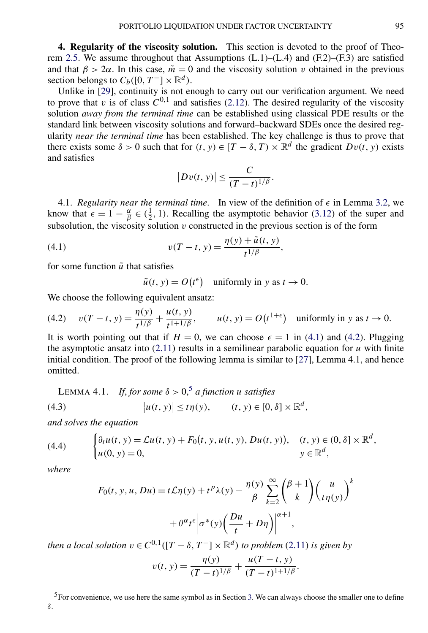<span id="page-15-0"></span>**4. Regularity of the viscosity solution.** This section is devoted to the proof of Theo-rem [2.5.](#page-9-0) We assume throughout that Assumptions  $(L.1)$ – $(L.4)$  and  $(F.2)$ – $(F.3)$  are satisfied and that  $\beta > 2\alpha$ . In this case,  $\tilde{m} = 0$  and the viscosity solution *v* obtained in the previous section belongs to  $C_b([0, T^-] \times \mathbb{R}^d)$ .

Unlike in [\[29\]](#page-43-0), continuity is not enough to carry out our verification argument. We need to prove that  $v$  is of class  $C^{0,1}$  and satisfies [\(2.12\)](#page-8-0). The desired regularity of the viscosity solution *away from the terminal time* can be established using classical PDE results or the standard link between viscosity solutions and forward–backward SDEs once the desired regularity *near the terminal time* has been established. The key challenge is thus to prove that there exists some  $\delta > 0$  such that for  $(t, y) \in [T - \delta, T) \times \mathbb{R}^d$  the gradient  $Dv(t, y)$  exists and satisfies

$$
|Dv(t, y)| \leq \frac{C}{(T-t)^{1/\beta}}.
$$

4.1. *Regularity near the terminal time.* In view of the definition of  $\epsilon$  in Lemma [3.2,](#page-12-0) we know that  $\epsilon = 1 - \frac{\alpha}{\beta} \in (\frac{1}{2}, 1)$ . Recalling the asymptotic behavior [\(3.12\)](#page-13-0) of the super and subsolution, the viscosity solution  $v$  constructed in the previous section is of the form

(4.1) 
$$
v(T - t, y) = \frac{\eta(y) + \tilde{u}(t, y)}{t^{1/\beta}},
$$

for some function  $\tilde{u}$  that satisfies

$$
\tilde{u}(t, y) = O(t^{\epsilon}) \quad \text{uniformly in } y \text{ as } t \to 0.
$$

We choose the following equivalent ansatz:

(4.2) 
$$
v(T - t, y) = \frac{\eta(y)}{t^{1/\beta}} + \frac{u(t, y)}{t^{1 + 1/\beta}}, \qquad u(t, y) = O(t^{1+\epsilon})
$$
 uniformly in y as  $t \to 0$ .

It is worth pointing out that if  $H = 0$ , we can choose  $\epsilon = 1$  in (4.1) and (4.2). Plugging the asymptotic ansatz into  $(2.11)$  results in a semilinear parabolic equation for  $u$  with finite initial condition. The proof of the following lemma is similar to [\[27\]](#page-43-0), Lemma 4.1, and hence omitted.

LEMMA 4.1. *If, for some*  $\delta > 0$ ,<sup>5</sup> *a function u satisfies* 

(4.3) 
$$
|u(t, y)| \leq t \eta(y), \qquad (t, y) \in [0, \delta] \times \mathbb{R}^d,
$$

*and solves the equation*

(4.4) 
$$
\begin{cases} \partial_t u(t, y) = \mathcal{L}u(t, y) + F_0(t, y, u(t, y), Du(t, y)), & (t, y) \in (0, \delta] \times \mathbb{R}^d, \\ u(0, y) = 0, & y \in \mathbb{R}^d, \end{cases}
$$

*where*

$$
F_0(t, y, u, Du) = t\mathcal{L}\eta(y) + t^p \lambda(y) - \frac{\eta(y)}{\beta} \sum_{k=2}^{\infty} {\binom{\beta+1}{k}} {\left(\frac{u}{t\eta(y)}\right)}^k
$$

$$
+ \theta^{\alpha} t^{\epsilon} \left|\sigma^*(y) {\left(\frac{Du}{t} + D\eta\right)}\right|^{\alpha+1},
$$

*then a local solution*  $v \in C^{0,1}([T - \delta, T^-] \times \mathbb{R}^d)$  *to problem* [\(2.11\)](#page-8-0) *is given by* 

$$
v(t, y) = \frac{\eta(y)}{(T-t)^{1/\beta}} + \frac{u(T-t, y)}{(T-t)^{1+1/\beta}}.
$$

<sup>&</sup>lt;sup>5</sup>For convenience, we use here the same symbol as in Section [3.](#page-10-0) We can always choose the smaller one to define *δ*.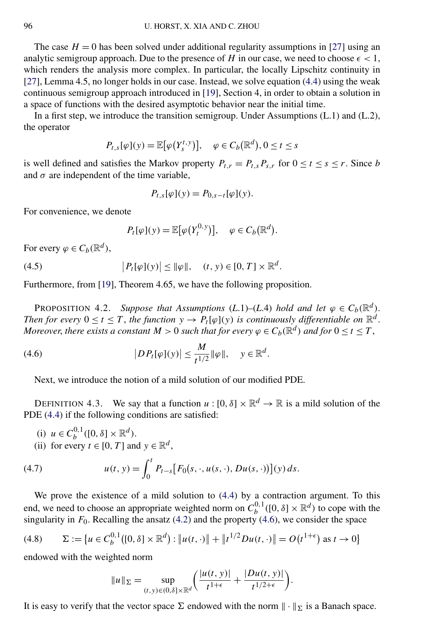<span id="page-16-0"></span>The case  $H = 0$  has been solved under additional regularity assumptions in [\[27\]](#page-43-0) using an analytic semigroup approach. Due to the presence of *H* in our case, we need to choose  $\epsilon$  < 1, which renders the analysis more complex. In particular, the locally Lipschitz continuity in [\[27\]](#page-43-0), Lemma 4.5, no longer holds in our case. Instead, we solve equation [\(4.4\)](#page-15-0) using the weak continuous semigroup approach introduced in [\[19\]](#page-42-0), Section 4, in order to obtain a solution in a space of functions with the desired asymptotic behavior near the initial time.

In a first step, we introduce the transition semigroup. Under Assumptions (L.1) and (L.2), the operator

$$
P_{t,s}[\varphi](y) = \mathbb{E}[\varphi(Y_s^{t,y})], \quad \varphi \in C_b(\mathbb{R}^d), 0 \le t \le s
$$

is well defined and satisfies the Markov property  $P_{t,r} = P_{t,s} P_{s,r}$  for  $0 \le t \le s \le r$ . Since *b* and  $\sigma$  are independent of the time variable,

$$
P_{t,s}[\varphi](y) = P_{0,s-t}[\varphi](y).
$$

For convenience, we denote

$$
P_t[\varphi](y) = \mathbb{E}[\varphi(Y_t^{0,y})], \quad \varphi \in C_b(\mathbb{R}^d).
$$

For every  $\varphi \in C_b(\mathbb{R}^d)$ ,

(4.5) 
$$
|P_t[\varphi](y)| \leq ||\varphi||, \quad (t, y) \in [0, T] \times \mathbb{R}^d.
$$

Furthermore, from [\[19\]](#page-42-0), Theorem 4.65, we have the following proposition.

PROPOSITION 4.2. *Suppose that Assumptions* (*L.1*)–(*L.4*) *hold and let*  $\varphi \in C_b(\mathbb{R}^d)$ . *Then for every*  $0 \le t \le T$ , *the function*  $y \to P_t[\varphi](y)$  *is continuously differentiable on*  $\mathbb{R}^d$ . *Moreover, there exists a constant*  $M > 0$  *such that for every*  $\varphi \in C_b(\mathbb{R}^d)$  *and for*  $0 \le t \le T$ ,

(4.6) 
$$
|DP_t[\varphi](y)| \leq \frac{M}{t^{1/2}} \|\varphi\|, \quad y \in \mathbb{R}^d.
$$

Next, we introduce the notion of a mild solution of our modified PDE.

DEFINITION 4.3. We say that a function  $u : [0, \delta] \times \mathbb{R}^d \to \mathbb{R}$  is a mild solution of the PDE [\(4.4\)](#page-15-0) if the following conditions are satisfied:

- (i)  $u \in C_b^{0,1}([0, \delta] \times \mathbb{R}^d)$ .
- (ii) for every  $t \in [0, T]$  and  $y \in \mathbb{R}^d$ ,

(4.7) 
$$
u(t, y) = \int_0^t P_{t-s}[F_0(s, \cdot, u(s, \cdot), Du(s, \cdot))] (y) ds.
$$

We prove the existence of a mild solution to [\(4.4\)](#page-15-0) by a contraction argument. To this end, we need to choose an appropriate weighted norm on  $C_b^{0,1}([0,\delta] \times \mathbb{R}^d)$  to cope with the singularity in  $F_0$ . Recalling the ansatz [\(4.2\)](#page-15-0) and the property (4.6), we consider the space

$$
(4.8) \qquad \Sigma := \{ u \in C_b^{0,1}([0,\delta] \times \mathbb{R}^d) : \| u(t,\cdot) \| + \| t^{1/2} D u(t,\cdot) \| = O(t^{1+\epsilon}) \text{ as } t \to 0 \}
$$

endowed with the weighted norm

$$
||u||_{\Sigma} = \sup_{(t,y)\in(0,\delta]\times\mathbb{R}^d} \left( \frac{|u(t,y)|}{t^{1+\epsilon}} + \frac{|Du(t,y)|}{t^{1/2+\epsilon}} \right).
$$

It is easy to verify that the vector space  $\Sigma$  endowed with the norm  $\|\cdot\|_{\Sigma}$  is a Banach space.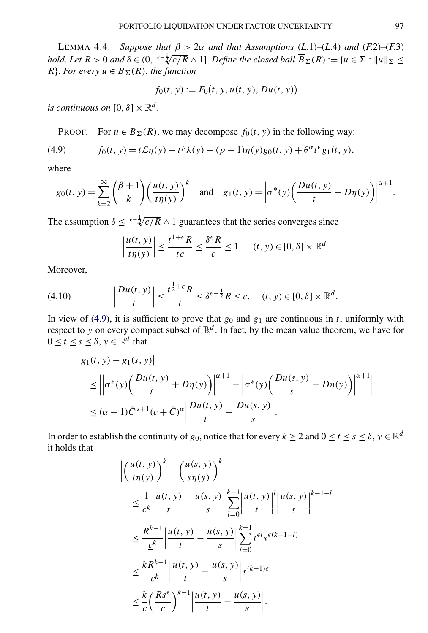<span id="page-17-0"></span>LEMMA 4.4. *Suppose that*  $β > 2α$  *and that Assumptions* (*L.1*)–(*L.4*) *and* (*F.2*)–(*F.3*) *hold.* Let  $R > 0$  and  $\delta \in (0, \frac{\epsilon - \frac{1}{2}C}{R \wedge 1}$ . *Define the closed ball*  $\overline{B}_{\Sigma}(R) := \{u \in \Sigma : ||u||_{\Sigma} \le$ *R*. *For every*  $u \in \overline{B}_{\Sigma}(R)$ , *the function* 

$$
f_0(t, y) := F_0(t, y, u(t, y), Du(t, y))
$$

*is continuous on*  $[0, \delta] \times \mathbb{R}^d$ .

PROOF. For  $u \in \overline{B}_{\Sigma}(R)$ , we may decompose  $f_0(t, y)$  in the following way:

(4.9) 
$$
f_0(t, y) = t\mathcal{L}\eta(y) + t^p \lambda(y) - (p-1)\eta(y)g_0(t, y) + \theta^{\alpha} t^{\epsilon} g_1(t, y),
$$

where

$$
g_0(t, y) = \sum_{k=2}^{\infty} {\binom{\beta+1}{k}} {\left(\frac{u(t, y)}{t\eta(y)}\right)^k} \text{ and } g_1(t, y) = \left|\sigma^*(y) {\left(\frac{Du(t, y)}{t} + D\eta(y)\right)}\right|^{\alpha+1}.
$$

The assumption  $\delta \leq \sqrt{\frac{c}{R}} \wedge 1$  guarantees that the series converges since

$$
\left|\frac{u(t, y)}{t\eta(y)}\right| \le \frac{t^{1+\epsilon} R}{t \underline{c}} \le \frac{\delta^{\epsilon} R}{\underline{c}} \le 1, \quad (t, y) \in [0, \delta] \times \mathbb{R}^d.
$$

Moreover,

$$
(4.10) \qquad \left|\frac{Du(t, y)}{t}\right| \leq \frac{t^{\frac{1}{2}+\epsilon}R}{t} \leq \delta^{\epsilon-\frac{1}{2}}R \leq \underline{c}, \quad (t, y) \in [0, \delta] \times \mathbb{R}^d.
$$

In view of (4.9), it is sufficient to prove that  $g_0$  and  $g_1$  are continuous in *t*, uniformly with respect to *y* on every compact subset of  $\mathbb{R}^d$ . In fact, by the mean value theorem, we have for  $0 \le t \le s \le \delta, y \in \mathbb{R}^d$  that

$$
\begin{aligned} \left| g_1(t, y) - g_1(s, y) \right| \\ &\leq \left| \left| \sigma^*(y) \left( \frac{Du(t, y)}{t} + D\eta(y) \right) \right|^{\alpha+1} - \left| \sigma^*(y) \left( \frac{Du(s, y)}{s} + D\eta(y) \right) \right|^{\alpha+1} \right| \\ &\leq (\alpha+1)\bar{C}^{\alpha+1}(\underline{c} + \bar{C})^{\alpha} \left| \frac{Du(t, y)}{t} - \frac{Du(s, y)}{s} \right| . \end{aligned}
$$

In order to establish the continuity of *g*<sub>0</sub>, notice that for every  $k \ge 2$  and  $0 \le t \le s \le \delta$ ,  $y \in \mathbb{R}^d$ it holds that

$$
\begin{split}\n&\left|\left(\frac{u(t, y)}{t\eta(y)}\right)^k - \left(\frac{u(s, y)}{s\eta(y)}\right)^k\right| \\
&\leq \frac{1}{\underline{c}^k} \left|\frac{u(t, y)}{t} - \frac{u(s, y)}{s}\right| \sum_{l=0}^{k-1} \left|\frac{u(t, y)}{t}\right|^l \left|\frac{u(s, y)}{s}\right|^{k-1-l} \\
&\leq \frac{R^{k-1}}{\underline{c}^k} \left|\frac{u(t, y)}{t} - \frac{u(s, y)}{s}\right| \sum_{l=0}^{k-1} t^{\epsilon l} s^{\epsilon(k-1-l)} \\
&\leq \frac{kR^{k-1}}{\underline{c}^k} \left|\frac{u(t, y)}{t} - \frac{u(s, y)}{s}\right| s^{(k-1)\epsilon} \\
&\leq \frac{k}{\underline{c}} \left(\frac{Rs^{\epsilon}}{\underline{c}}\right)^{k-1} \left|\frac{u(t, y)}{t} - \frac{u(s, y)}{s}\right|. \n\end{split}
$$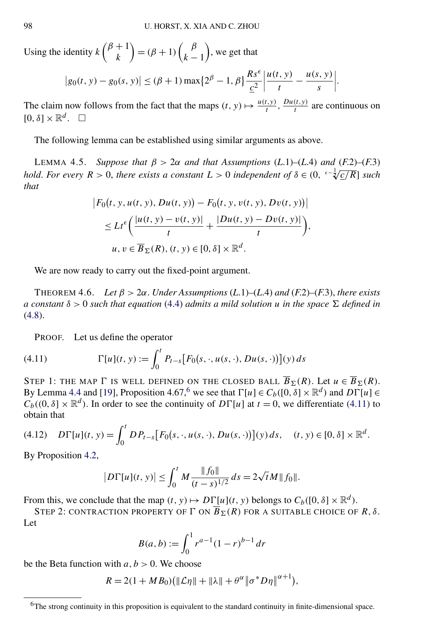<span id="page-18-0"></span>Using the identity  $k \binom{\beta + 1}{k}$ *k*  $= (\beta + 1) \int_{\alpha}^{\beta} \beta$ *k* − 1 , we get that

$$
|g_0(t, y) - g_0(s, y)| \le (\beta + 1) \max\{2^{\beta} - 1, \beta\} \frac{Rs^{\epsilon}}{\underline{c}^2} \left| \frac{u(t, y)}{t} - \frac{u(s, y)}{s} \right|.
$$

The claim now follows from the fact that the maps  $(t, y) \mapsto \frac{u(t, y)}{t}, \frac{Du(t, y)}{t}$  are continuous on  $[0,\delta] \times \mathbb{R}^d$ .  $\square$ 

The following lemma can be established using similar arguments as above.

LEMMA 4.5. *Suppose that*  $β > 2α$  *and that Assumptions* (*L.*1)–(*L.*4) *and* (*F.2*)–(*F.3*) *hold. For every*  $R > 0$ , *there exists a constant*  $L > 0$  *independent of*  $\delta \in (0, \sqrt{\frac{c}{2}})$ , *colorally R*) *such that*

$$
\begin{aligned} \left| F_0(t, y, u(t, y), Du(t, y)) - F_0(t, y, v(t, y), Dv(t, y)) \right| \\ &\leq L t^{\epsilon} \bigg( \frac{|u(t, y) - v(t, y)|}{t} + \frac{|Du(t, y) - Dv(t, y)|}{t} \bigg), \\ u, v \in \overline{B}_{\Sigma}(R), (t, y) \in [0, \delta] \times \mathbb{R}^d. \end{aligned}
$$

We are now ready to carry out the fixed-point argument.

THEOREM 4.6. *Let*  $\beta > 2\alpha$ . *Under Assumptions* (*L.*1)–(*L.4*) *and* (*F.2*)–(*F.3*), *there exists a* constant  $\delta > 0$  such that equation [\(4.4\)](#page-15-0) admits a mild solution *u* in the space  $\Sigma$  defined in [\(4.8\)](#page-16-0).

PROOF. Let us define the operator

(4.11) 
$$
\Gamma[u](t, y) := \int_0^t P_{t-s}[F_0(s, \cdot, u(s, \cdot), Du(s, \cdot))](y) ds
$$

STEP 1: THE MAP  $\Gamma$  is well defined on the closed ball  $\overline{B}_{\Sigma}(R)$ . Let  $u \in \overline{B}_{\Sigma}(R)$ . By Lemma [4.4](#page-17-0) and [\[19\]](#page-42-0), Proposition 4.67,<sup>6</sup> we see that  $\Gamma[u] \in C_b([0, \delta] \times \mathbb{R}^d)$  and  $D\Gamma[u] \in$  $C_b((0, \delta] \times \mathbb{R}^d)$ . In order to see the continuity of  $D\Gamma[u]$  at  $t = 0$ , we differentiate (4.11) to obtain that

$$
(4.12) \quad D\Gamma[u](t, y) = \int_0^t D P_{t-s}[F_0(s, \cdot, u(s, \cdot), Du(s, \cdot))](y) \, ds, \quad (t, y) \in [0, \delta] \times \mathbb{R}^d.
$$

By Proposition [4.2,](#page-16-0)

$$
|D\Gamma[u](t, y)| \le \int_0^t M \frac{\|f_0\|}{(t - s)^{1/2}} ds = 2\sqrt{t}M \|f_0\|.
$$

From this, we conclude that the map  $(t, y) \mapsto D\Gamma[u](t, y)$  belongs to  $C_b([0, \delta] \times \mathbb{R}^d)$ .

STEP 2: CONTRACTION PROPERTY OF  $\Gamma$  ON  $\overline{B}_{\Sigma}(R)$  FOR A SUITABLE CHOICE OF  $R, \delta$ . Let

$$
B(a, b) := \int_0^1 r^{a-1} (1 - r)^{b-1} \, dr
$$

be the Beta function with  $a, b > 0$ . We choose

$$
R = 2(1 + MB_0) (\| \mathcal{L} \eta \| + \| \lambda \| + \theta^{\alpha} \| \sigma^* D \eta \|^{1})
$$

<sup>6</sup>The strong continuity in this proposition is equivalent to the standard continuity in finite-dimensional space.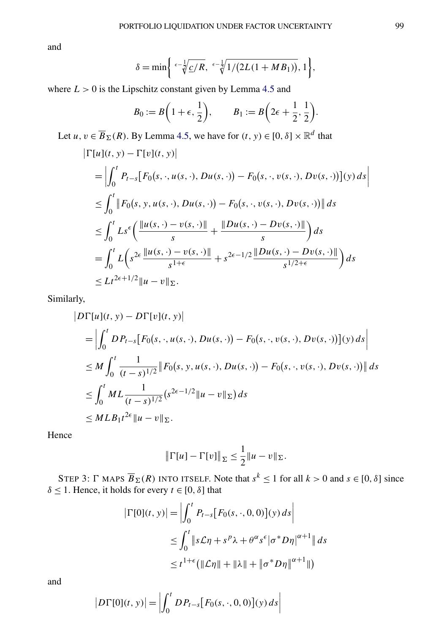and

$$
\delta = \min \left\{ \sqrt[\epsilon - \frac{1}{\sqrt[4]{\frac{c}{R}}}, \sqrt[\epsilon - \frac{1}{\sqrt[4]{1/(2L(1+MB_1))}}, 1 \right\},\
$$

where  $L > 0$  is the Lipschitz constant given by Lemma [4.5](#page-18-0) and

$$
B_0 := B\left(1+\epsilon,\frac{1}{2}\right), \qquad B_1 := B\left(2\epsilon+\frac{1}{2},\frac{1}{2}\right).
$$

Let *u*,  $v \in \overline{B}_{\Sigma}(R)$ . By Lemma [4.5,](#page-18-0) we have for  $(t, y) \in [0, \delta] \times \mathbb{R}^d$  that

$$
\begin{aligned}\n|\Gamma[u](t, y) - \Gamma[v](t, y)| \\
&= \left| \int_0^t P_{t-s} [F_0(s, \cdot, u(s, \cdot), Du(s, \cdot)) - F_0(s, \cdot, v(s, \cdot), Du(s, \cdot))](y) \, ds \right| \\
&\leq \int_0^t \|F_0(s, y, u(s, \cdot), Du(s, \cdot)) - F_0(s, \cdot, v(s, \cdot), Du(s, \cdot))\| \, ds \\
&\leq \int_0^t Ls^{\epsilon} \bigg( \frac{\|u(s, \cdot) - v(s, \cdot)\|}{s} + \frac{\|Du(s, \cdot) - Du(s, \cdot)\|}{s} \bigg) \, ds \\
&= \int_0^t L \bigg( s^{2\epsilon} \frac{\|u(s, \cdot) - v(s, \cdot)\|}{s^{1+\epsilon}} + s^{2\epsilon - 1/2} \frac{\|Du(s, \cdot) - Du(s, \cdot)\|}{s^{1/2+\epsilon}} \bigg) \, ds \\
&\leq Lt^{2\epsilon + 1/2} \|u - v\|_{\Sigma}.\n\end{aligned}
$$

Similarly,

$$
|D\Gamma[u](t, y) - D\Gamma[v](t, y)|
$$
  
=  $\left| \int_0^t DP_{t-s}[F_0(s, \cdot, u(s, \cdot), Du(s, \cdot)) - F_0(s, \cdot, v(s, \cdot), Dv(s, \cdot))](y) ds \right|$   
 $\leq M \int_0^t \frac{1}{(t-s)^{1/2}} \|F_0(s, y, u(s, \cdot), Du(s, \cdot)) - F_0(s, \cdot, v(s, \cdot), Dv(s, \cdot))\| ds$   
 $\leq \int_0^t ML \frac{1}{(t-s)^{1/2}} (s^{2\epsilon - 1/2} \|u - v\|_{\Sigma}) ds$   
 $\leq MLB_1 t^{2\epsilon} \|u - v\|_{\Sigma}.$ 

Hence

$$
\|\Gamma[u] - \Gamma[v]\|_{\Sigma} \le \frac{1}{2} \|u - v\|_{\Sigma}.
$$

STEP 3:  $\Gamma$  MAPS  $\overline{B}_{\Sigma}(R)$  INTO ITSELF. Note that  $s^k \leq 1$  for all  $k > 0$  and  $s \in [0, \delta]$  since *δ* ≤ 1. Hence, it holds for every *t* ∈ [0, *δ*] that

$$
|\Gamma[0](t, y)| = \left| \int_0^t P_{t-s} [F_0(s, \cdot, 0, 0)](y) ds \right|
$$
  
\n
$$
\leq \int_0^t \|s\mathcal{L}\eta + s^p\lambda + \theta^\alpha s^\epsilon |\sigma^* D\eta|^{\alpha+1} \| ds
$$
  
\n
$$
\leq t^{1+\epsilon} (\|\mathcal{L}\eta\| + \|\lambda\| + \|\sigma^* D\eta\|^{\alpha+1} \|)
$$

 $\overline{\phantom{a}}$  $\overline{\phantom{a}}$  $\overline{\phantom{a}}$  $\overline{1}$ 

and

 $\overline{\phantom{a}}$ 

$$
|D\Gamma[0](t, y)| = \left| \int_0^t D P_{t-s} [F_0(s, \cdot, 0, 0)](y) ds \right|
$$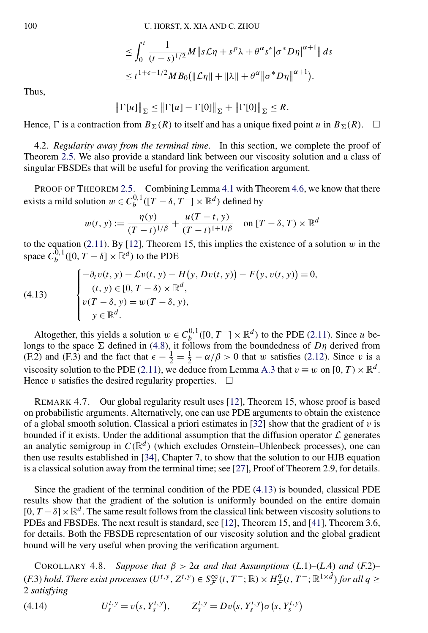$$
\leq \int_0^t \frac{1}{(t-s)^{1/2}} M \|s\mathcal{L}\eta + s^p \lambda + \theta^\alpha s^\epsilon |\sigma^* D\eta|^{\alpha+1} \| ds
$$
  

$$
\leq t^{1+\epsilon-1/2} M B_0 (\|\mathcal{L}\eta\| + \|\lambda\| + \theta^\alpha \|\sigma^* D\eta\|^{\alpha+1}).
$$

<span id="page-20-0"></span>Thus,

$$
\|\Gamma[u]\|_{\Sigma} \le \|\Gamma[u] - \Gamma[0]\|_{\Sigma} + \|\Gamma[0]\|_{\Sigma} \le R.
$$

Hence,  $\Gamma$  is a contraction from  $\overline{B}_{\Sigma}(R)$  to itself and has a unique fixed point *u* in  $\overline{B}_{\Sigma}(R)$ .

4.2. *Regularity away from the terminal time*. In this section, we complete the proof of Theorem [2.5.](#page-9-0) We also provide a standard link between our viscosity solution and a class of singular FBSDEs that will be useful for proving the verification argument.

PROOF OF THEOREM [2.5.](#page-9-0) Combining Lemma [4.1](#page-15-0) with Theorem [4.6,](#page-18-0) we know that there exists a mild solution  $w \in C_b^{0,1}([T - \delta, T^-] \times \mathbb{R}^d)$  defined by

$$
w(t, y) := \frac{\eta(y)}{(T - t)^{1/\beta}} + \frac{u(T - t, y)}{(T - t)^{1 + 1/\beta}} \quad \text{on } [T - \delta, T) \times \mathbb{R}^d
$$

to the equation [\(2.11\)](#page-8-0). By [\[12\]](#page-42-0), Theorem 15, this implies the existence of a solution *w* in the space  $C_b^{0,1}([0, T - \delta] \times \mathbb{R}^d)$  to the PDE

$$
(4.13)
$$

$$
\begin{cases}\n-\partial_t v(t, y) - \mathcal{L}v(t, y) - H(y, Dv(t, y)) - F(y, v(t, y)) = 0, \\
(t, y) \in [0, T - \delta) \times \mathbb{R}^d, \\
v(T - \delta, y) = w(T - \delta, y), \\
y \in \mathbb{R}^d.\n\end{cases}
$$

Altogether, this yields a solution  $w \in C_b^{0,1}([0, T^-] \times \mathbb{R}^d)$  to the PDE [\(2.11\)](#page-8-0). Since *u* belongs to the space  $\Sigma$  defined in [\(4.8\)](#page-16-0), it follows from the boundedness of  $D\eta$  derived from (F.2) and (F.3) and the fact that  $\epsilon - \frac{1}{2} = \frac{1}{2} - \alpha/\beta > 0$  that *w* satisfies [\(2.12\)](#page-8-0). Since *v* is a viscosity solution to the PDE [\(2.11\)](#page-8-0), we deduce from Lemma [A.3](#page-36-0) that  $v \equiv w$  on [0, T)  $\times \mathbb{R}^d$ . Hence  $v$  satisfies the desired regularity properties.  $\Box$ 

REMARK 4.7. Our global regularity result uses [\[12\]](#page-42-0), Theorem 15, whose proof is based on probabilistic arguments. Alternatively, one can use PDE arguments to obtain the existence of a global smooth solution. Classical a priori estimates in [\[32\]](#page-43-0) show that the gradient of *v* is bounded if it exists. Under the additional assumption that the diffusion operator  $\mathcal L$  generates an analytic semigroup in  $C(\mathbb{R}^d)$  (which excludes Ornstein–Uhlenbeck processes), one can then use results established in [\[34\]](#page-43-0), Chapter 7, to show that the solution to our HJB equation is a classical solution away from the terminal time; see [\[27\]](#page-43-0), Proof of Theorem 2.9, for details.

Since the gradient of the terminal condition of the PDE (4.13) is bounded, classical PDE results show that the gradient of the solution is uniformly bounded on the entire domain  $[0, T - \delta] \times \mathbb{R}^d$ . The same result follows from the classical link between viscosity solutions to PDEs and FBSDEs. The next result is standard, see [\[12\]](#page-42-0), Theorem 15, and [\[41\]](#page-43-0), Theorem 3.6, for details. Both the FBSDE representation of our viscosity solution and the global gradient bound will be very useful when proving the verification argument.

COROLLARY 4.8. *Suppose that*  $\beta > 2\alpha$  *and that Assumptions* (*L.*1)–(*L.4*) *and* (*F.2*)–  $(F.3)$  *hold. There exist processes*  $(U<sup>t,y</sup>, Z<sup>t,y</sup>) ∈ S<sup>∞</sup><sub>F</sub>(t, T<sup>−</sup>; ℝ) × H<sup>q</sup><sub>F</sub>(t, T<sup>−</sup>; ℝ<sup>1×</sup><sup>d</sup>)$  *for all*  $q ≥$ 2 *satisfying*

(4.14)  $U_s^{t,y} = v(s, Y_s^{t,y}), \qquad Z_s^{t,y} = Dv(s, Y_s^{t,y})\sigma(s, Y_s^{t,y})$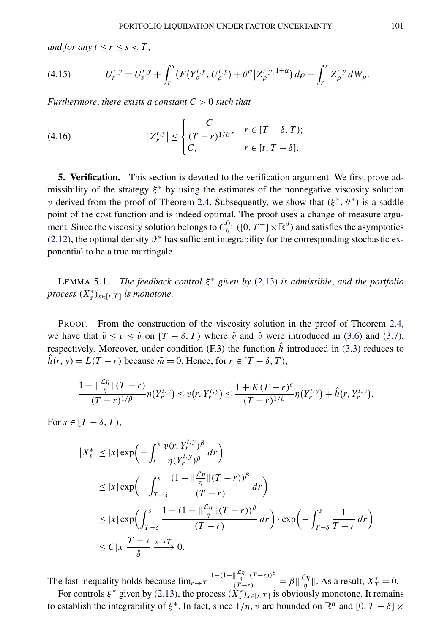<span id="page-21-0"></span>*and for any*  $t \leq r \leq s < T$ ,

(4.15) 
$$
U_r^{t,y} = U_s^{t,y} + \int_r^s (F(Y_\rho^{t,y}, U_\rho^{t,y}) + \theta^\alpha |Z_\rho^{t,y}|^{1+\alpha}) d\rho - \int_r^s Z_\rho^{t,y} dW_\rho.
$$

*Furthermore*, *there exists a constant C >* 0 *such that*

(4.16) 
$$
|Z_r^{t,y}| \leq \begin{cases} \frac{C}{(T-r)^{1/\beta}}, & r \in [T-\delta, T); \\ C, & r \in [t, T-\delta]. \end{cases}
$$

**5. Verification.** This section is devoted to the verification argument. We first prove admissibility of the strategy  $\xi^*$  by using the estimates of the nonnegative viscosity solution *v* derived from the proof of Theorem [2.4.](#page-8-0) Subsequently, we show that  $(\xi^*, \vartheta^*)$  is a saddle point of the cost function and is indeed optimal. The proof uses a change of measure argument. Since the viscosity solution belongs to  $C_b^{0,1}([0,T^-] \times \mathbb{R}^d)$  and satisfies the asymptotics [\(2.12\)](#page-8-0), the optimal density  $\vartheta^*$  has sufficient integrability for the corresponding stochastic exponential to be a true martingale.

LEMMA 5.1. *The feedback control ξ* <sup>∗</sup> *given by* [\(2.13\)](#page-9-0) *is admissible*, *and the portfolio process*  $(X_s^*)_{s \in [t,T]}$  *is monotone.* 

PROOF. From the construction of the viscosity solution in the proof of Theorem [2.4,](#page-8-0) we have that  $\check{v} \le v \le \hat{v}$  on  $[T - \delta, T)$  where  $\check{v}$  and  $\hat{v}$  were introduced in [\(3.6\)](#page-12-0) and [\(3.7\)](#page-12-0), respectively. Moreover, under condition (F.3) the function  $\hat{h}$  introduced in [\(3.3\)](#page-11-0) reduces to  $\hat{h}(r, y) = L(T - r)$  because  $\tilde{m} = 0$ . Hence, for  $r \in [T - \delta, T)$ ,

$$
\frac{1 - \|\frac{\mathcal{L}\eta}{\eta}\|(T - r)}{(T - r)^{1/\beta}} \eta(Y_r^{t, y}) \le v(r, Y_r^{t, y}) \le \frac{1 + K(T - r)^{\epsilon}}{(T - r)^{1/\beta}} \eta(Y_r^{t, y}) + \hat{h}(r, Y_r^{t, y}).
$$

For  $s \in [T - \delta, T)$ ,

$$
\begin{split} \left| X_{s}^{*} \right| &\leq \left| x \right| \exp \left( - \int_{t}^{s} \frac{\upsilon(r, Y_{r}^{t, y})^{\beta}}{\eta(Y_{r}^{t, y})^{\beta}} \, dr \right) \\ &\leq \left| x \right| \exp \left( - \int_{T-\delta}^{s} \frac{(1 - \left| \frac{\mathcal{L}\eta}{\eta} \right| (T - r))^{\beta}}{(T - r)} \, dr \right) \\ &\leq \left| x \right| \exp \left( \int_{T-\delta}^{s} \frac{1 - (1 - \left| \frac{\mathcal{L}\eta}{\eta} \right| (T - r))^{\beta}}{(T - r)} \, dr \right) \cdot \exp \left( - \int_{T-\delta}^{s} \frac{1}{T - r} \, dr \right) \\ &\leq C \left| x \right| \frac{T - s}{\delta} \xrightarrow{s \to T} 0. \end{split}
$$

The last inequality holds because  $\lim_{r\to T}$  $\frac{1-(1-\|\frac{\mathcal{L}\eta}{\eta}\|(T-r))^{\beta}}{(T-r)} = \beta \|\frac{\mathcal{L}\eta}{\eta}\|$ . As a result,  $X_T^* = 0$ .

For controls  $\xi^*$  given by [\(2.13\)](#page-9-0), the process  $(X_s^*)_{s \in [t,T]}$  is obviously monotone. It remains to establish the integrability of  $\xi^*$ . In fact, since  $1/\eta$ , *v* are bounded on  $\mathbb{R}^d$  and  $[0, T - \delta] \times$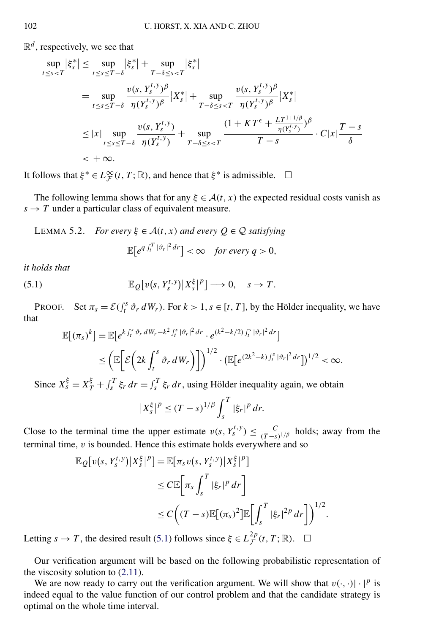<span id="page-22-0"></span> $\mathbb{R}^d$ , respectively, we see that

$$
\sup_{t \le s < T} |\xi_s^*| \le \sup_{t \le s \le T - \delta} |\xi_s^*| + \sup_{T - \delta \le s < T} |\xi_s^*|
$$
\n
$$
= \sup_{t \le s \le T - \delta} \frac{\nu(s, Y_s^{t, y})^\beta}{\eta(Y_s^{t, y})^\beta} |X_s^*| + \sup_{T - \delta \le s < T} \frac{\nu(s, Y_s^{t, y})^\beta}{\eta(Y_s^{t, y})^\beta} |X_s^*|
$$
\n
$$
\le |x| \sup_{t \le s \le T - \delta} \frac{\nu(s, Y_s^{t, y})}{\eta(Y_s^{t, y})} + \sup_{T - \delta \le s < T} \frac{(1 + K T^\epsilon + \frac{L T^{1 + 1/\beta}}{\eta(Y_s^{t, y})})^\beta}{T - s} \cdot C |x| \frac{T - s}{\delta}
$$
\n
$$
= + \infty.
$$

It follows that  $\xi^* \in L^{\infty}_{\mathcal{F}}(t,T;\mathbb{R})$ , and hence that  $\xi^*$  is admissible.  $\Box$ 

The following lemma shows that for any  $\xi \in \mathcal{A}(t, x)$  the expected residual costs vanish as  $s \rightarrow T$  under a particular class of equivalent measure.

LEMMA 5.2. For every 
$$
\xi \in A(t, x)
$$
 and every  $Q \in Q$  satisfying  

$$
\mathbb{E}[e^{q \int_t^T |\vartheta_r|^2 dr}] < \infty \text{ for every } q > 0,
$$

*it holds that*

(5.1) 
$$
\mathbb{E}_{Q}[v(s,Y_s^{t,y})|X_s^{\xi}|^p] \longrightarrow 0, \quad s \to T.
$$

PROOF. Set  $\pi_s = \mathcal{E}(\int_t^s \vartheta_r dW_r)$ . For  $k > 1$ ,  $s \in [t, T]$ , by the Hölder inequality, we have that

$$
\mathbb{E}[(\pi_s)^k] = \mathbb{E}[e^{k \int_t^s \vartheta_r dW_r - k^2 \int_t^s |\vartheta_r|^2 dr} \cdot e^{(k^2 - k/2) \int_t^s |\vartheta_r|^2 dr}]
$$
  
\n
$$
\leq \left( \mathbb{E}\bigg[\mathcal{E}\bigg(2k \int_t^s \vartheta_r dW_r\bigg)\bigg]\right)^{1/2} \cdot \left( \mathbb{E}[e^{(2k^2 - k) \int_t^s |\vartheta_r|^2 dr}]\right)^{1/2} < \infty.
$$

Since  $X_s^{\xi} = X_T^{\xi} + \int_s^T \xi_r dr = \int_s^T \xi_r dr$ , using Hölder inequality again, we obtain

$$
|X_s^{\xi}|^p \le (T-s)^{1/\beta} \int_s^T |\xi_r|^p dr.
$$

Close to the terminal time the upper estimate  $v(s, Y_s^{t,y}) \leq \frac{C}{(T-s)^{1/\beta}}$  holds; away from the terminal time, *v* is bounded. Hence this estimate holds everywhere and so

$$
\mathbb{E}_{Q}[v(s, Y_s^{t,y})|X_s^{\xi}|^{p}] = \mathbb{E}[\pi_s v(s, Y_s^{t,y})|X_s^{\xi}|^{p}]
$$
  
\n
$$
\leq C \mathbb{E}[\pi_s \int_s^T |\xi_r|^{p} dr]
$$
  
\n
$$
\leq C \Big((T-s) \mathbb{E}[(\pi_s)^2] \mathbb{E}[\int_s^T |\xi_r|^{2p} dr]\Big)^{1/2}.
$$

Letting  $s \to T$ , the desired result (5.1) follows since  $\xi \in L_{\mathcal{F}}^{2p}(t, T; \mathbb{R})$ .  $\Box$ 

Our verification argument will be based on the following probabilistic representation of the viscosity solution to [\(2.11\)](#page-8-0).

We are now ready to carry out the verification argument. We will show that  $v(\cdot, \cdot) | \cdot |^p$  is indeed equal to the value function of our control problem and that the candidate strategy is optimal on the whole time interval.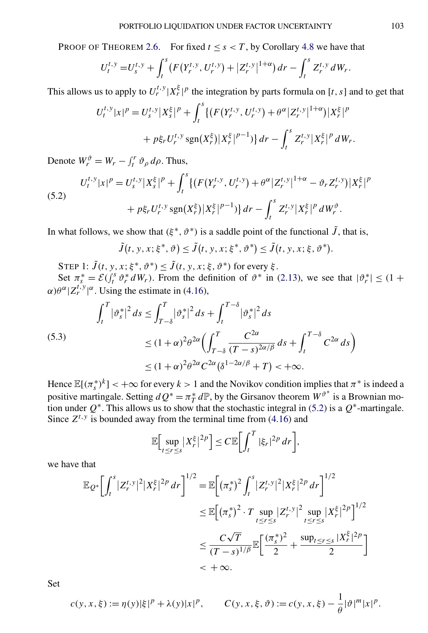PROOF OF THEOREM [2.6.](#page-9-0) For fixed  $t \leq s < T$ , by Corollary [4.8](#page-20-0) we have that

$$
U_t^{t,y} = U_s^{t,y} + \int_t^s \left( F(Y_r^{t,y}, U_r^{t,y}) + |Z_r^{t,y}|^{1+\alpha} \right) dr - \int_t^s Z_r^{t,y} dW_r.
$$

This allows us to apply to  $U_r^{t,y} | X_r^{\xi} |^p$  the integration by parts formula on [*t*, *s*] and to get that

$$
U_t^{t,y}|x|^p = U_s^{t,y}|X_s^{\xi}|^p + \int_t^s \{ (F(Y_r^{t,y}, U_r^{t,y}) + \theta^{\alpha} |Z_r^{t,y}|^{1+\alpha}) |X_r^{\xi}|^p + p\xi_r U_r^{t,y} \operatorname{sgn}(X_r^{\xi}) |X_r^{\xi}|^{p-1} \} dr - \int_t^s Z_r^{t,y} |X_r^{\xi}|^p dW_r.
$$

Denote  $W_r^{\vartheta} = W_r - \int_t^r \vartheta_\rho \, d\rho$ . Thus,

(5.2)  

$$
U_t^{t,y}|x|^p = U_s^{t,y}|X_s^{\xi}|^p + \int_t^s \{ (F(Y_r^{t,y}, U_r^{t,y}) + \theta^{\alpha} |Z_r^{t,y}|^{1+\alpha} - \vartheta_r Z_r^{t,y}) |X_r^{\xi}|^p + p\xi_r U_r^{t,y} \operatorname{sgn}(X_r^{\xi}) |X_r^{\xi}|^{p-1} \} dr - \int_t^s Z_r^{t,y} |X_r^{\xi}|^p dW_r^{\vartheta}.
$$

In what follows, we show that  $(\xi^*, \vartheta^*)$  is a saddle point of the functional  $\tilde{J}$ , that is,

$$
\tilde{J}(t, y, x; \xi^*, \vartheta) \le \tilde{J}(t, y, x; \xi^*, \vartheta^*) \le \tilde{J}(t, y, x; \xi, \vartheta^*).
$$

STEP 1:  $\tilde{J}(t, y, x; \xi^*, \vartheta^*) \leq \tilde{J}(t, y, x; \xi, \vartheta^*)$  for every  $\xi$ .

Set  $\pi_s^* = \mathcal{E}(\int_t^s \vartheta_r^* dW_r)$ . From the definition of  $\vartheta^*$  in [\(2.13\)](#page-9-0), we see that  $|\vartheta_r^*| \leq (1 +$  $\alpha$ ) $\theta^{\alpha}$ | $Z_r^{t,y}$ | $\alpha$ . Using the estimate in [\(4.16\)](#page-21-0),

$$
\int_{t}^{T} |\vartheta_{s}^{*}|^{2} ds \le \int_{T-\delta}^{T} |\vartheta_{s}^{*}|^{2} ds + \int_{t}^{T-\delta} |\vartheta_{s}^{*}|^{2} ds
$$
\n
$$
\le (1+\alpha)^{2} \theta^{2\alpha} \Biggl( \int_{T-\delta}^{T} \frac{C^{2\alpha}}{(T-s)^{2\alpha/\beta}} ds + \int_{t}^{T-\delta} C^{2\alpha} ds \Biggr)
$$
\n
$$
\le (1+\alpha)^{2} \theta^{2\alpha} C^{2\alpha} (\delta^{1-2\alpha/\beta} + T) < +\infty.
$$

Hence  $\mathbb{E}[(\pi_s^*)^k] < +\infty$  for every  $k > 1$  and the Novikov condition implies that  $\pi^*$  is indeed a positive martingale. Setting  $dQ^* = \pi^*_T d\mathbb{P}$ , by the Girsanov theorem  $W^{\vartheta^*}$  is a Brownian motion under  $Q^*$ . This allows us to show that the stochastic integral in (5.2) is a  $Q^*$ -martingale. Since  $Z^{t,y}$  is bounded away from the terminal time from  $(4.16)$  and

$$
\mathbb{E}\Big[\sup_{t\leq r\leq s}|X_r^{\xi}|^{2p}\Big]\leq C\mathbb{E}\Big[\int_t^T|\xi_r|^{2p}\,dr\Big],
$$

we have that

$$
\mathbb{E}_{Q^*} \bigg[ \int_t^s |Z_r^{t,y}|^2 |X_r^{\xi}|^{2p} dr \bigg]^{1/2} = \mathbb{E} \bigg[ (\pi_s^*)^2 \int_t^s |Z_r^{t,y}|^2 |X_r^{\xi}|^{2p} dr \bigg]^{1/2}
$$
  
\n
$$
\leq \mathbb{E} \bigg[ (\pi_s^*)^2 \cdot T \sup_{t \leq r \leq s} |Z_r^{t,y}|^2 \sup_{t \leq r \leq s} |X_r^{\xi}|^{2p} \bigg]^{1/2}
$$
  
\n
$$
\leq \frac{C\sqrt{T}}{(T-s)^{1/\beta}} \mathbb{E} \bigg[ \frac{(\pi_s^*)^2}{2} + \frac{\sup_{t \leq r \leq s} |X_r^{\xi}|^{2p}}{2} \bigg]
$$
  
\n
$$
< + \infty.
$$

Set

$$
c(y, x, \xi) := \eta(y)|\xi|^p + \lambda(y)|x|^p, \qquad C(y, x, \xi, \vartheta) := c(y, x, \xi) - \frac{1}{\theta}|\vartheta|^m |x|^p.
$$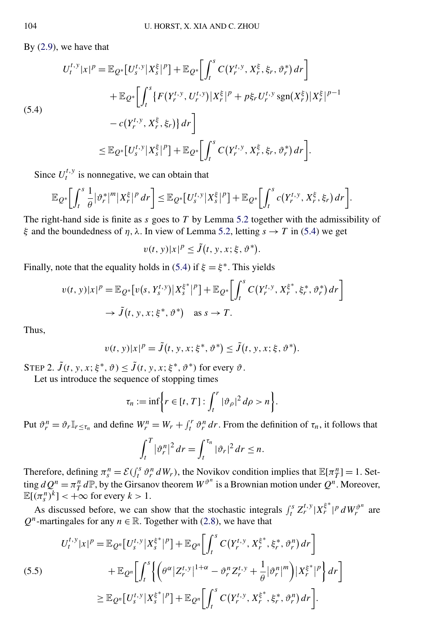By [\(2.9\)](#page-8-0), we have that

$$
U_t^{t,y}|x|^p = \mathbb{E}_{Q^*}[U_s^{t,y}|X_s^{\xi}|^p] + \mathbb{E}_{Q^*}\bigg[\int_t^s C(Y_r^{t,y}, X_r^{\xi}, \xi_r, \vartheta_r^*) dr\bigg] + \mathbb{E}_{Q^*}\bigg[\int_t^s \{F(Y_r^{t,y}, U_r^{t,y})|X_r^{\xi}|^p + p\xi_r U_r^{t,y} \operatorname{sgn}(X_r^{\xi})|X_r^{\xi}|^{p-1} - c(Y_r^{t,y}, X_r^{\xi}, \xi_r)\} dr\bigg] \leq \mathbb{E}_{Q^*}[U_s^{t,y}|X_s^{\xi}|^p] + \mathbb{E}_{Q^*}\bigg[\int_t^s C(Y_r^{t,y}, X_r^{\xi}, \xi_r, \vartheta_r^*) dr\bigg].
$$

Since  $U_t^{t,y}$  is nonnegative, we can obtain that

$$
\mathbb{E}_{Q^*}\bigg[\int_t^s \frac{1}{\theta}|\vartheta_r^{*}|^m|X_r^{\xi}|^p dr\bigg] \leq \mathbb{E}_{Q^*}\big[U_s^{t,y}|X_s^{\xi}|^p\big] + \mathbb{E}_{Q^*}\bigg[\int_t^s c(Y_r^{t,y},X_r^{\xi},\xi_r) dr\bigg].
$$

The right-hand side is finite as *s* goes to *T* by Lemma [5.2](#page-22-0) together with the admissibility of *ξ* and the boundedness of *η,λ*. In view of Lemma [5.2,](#page-22-0) letting *s* → *T* in (5.4) we get

$$
v(t, y)|x|^p \le \tilde{J}(t, y, x; \xi, \vartheta^*).
$$

Finally, note that the equality holds in (5.4) if  $\xi = \xi^*$ . This yields

$$
v(t, y)|x|^p = \mathbb{E}_{Q^*}[v(s, Y_s^{t, y})|X_s^{\xi^*}|^p] + \mathbb{E}_{Q^*}\bigg[\int_t^s C(Y_r^{t, y}, X_r^{\xi^*}, \xi_r^*, \vartheta_r^*) dr\bigg]
$$
  

$$
\rightarrow \tilde{J}(t, y, x; \xi^*, \vartheta^*) \quad \text{as } s \rightarrow T.
$$

Thus,

$$
v(t, y)|x|^p = \tilde{J}(t, y, x; \xi^*, \vartheta^*) \le \tilde{J}(t, y, x; \xi, \vartheta^*).
$$

STEP 2.  $\tilde{J}(t, y, x; \xi^*, \vartheta) \leq \tilde{J}(t, y, x; \xi^*, \vartheta^*)$  for every  $\vartheta$ .

Let us introduce the sequence of stopping times

$$
\tau_n := \inf \biggl\{ r \in [t, T] : \int_t^r |\vartheta_\rho|^2 d\rho > n \biggr\}.
$$

Put  $\vartheta_r^n = \vartheta_r \mathbb{I}_{r \leq \tau_n}$  and define  $W_r^n = W_r + \int_t^r \vartheta_r^n dr$ . From the definition of  $\tau_n$ , it follows that

$$
\int_t^T |\vartheta_r^n|^2 dr = \int_t^{\tau_n} |\vartheta_r|^2 dr \leq n.
$$

Therefore, defining  $\pi_s^n = \mathcal{E}(\int_t^s \vartheta_r^n dW_r)$ , the Novikov condition implies that  $\mathbb{E}[\pi_T^n] = 1$ . Setting  $dQ^n = \pi^n T dP$ , by the Girsanov theorem  $W^{\vartheta^n}$  is a Brownian motion under  $Q^n$ . Moreover,  $\mathbb{E}[(\pi_s^n)^k] < +\infty$  for every  $k > 1$ .

As discussed before, we can show that the stochastic integrals  $\int_t^s Z_r^{t,y} |X_r^{i*}|^p dW_r^{i^n}$  are *Q<sup>n</sup>*-martingales for any  $n \in \mathbb{R}$ . Together with [\(2.8\)](#page-7-0), we have that

$$
U_{t}^{t,y}|x|^{p} = \mathbb{E}_{Q^{n}}[U_{s}^{t,y}|X_{s}^{\xi^{*}}|^{p}] + \mathbb{E}_{Q^{n}}\bigg[\int_{t}^{s} C(Y_{r}^{t,y}, X_{r}^{\xi^{*}}, \xi_{r}^{*}, \vartheta_{r}^{n}) dr\bigg] + \mathbb{E}_{Q^{n}}\bigg[\int_{t}^{s}\bigg\{ \bigg(\theta^{\alpha}|Z_{r}^{t,y}|^{1+\alpha} - \vartheta_{r}^{n}Z_{r}^{t,y} + \frac{1}{\theta}|\vartheta_{r}^{n}|^{m}\bigg)|X_{r}^{\xi^{*}}|^{p}\bigg\} dr\bigg] \geq \mathbb{E}_{Q^{n}}[U_{s}^{t,y}|X_{s}^{\xi^{*}}|^{p}] + \mathbb{E}_{Q^{n}}\bigg[\int_{t}^{s} C(Y_{r}^{t,y}, X_{r}^{\xi^{*}}, \xi_{r}^{*}, \vartheta_{r}^{n}) dr\bigg].
$$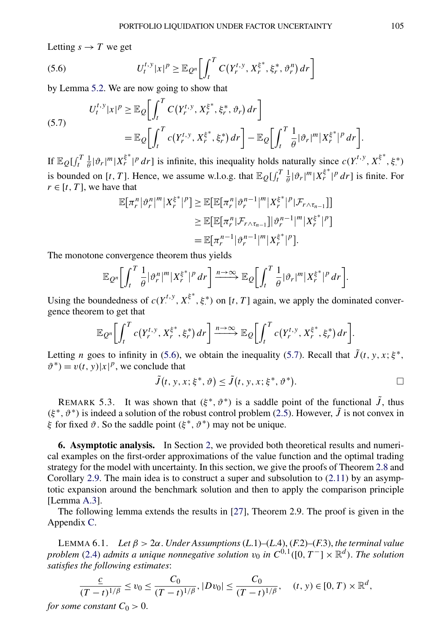<span id="page-25-0"></span>Letting  $s \rightarrow T$  we get

(5.6) 
$$
U_t^{t,y}|x|^p \geq \mathbb{E}_{Q^n}\bigg[\int_t^T C(Y_r^{t,y}, X_r^{\xi^*}, \xi_r^*, \vartheta_r^n) dr\bigg]
$$

by Lemma [5.2.](#page-22-0) We are now going to show that

(5.7)  

$$
U_t^{t,y}|x|^p \geq \mathbb{E}_{Q} \bigg[ \int_t^T C(Y_r^{t,y}, X_r^{\xi^*}, \xi_r^*, \vartheta_r) dr \bigg]
$$

$$
= \mathbb{E}_{Q} \bigg[ \int_t^T c(Y_r^{t,y}, X_r^{\xi^*}, \xi_r^*) dr \bigg] - \mathbb{E}_{Q} \bigg[ \int_t^T \frac{1}{\theta} |\vartheta_r|^m |X_r^{\xi^*}|^p dr \bigg].
$$

If  $\mathbb{E}_{Q}[\int_t^T \frac{1}{\theta} |\vartheta_r|^m |X_r^{\xi^*}|^p dr]$  is infinite, this inequality holds naturally since  $c(Y^{t,y}, X^{\xi^*}, \xi^*)$ is bounded on [*t*, *T*]. Hence, we assume w.l.o.g. that  $\mathbb{E}_Q[f_t^T \frac{1}{\theta}|\vartheta_r|^m |X_r^{\xi^*}|^p dr]$  is finite. For  $r \in [t, T]$ , we have that

$$
\mathbb{E}[\pi_r^n |\vartheta_r^n|^m |X_r^{\xi^*}|^p] \ge \mathbb{E}[\mathbb{E}[\pi_r^n |\vartheta_r^{n-1}|^m |X_r^{\xi^*}|^p | \mathcal{F}_{r \wedge \tau_{n-1}}]]
$$
  
\n
$$
\ge \mathbb{E}[\mathbb{E}[\pi_r^n | \mathcal{F}_{r \wedge \tau_{n-1}}] |\vartheta_r^{n-1}|^m |X_r^{\xi^*}|^p]
$$
  
\n
$$
= \mathbb{E}[\pi_r^{n-1} |\vartheta_r^{n-1}|^m |X_r^{\xi^*}|^p].
$$

The monotone convergence theorem thus yields

$$
\mathbb{E}_{Q^n}\bigg[\int_t^T \frac{1}{\theta} |\vartheta_r^n|^m |X_r^{\xi^*}|^p dr\bigg] \xrightarrow{n\to\infty} \mathbb{E}_{Q}\bigg[\int_t^T \frac{1}{\theta} |\vartheta_r|^m |X_r^{\xi^*}|^p dr\bigg].
$$

Using the boundedness of  $c(Y^{t,y}, X^{\xi^*}, \xi^*)$  on [*t*, *T*] again, we apply the dominated convergence theorem to get that

$$
\mathbb{E}_{Q^n}\bigg[\int_t^T c(Y_r^{t,y},X_r^{\xi^*},\xi_r^*) dr\bigg] \xrightarrow{n\to\infty} \mathbb{E}_{Q}\bigg[\int_t^T c(Y_r^{t,y},X_r^{\xi^*},\xi_r^*) dr\bigg].
$$

Letting *n* goes to infinity in (5.6), we obtain the inequality (5.7). Recall that  $\tilde{J}(t, y, x; \xi^*,$  $v^* = v(t, y) |x|^p$ , we conclude that

$$
\tilde{J}(t, y, x; \xi^*, \vartheta) \leq \tilde{J}(t, y, x; \xi^*, \vartheta^*).
$$

REMARK 5.3. It was shown that  $(\xi^*, \vartheta^*)$  is a saddle point of the functional  $\tilde{J}$ , thus  $(\xi^*, \vartheta^*)$  is indeed a solution of the robust control problem [\(2.5\)](#page-6-0). However,  $\tilde{J}$  is not convex in *ξ* for fixed  $\vartheta$ . So the saddle point  $(\xi^*, \vartheta^*)$  may not be unique.

**6. Asymptotic analysis.** In Section [2,](#page-3-0) we provided both theoretical results and numerical examples on the first-order approximations of the value function and the optimal trading strategy for the model with uncertainty. In this section, we give the proofs of Theorem [2.8](#page-9-0) and Corollary [2.9.](#page-10-0) The main idea is to construct a super and subsolution to  $(2.11)$  by an asymptotic expansion around the benchmark solution and then to apply the comparison principle [Lemma [A.3\]](#page-36-0).

The following lemma extends the results in [\[27\]](#page-43-0), Theorem 2.9. The proof is given in the Appendix [C.](#page-39-0)

LEMMA 6.1. *Let β >* 2*α*. *Under Assumptions* (*L*.1)*–*(*L*.4), (*F*.2)*–*(*F*.3), *the terminal value problem* [\(2.4\)](#page-4-0) *admits a unique nonnegative solution*  $v_0$  *in*  $C^{0,1}([0, T^-] \times \mathbb{R}^d)$ . *The solution satisfies the following estimates*:

$$
\frac{c}{(T-t)^{1/\beta}} \le v_0 \le \frac{C_0}{(T-t)^{1/\beta}}, |Dv_0| \le \frac{C_0}{(T-t)^{1/\beta}}, \quad (t, y) \in [0, T) \times \mathbb{R}^d,
$$

*for some constant*  $C_0 > 0$ .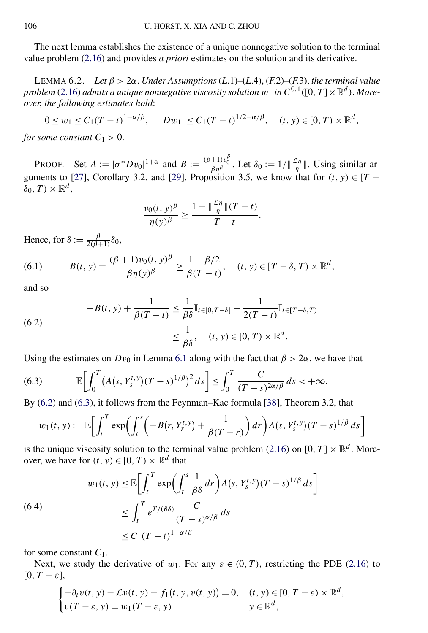<span id="page-26-0"></span>The next lemma establishes the existence of a unique nonnegative solution to the terminal value problem [\(2.16\)](#page-9-0) and provides *a priori* estimates on the solution and its derivative.

LEMMA 6.2. *Let β >* 2*α*. *Under Assumptions* (*L*.1)*–*(*L*.4), (*F*.2)*–*(*F*.3), *the terminal value problem* [\(2.16\)](#page-9-0) *admits a unique nonnegative viscosity solution*  $w_1$  *in*  $C^{0,1}([0,T] \times \mathbb{R}^d)$ *. Moreover*, *the following estimates hold*:

$$
0 \le w_1 \le C_1 (T-t)^{1-\alpha/\beta}, \quad |Dw_1| \le C_1 (T-t)^{1/2-\alpha/\beta}, \quad (t, y) \in [0, T) \times \mathbb{R}^d,
$$

*for some constant*  $C_1 > 0$ .

PROOF. Set  $A := |\sigma^* D v_0|^{1+\alpha}$  and  $B := \frac{(\beta+1)v_0^{\beta}}{\beta \eta^{\beta}}$ . Let  $\delta_0 := 1/\|\frac{\mathcal{L}\eta}{\eta}\|$ . Using similar ar-guments to [\[27\]](#page-43-0), Corollary 3.2, and [\[29\]](#page-43-0), Proposition 3.5, we know that for  $(t, y) \in [T \delta_0, T \times \mathbb{R}^d$ ,

$$
\frac{v_0(t, y)^{\beta}}{\eta(y)^{\beta}} \ge \frac{1 - \left\|\frac{C\eta}{\eta}\right\| (T - t)}{T - t}.
$$

Hence, for  $\delta := \frac{\beta}{2(\beta+1)} \delta_0$ ,

(6.1) 
$$
B(t, y) = \frac{(\beta + 1)v_0(t, y)^{\beta}}{\beta \eta(y)^{\beta}} \ge \frac{1 + \beta/2}{\beta(T - t)}, \quad (t, y) \in [T - \delta, T) \times \mathbb{R}^d,
$$

and so

(6.2) 
$$
-B(t, y) + \frac{1}{\beta(T - t)} \leq \frac{1}{\beta \delta} \mathbb{I}_{t \in [0, T - \delta]} - \frac{1}{2(T - t)} \mathbb{I}_{t \in [T - \delta, T)}
$$

$$
\leq \frac{1}{\beta \delta}, \quad (t, y) \in [0, T) \times \mathbb{R}^d.
$$

Using the estimates on  $Dv_0$  in Lemma [6.1](#page-25-0) along with the fact that  $\beta > 2\alpha$ , we have that

(6.3) 
$$
\mathbb{E}\bigg[\int_0^T (A(s, Y_s^{t,y})(T-s)^{1/\beta})^2 ds\bigg] \leq \int_0^T \frac{C}{(T-s)^{2\alpha/\beta}} ds < +\infty.
$$

By (6.2) and (6.3), it follows from the Feynman–Kac formula [\[38\]](#page-43-0), Theorem 3.2, that

$$
w_1(t, y) := \mathbb{E}\bigg[\int_t^T \exp\bigg(\int_t^s \bigg(-B(r, Y_r^{t, y}) + \frac{1}{\beta(T - r)}\bigg) dr\bigg) A(s, Y_s^{t, y})(T - s)^{1/\beta} ds\bigg]
$$

is the unique viscosity solution to the terminal value problem [\(2.16\)](#page-9-0) on [0,  $T \times \mathbb{R}^d$ . Moreover, we have for  $(t, y) \in [0, T) \times \mathbb{R}^d$  that

(6.4)  

$$
w_1(t, y) \le \mathbb{E} \bigg[ \int_t^T \exp \bigg( \int_t^s \frac{1}{\beta \delta} dr \bigg) A(s, Y_s^{t, y}) (T - s)^{1/\beta} ds \bigg]
$$

$$
\le \int_t^T e^{T/(\beta \delta)} \frac{C}{(T - s)^{\alpha/\beta}} ds
$$

$$
\le C_1 (T - t)^{1 - \alpha/\beta}
$$

for some constant *C*1.

Next, we study the derivative of  $w_1$ . For any  $\varepsilon \in (0, T)$ , restricting the PDE [\(2.16\)](#page-9-0) to  $[0, T - \varepsilon]$ ,

$$
\begin{cases}\n-\partial_t v(t, y) - \mathcal{L}v(t, y) - f_1(t, y, v(t, y)) = 0, & (t, y) \in [0, T - \varepsilon) \times \mathbb{R}^d, \\
v(T - \varepsilon, y) = w_1(T - \varepsilon, y) & y \in \mathbb{R}^d,\n\end{cases}
$$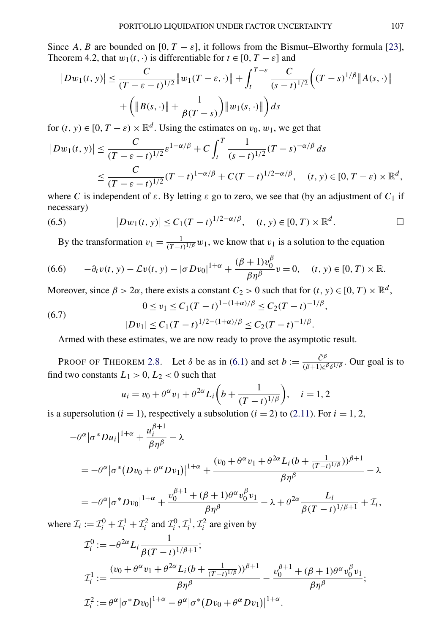<span id="page-27-0"></span>Since *A, B* are bounded on [0,  $T - \varepsilon$ ], it follows from the Bismut–Elworthy formula [\[23\]](#page-42-0), Theorem 4.2, that  $w_1(t, \cdot)$  is differentiable for  $t \in [0, T - \varepsilon]$  and

$$
|Dw_1(t, y)| \leq \frac{C}{(T - \varepsilon - t)^{1/2}} \|w_1(T - \varepsilon, \cdot)\| + \int_t^{T - \varepsilon} \frac{C}{(s - t)^{1/2}} \Big( (T - s)^{1/\beta} \|A(s, \cdot)\| + \Big( \|B(s, \cdot)\| + \frac{1}{\beta(T - s)} \Big) \|w_1(s, \cdot)\| \Big) ds
$$

for  $(t, y) \in [0, T - \varepsilon) \times \mathbb{R}^d$ . Using the estimates on  $v_0, w_1$ , we get that

$$
|Dw_1(t, y)| \leq \frac{C}{(T - \varepsilon - t)^{1/2}} \varepsilon^{1 - \alpha/\beta} + C \int_t^T \frac{1}{(s - t)^{1/2}} (T - s)^{-\alpha/\beta} ds
$$
  

$$
\leq \frac{C}{(T - \varepsilon - t)^{1/2}} (T - t)^{1 - \alpha/\beta} + C(T - t)^{1/2 - \alpha/\beta}, \quad (t, y) \in [0, T - \varepsilon) \times \mathbb{R}^d,
$$

where *C* is independent of  $\varepsilon$ . By letting  $\varepsilon$  go to zero, we see that (by an adjustment of  $C_1$  if necessary)

(6.5) 
$$
|Dw_1(t, y)| \le C_1(T-t)^{1/2-\alpha/\beta}, \quad (t, y) \in [0, T) \times \mathbb{R}^d.
$$

By the transformation  $v_1 = \frac{1}{(T-t)^{1/\beta}} w_1$ , we know that  $v_1$  is a solution to the equation

$$
(6.6) \qquad -\partial_t v(t, y) - \mathcal{L}v(t, y) - |\sigma Dv_0|^{1+\alpha} + \frac{(\beta+1)v_0^{\beta}}{\beta \eta^{\beta}} v = 0, \quad (t, y) \in [0, T) \times \mathbb{R}.
$$

Moreover, since  $\beta > 2\alpha$ , there exists a constant  $C_2 > 0$  such that for  $(t, y) \in [0, T) \times \mathbb{R}^d$ ,

(6.7) 
$$
0 \le v_1 \le C_1 (T-t)^{1-(1+\alpha)/\beta} \le C_2 (T-t)^{-1/\beta},
$$

$$
|Dv_1| \le C_1 (T-t)^{1/2-(1+\alpha)/\beta} \le C_2 (T-t)^{-1/\beta}.
$$

Armed with these estimates, we are now ready to prove the asymptotic result.

PROOF OF THEOREM [2.8.](#page-9-0) Let  $\delta$  be as in [\(6.1\)](#page-26-0) and set  $b := \frac{\bar{C}^{\beta}}{(\beta+1)c^{\beta}\delta^{1/\beta}}$ . Our goal is to find two constants  $L_1 > 0, L_2 < 0$  such that

$$
u_i = v_0 + \theta^{\alpha} v_1 + \theta^{2\alpha} L_i \left( b + \frac{1}{(T-t)^{1/\beta}} \right), \quad i = 1, 2
$$

is a supersolution ( $i = 1$ ), respectively a subsolution ( $i = 2$ ) to [\(2.11\)](#page-8-0). For  $i = 1, 2$ ,

$$
-\theta^{\alpha} |\sigma^* D u_i|^{1+\alpha} + \frac{u_i^{\beta+1}}{\beta \eta^{\beta}} - \lambda
$$
  
=  $-\theta^{\alpha} |\sigma^* (D v_0 + \theta^{\alpha} D v_1)|^{1+\alpha} + \frac{(v_0 + \theta^{\alpha} v_1 + \theta^{2\alpha} L_i (b + \frac{1}{(T-t)^{1/\beta}}))^{\beta+1}}{\beta \eta^{\beta}} - \lambda$   
=  $-\theta^{\alpha} |\sigma^* D v_0|^{1+\alpha} + \frac{v_0^{\beta+1} + (\beta+1)\theta^{\alpha} v_0^{\beta} v_1}{\beta v_0^{\beta}} - \lambda + \theta^{2\alpha} L_i + \tau.$ 

$$
= -\theta^{\alpha} |\sigma^* D v_0|^{1+\alpha} + \frac{v_0^{\beta+1} + (\beta+1)\theta^{\alpha} v_0^{\beta} v_1}{\beta \eta^{\beta}} - \lambda + \theta^{2\alpha} \frac{L_i}{\beta (T-t)^{1/\beta+1}} + \mathcal{I}_i,
$$

where  $\mathcal{I}_i := \mathcal{I}_i^0 + \mathcal{I}_i^1 + \mathcal{I}_i^2$  and  $\mathcal{I}_i^0, \mathcal{I}_i^1, \mathcal{I}_i^2$  are given by

$$
\mathcal{I}_i^0 := -\theta^{2\alpha} L_i \frac{1}{\beta (T-t)^{1/\beta+1}};
$$
\n
$$
\mathcal{I}_i^1 := \frac{(v_0 + \theta^\alpha v_1 + \theta^{2\alpha} L_i (b + \frac{1}{(T-t)^{1/\beta}}))^{\beta+1}}{\beta \eta^\beta} - \frac{v_0^{\beta+1} + (\beta+1)\theta^\alpha v_0^\beta v_1}{\beta \eta^\beta};
$$
\n
$$
\mathcal{I}_i^2 := \theta^\alpha |\sigma^* D v_0|^{1+\alpha} - \theta^\alpha |\sigma^* (D v_0 + \theta^\alpha D v_1)|^{1+\alpha}.
$$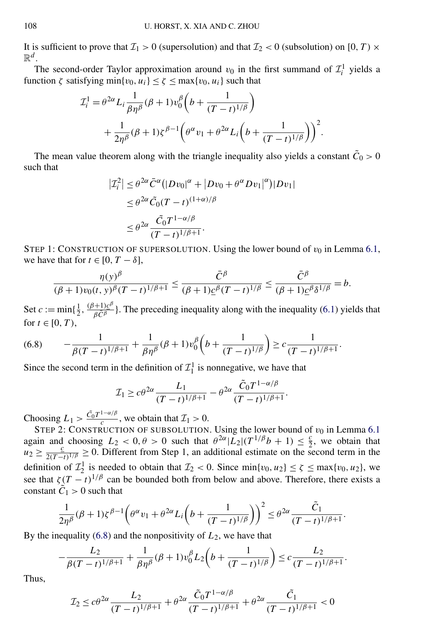It is sufficient to prove that  $\mathcal{I}_1 > 0$  (supersolution) and that  $\mathcal{I}_2 < 0$  (subsolution) on [0, T)  $\times$  $\mathbb{R}^d$  .

The second-order Taylor approximation around  $v_0$  in the first summand of  $\mathcal{I}_i^1$  yields a function  $\zeta$  satisfying min $\{v_0, u_i\} \leq \zeta \leq \max\{v_0, u_i\}$  such that

$$
\mathcal{I}_{i}^{1} = \theta^{2\alpha} L_{i} \frac{1}{\beta \eta^{\beta}} (\beta + 1) v_{0}^{\beta} \left( b + \frac{1}{(T - t)^{1/\beta}} \right) \n+ \frac{1}{2\eta^{\beta}} (\beta + 1) \zeta^{\beta - 1} \left( \theta^{\alpha} v_{1} + \theta^{2\alpha} L_{i} \left( b + \frac{1}{(T - t)^{1/\beta}} \right) \right)^{2}.
$$

The mean value theorem along with the triangle inequality also yields a constant  $\tilde{C}_0 > 0$ such that

$$
\begin{aligned} \left| \mathcal{I}_i^2 \right| &\leq \theta^{2\alpha} \bar{C}^{\alpha} \big( |Dv_0|^{\alpha} + |Dv_0 + \theta^{\alpha} Dv_1|^{\alpha} \big) |Dv_1| \\ &\leq \theta^{2\alpha} \tilde{C}_0 (T - t)^{(1 + \alpha)/\beta} \\ &\leq \theta^{2\alpha} \frac{\tilde{C}_0 T^{1 - \alpha/\beta}}{(T - t)^{1/\beta + 1}} .\end{aligned}
$$

STEP 1: CONSTRUCTION OF SUPERSOLUTION. Using the lower bound of  $v_0$  in Lemma [6.1,](#page-25-0) we have that for  $t \in [0, T - \delta]$ ,

$$
\frac{\eta(y)^{\beta}}{(\beta+1)v_0(t,y)^{\beta}(T-t)^{1/\beta+1}} \leq \frac{\bar{C}^{\beta}}{(\beta+1)\underline{c}^{\beta}(T-t)^{1/\beta}} \leq \frac{\bar{C}^{\beta}}{(\beta+1)\underline{c}^{\beta}\delta^{1/\beta}} = b.
$$

Set  $c := min\{\frac{1}{2}, \frac{(\beta+1)c^{\beta}}{\beta C^{\beta}}\}$ . The preceding inequality along with the inequality [\(6.1\)](#page-26-0) yields that for  $t \in [0, T)$ ,

(6.8) 
$$
-\frac{1}{\beta(T-t)^{1/\beta+1}} + \frac{1}{\beta \eta^{\beta}} (\beta+1) v_0^{\beta} \left(b + \frac{1}{(T-t)^{1/\beta}} \right) \geq c \frac{1}{(T-t)^{1/\beta+1}}.
$$

Since the second term in the definition of  $\mathcal{I}_1^1$  is nonnegative, we have that

$$
\mathcal{I}_1 \geq c\theta^{2\alpha} \frac{L_1}{(T-t)^{1/\beta+1}} - \theta^{2\alpha} \frac{\tilde{C}_0 T^{1-\alpha/\beta}}{(T-t)^{1/\beta+1}}.
$$

Choosing  $L_1 > \frac{\tilde{C}_0 T^{1-\alpha/\beta}}{c}$ , we obtain that  $\mathcal{I}_1 > 0$ .

STEP 2: CONSTRUCTION OF SUBSOLUTION. Using the lower bound of  $v_0$  in Lemma [6.1](#page-25-0) again and choosing  $L_2 < 0, \theta > 0$  such that  $\theta^{2\alpha} |L_2|(T^{1/\beta}b + 1) \leq \frac{c}{2}$ , we obtain that  $u_2 \ge \frac{c}{2(T-t)^{1/\beta}} \ge 0$ . Different from Step 1, an additional estimate on the second term in the definition of  $\mathcal{I}_2^1$  is needed to obtain that  $\mathcal{I}_2 < 0$ . Since  $\min\{v_0, u_2\} \le \zeta \le \max\{v_0, u_2\}$ , we see that  $\zeta(T-t)^{1/\beta}$  can be bounded both from below and above. Therefore, there exists a constant  $\tilde{C}_1 > 0$  such that

$$
\frac{1}{2\eta^{\beta}}(\beta+1)\zeta^{\beta-1}\left(\theta^{\alpha}v_1+\theta^{2\alpha}L_i\left(b+\frac{1}{(T-t)^{1/\beta}}\right)\right)^2\leq\theta^{2\alpha}\frac{\tilde{C}_1}{(T-t)^{1/\beta+1}}.
$$

By the inequality (6.8) and the nonpositivity of *L*2, we have that

$$
-\frac{L_2}{\beta(T-t)^{1/\beta+1}} + \frac{1}{\beta \eta^{\beta}} (\beta+1) v_0^{\beta} L_2 \left(b + \frac{1}{(T-t)^{1/\beta}} \right) \leq c \frac{L_2}{(T-t)^{1/\beta+1}}.
$$

Thus,

$$
\mathcal{I}_2 \le c\theta^{2\alpha} \frac{L_2}{(T-t)^{1/\beta+1}} + \theta^{2\alpha} \frac{\tilde{C}_0 T^{1-\alpha/\beta}}{(T-t)^{1/\beta+1}} + \theta^{2\alpha} \frac{\tilde{C}_1}{(T-t)^{1/\beta+1}} < 0
$$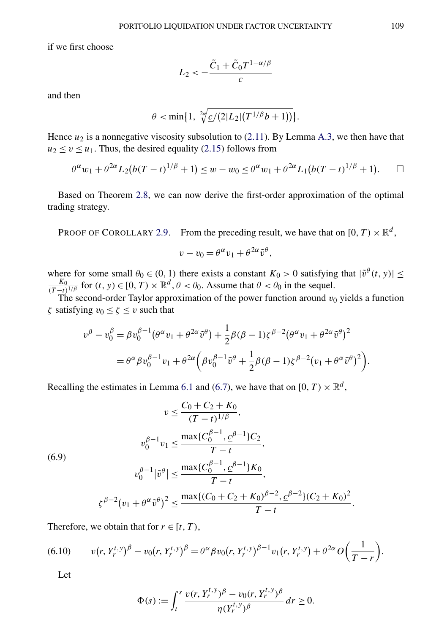<span id="page-29-0"></span>if we first choose

$$
L_2 < -\frac{\tilde{C}_1 + \tilde{C}_0 T^{1-\alpha/\beta}}{c}
$$

and then

$$
\theta < \min\{1, \sqrt[2\alpha]{\frac{c}{2|L_2|}(T^{1/\beta}b+1))}\}.
$$

Hence  $u_2$  is a nonnegative viscosity subsolution to  $(2.11)$ . By Lemma [A.3,](#page-36-0) we then have that  $u_2 \le v \le u_1$ . Thus, the desired equality [\(2.15\)](#page-9-0) follows from

$$
\theta^{\alpha} w_1 + \theta^{2\alpha} L_2(b(T-t)^{1/\beta} + 1) \le w - w_0 \le \theta^{\alpha} w_1 + \theta^{2\alpha} L_1(b(T-t)^{1/\beta} + 1).
$$

Based on Theorem [2.8,](#page-9-0) we can now derive the first-order approximation of the optimal trading strategy.

PROOF OF COROLLARY [2.9.](#page-10-0) From the preceding result, we have that on  $[0, T) \times \mathbb{R}^d$ ,

$$
v - v_0 = \theta^{\alpha} v_1 + \theta^{2\alpha} \tilde{v}^{\theta},
$$

where for some small  $\theta_0 \in (0, 1)$  there exists a constant  $K_0 > 0$  satisfying that  $|\tilde{v}^{\theta}(t, y)| \le$  $\frac{K_0}{(T-t)^{1/\beta}}$  for  $(t, y) \in [0, T) \times \mathbb{R}^d$ ,  $\theta < \theta_0$ . Assume that  $\theta < \theta_0$  in the sequel.

The second-order Taylor approximation of the power function around  $v_0$  yields a function *ζ* satisfying  $v_0 \le \zeta \le v$  such that

$$
v^{\beta} - v_0^{\beta} = \beta v_0^{\beta - 1} (\theta^{\alpha} v_1 + \theta^{2\alpha} \tilde{v}^{\beta}) + \frac{1}{2} \beta (\beta - 1) \zeta^{\beta - 2} (\theta^{\alpha} v_1 + \theta^{2\alpha} \tilde{v}^{\beta})^2
$$
  
=  $\theta^{\alpha} \beta v_0^{\beta - 1} v_1 + \theta^{2\alpha} (\beta v_0^{\beta - 1} \tilde{v}^{\beta} + \frac{1}{2} \beta (\beta - 1) \zeta^{\beta - 2} (v_1 + \theta^{\alpha} \tilde{v}^{\beta})^2).$ 

Recalling the estimates in Lemma [6.1](#page-25-0) and [\(6.7\)](#page-27-0), we have that on  $[0, T) \times \mathbb{R}^d$ ,

$$
v \leq \frac{C_0 + C_2 + K_0}{(T - t)^{1/\beta}},
$$
  
\n
$$
v_0^{\beta - 1} v_1 \leq \frac{\max\{C_0^{\beta - 1}, \underline{c}^{\beta - 1}\} C_2}{T - t},
$$
  
\n(6.9)  
\n
$$
v_0^{\beta - 1} |\tilde{v}^{\theta}| \leq \frac{\max\{C_0^{\beta - 1}, \underline{c}^{\beta - 1}\} K_0}{T - t},
$$
  
\n
$$
\zeta^{\beta - 2} (v_1 + \theta^{\alpha} \tilde{v}^{\theta})^2 \leq \frac{\max\{(C_0 + C_2 + K_0)^{\beta - 2}, \underline{c}^{\beta - 2}\} (C_2 + K_0)^2}{T - t}.
$$

Therefore, we obtain that for  $r \in [t, T)$ ,

(6.10) 
$$
v(r, Y_r^{t, y})^{\beta} - v_0(r, Y_r^{t, y})^{\beta} = \theta^{\alpha} \beta v_0(r, Y_r^{t, y})^{\beta - 1} v_1(r, Y_r^{t, y}) + \theta^{2\alpha} O\left(\frac{1}{T - r}\right).
$$

Let

$$
\Phi(s) := \int_t^s \frac{\nu(r, Y_r^{t, y})^{\beta} - \nu_0(r, Y_r^{t, y})^{\beta}}{\eta(Y_r^{t, y})^{\beta}} dr \ge 0.
$$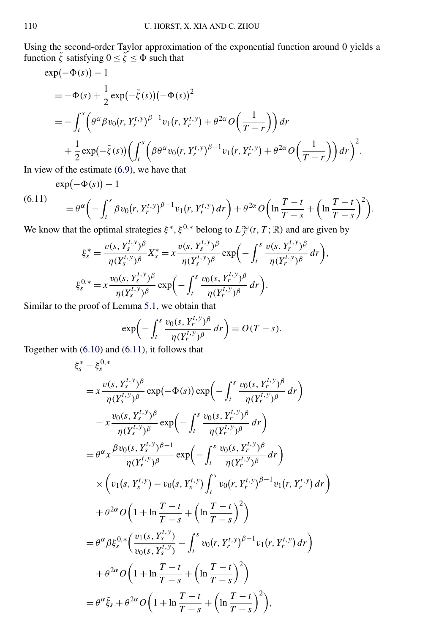Using the second-order Taylor approximation of the exponential function around 0 yields a function  $\tilde{\zeta}$  satisfying  $0 \le \tilde{\zeta} \le \Phi$  such that

$$
\exp(-\Phi(s)) - 1 \n= -\Phi(s) + \frac{1}{2} \exp(-\tilde{\zeta}(s)) (-\Phi(s))^2 \n= -\int_t^s \left( \theta^{\alpha} \beta v_0(r, Y_r^{t, y})^{\beta - 1} v_1(r, Y_r^{t, y}) + \theta^{2\alpha} O\left(\frac{1}{T - r}\right) \right) dr \n+ \frac{1}{2} \exp(-\tilde{\zeta}(s)) \left( \int_t^s \left( \beta \theta^{\alpha} v_0(r, Y_r^{t, y})^{\beta - 1} v_1(r, Y_r^{t, y}) + \theta^{2\alpha} O\left(\frac{1}{T - r}\right) \right) dr \right)^2.
$$

In view of the estimate [\(6.9\)](#page-29-0), we have that

 $\exp(-\Phi(s)) - 1$ 

 $(6.11)$ 

$$
= \theta^{\alpha} \left(-\int_t^s \beta v_0(r, Y_r^{t, y})^{\beta-1} v_1(r, Y_r^{t, y}) dr\right) + \theta^{2\alpha} O\left(\ln \frac{T-t}{T-s} + \left(\ln \frac{T-t}{T-s}\right)^2\right).
$$

We know that the optimal strategies  $\xi^*, \xi^{0,*}$  belong to  $L^{\infty}_{\mathcal{F}}(t,T;\mathbb{R})$  and are given by

$$
\xi_s^* = \frac{v(s, Y_s^{t, y})^\beta}{\eta(Y_s^{t, y})^\beta} X_s^* = x \frac{v(s, Y_s^{t, y})^\beta}{\eta(Y_s^{t, y})^\beta} \exp\left(-\int_t^s \frac{v(s, Y_r^{t, y})^\beta}{\eta(Y_r^{t, y})^\beta} dr\right),
$$
  

$$
\xi_s^{0,*} = x \frac{v_0(s, Y_s^{t, y})^\beta}{\eta(Y_s^{t, y})^\beta} \exp\left(-\int_t^s \frac{v_0(s, Y_r^{t, y})^\beta}{\eta(Y_r^{t, y})^\beta} dr\right).
$$

Similar to the proof of Lemma [5.1,](#page-21-0) we obtain that

$$
\exp\biggl(-\int_t^s \frac{v_0(s, Y_r^{t, y})^{\beta}}{\eta(Y_r^{t, y})^{\beta}} dr\biggr) = O(T - s).
$$

Together with [\(6.10\)](#page-29-0) and (6.11), it follows that

$$
\xi_{s}^{*} - \xi_{s}^{0,*}
$$
\n
$$
= x \frac{v(s, Y_{s}^{t,y})^{\beta}}{\eta(Y_{s}^{t,y})^{\beta}} \exp(-\Phi(s)) \exp\left(-\int_{t}^{s} \frac{v_{0}(s, Y_{r}^{t,y})^{\beta}}{\eta(Y_{r}^{t,y})^{\beta}} dr\right)
$$
\n
$$
- x \frac{v_{0}(s, Y_{s}^{t,y})^{\beta}}{\eta(Y_{s}^{t,y})^{\beta}} \exp\left(-\int_{t}^{s} \frac{v_{0}(s, Y_{r}^{t,y})^{\beta}}{\eta(Y_{r}^{t,y})^{\beta}} dr\right)
$$
\n
$$
= \theta^{\alpha} x \frac{\beta v_{0}(s, Y_{s}^{t,y})^{\beta-1}}{\eta(Y_{r}^{t,y})^{\beta}} \exp\left(-\int_{t}^{s} \frac{v_{0}(s, Y_{r}^{t,y})^{\beta}}{\eta(Y_{r}^{t,y})^{\beta}} dr\right)
$$
\n
$$
\times \left(v_{1}(s, Y_{s}^{t,y}) - v_{0}(s, Y_{s}^{t,y}) \int_{t}^{s} v_{0}(r, Y_{r}^{t,y})^{\beta-1} v_{1}(r, Y_{r}^{t,y}) dr\right)
$$
\n
$$
+ \theta^{2\alpha} O\left(1 + \ln \frac{T-t}{T-s} + \left(\ln \frac{T-t}{T-s}\right)^{2}\right)
$$
\n
$$
= \theta^{\alpha} \beta \xi_{s}^{0,*} \left(\frac{v_{1}(s, Y_{s}^{t,y})}{v_{0}(s, Y_{s}^{t,y})} - \int_{t}^{s} v_{0}(r, Y_{r}^{t,y})^{\beta-1} v_{1}(r, Y_{r}^{t,y}) dr\right)
$$
\n
$$
+ \theta^{2\alpha} O\left(1 + \ln \frac{T-t}{T-s} + \left(\ln \frac{T-t}{T-s}\right)^{2}\right)
$$
\n
$$
= \theta^{\alpha} \xi_{s} + \theta^{2\alpha} O\left(1 + \ln \frac{T-t}{T-s} + \left(\ln \frac{T-t}{T-s}\right)^{2}\right),
$$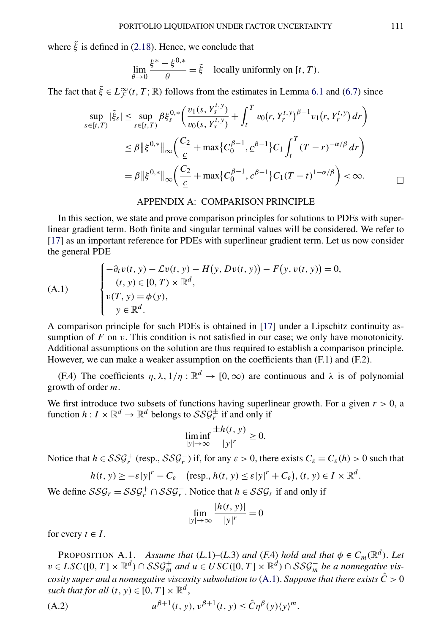<span id="page-31-0"></span>where  $\tilde{\xi}$  is defined in [\(2.18\)](#page-10-0). Hence, we conclude that

$$
\lim_{\theta \to 0} \frac{\xi^* - \xi^{0,*}}{\theta} = \tilde{\xi} \quad \text{locally uniformly on } [t, T).
$$

The fact that  $\tilde{\xi} \in L^{\infty}_{\mathcal{F}}(t,T;\mathbb{R})$  follows from the estimates in Lemma [6.1](#page-25-0) and [\(6.7\)](#page-27-0) since

$$
\sup_{s \in [t,T)} |\tilde{\xi}_s| \leq \sup_{s \in [t,T)} \beta \xi_s^{0,*} \left( \frac{v_1(s, Y_s^{t,y})}{v_0(s, Y_s^{t,y})} + \int_t^T v_0(r, Y_r^{t,y})^{\beta - 1} v_1(r, Y_r^{t,y}) dr \right)
$$
  

$$
\leq \beta \| \xi^{0,*} \|_{\infty} \left( \frac{C_2}{\underline{c}} + \max \{ C_0^{\beta - 1}, \underline{c}^{\beta - 1} \} C_1 \int_t^T (T - r)^{-\alpha/\beta} dr \right)
$$
  

$$
= \beta \| \xi^{0,*} \|_{\infty} \left( \frac{C_2}{\underline{c}} + \max \{ C_0^{\beta - 1}, \underline{c}^{\beta - 1} \} C_1 (T - t)^{1 - \alpha/\beta} \right) < \infty.
$$

#### APPENDIX A: COMPARISON PRINCIPLE

In this section, we state and prove comparison principles for solutions to PDEs with superlinear gradient term. Both finite and singular terminal values will be considered. We refer to [\[17\]](#page-42-0) as an important reference for PDEs with superlinear gradient term. Let us now consider the general PDE

(A.1)  
\n
$$
\begin{cases}\n-\partial_t v(t, y) - \mathcal{L}v(t, y) - H(y, Dv(t, y)) - F(y, v(t, y)) = 0, \\
(t, y) \in [0, T) \times \mathbb{R}^d, \\
v(T, y) = \phi(y), \\
y \in \mathbb{R}^d.\n\end{cases}
$$

A comparison principle for such PDEs is obtained in [\[17\]](#page-42-0) under a Lipschitz continuity assumption of *F* on *v*. This condition is not satisfied in our case; we only have monotonicity. Additional assumptions on the solution are thus required to establish a comparison principle. However, we can make a weaker assumption on the coefficients than  $(F.1)$  and  $(F.2)$ .

(F.4) The coefficients  $\eta$ ,  $\lambda$ ,  $1/\eta$  :  $\mathbb{R}^d \to [0, \infty)$  are continuous and  $\lambda$  is of polynomial growth of order *m*.

We first introduce two subsets of functions having superlinear growth. For a given  $r > 0$ , a function  $h: I \times \mathbb{R}^d \to \mathbb{R}^d$  belongs to  $\mathcal{SSG}_r^{\pm}$  if and only if

$$
\liminf_{|y| \to \infty} \frac{\pm h(t, y)}{|y|^r} \ge 0.
$$

Notice that  $h \in \mathcal{SSG}_r^+$  (resp.,  $\mathcal{SSG}_r^-$ ) if, for any  $\varepsilon > 0$ , there exists  $C_\varepsilon = C_\varepsilon(h) > 0$  such that

$$
h(t, y) \geq -\varepsilon |y|^r - C_{\varepsilon} \quad (\text{resp., } h(t, y) \leq \varepsilon |y|^r + C_{\varepsilon}), (t, y) \in I \times \mathbb{R}^d.
$$

We define  $SSG_r = SSG_r^+ \cap SSG_r^-$ . Notice that  $h \in SSG_r$  if and only if

$$
\lim_{|y| \to \infty} \frac{|h(t, y)|}{|y|^r} = 0
$$

for every  $t \in I$ .

PROPOSITION A.1. *Assume that*  $(L.1)$ – $(L.3)$  *and*  $(F.4)$  *hold and that*  $\phi \in C_m(\mathbb{R}^d)$ . Let *v* ∈ *LSC*([0, *T*] ×  $\mathbb{R}^d$ ) ∩ *SSG*<sup>+</sup><sub>*m*</sub> *and u* ∈ *USC*([0, *T*] ×  $\mathbb{R}^d$ ) ∩ *SSG*<sup>-*n*</sup> *be a nonnegative viscosity super and a nonnegative viscosity subsolution to*  $(A.1)$ *. Suppose that there exists*  $\hat{C} > 0$ *such that for all*  $(t, y) \in [0, T] \times \mathbb{R}^d$ ,

(A.2) 
$$
u^{\beta+1}(t, y), v^{\beta+1}(t, y) \leq \hat{C} \eta^{\beta}(y) \langle y \rangle^{m}.
$$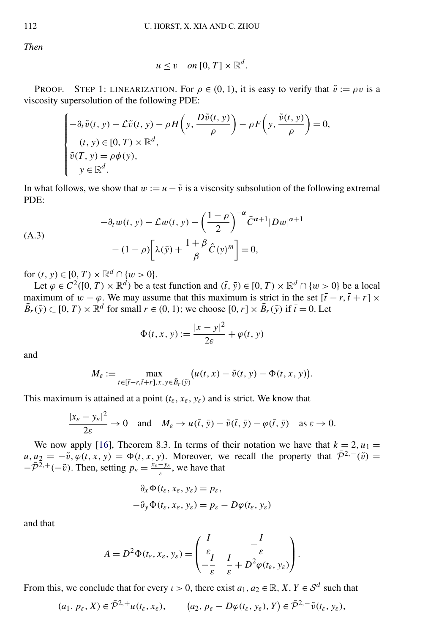*Then*

$$
u \leq v \quad on \, [0, T] \times \mathbb{R}^d.
$$

**PROOF.** STEP 1: LINEARIZATION. For  $\rho \in (0, 1)$ , it is easy to verify that  $\tilde{v} := \rho v$  is a viscosity supersolution of the following PDE:

$$
\begin{cases}\n-\partial_t \tilde{v}(t, y) - \mathcal{L}\tilde{v}(t, y) - \rho H\left(y, \frac{D\tilde{v}(t, y)}{\rho}\right) - \rho F\left(y, \frac{\tilde{v}(t, y)}{\rho}\right) = 0, \\
(t, y) \in [0, T) \times \mathbb{R}^d, \\
\tilde{v}(T, y) = \rho \phi(y), \\
y \in \mathbb{R}^d.\n\end{cases}
$$

In what follows, we show that  $w := u - \tilde{v}$  is a viscosity subsolution of the following extremal PDE:

$$
-\partial_t w(t, y) - \mathcal{L}w(t, y) - \left(\frac{1-\rho}{2}\right)^{-\alpha} \bar{C}^{\alpha+1} |Dw|^{\alpha+1}
$$
  

$$
- (1-\rho) \left[ \lambda(\bar{y}) + \frac{1+\beta}{\beta} \hat{C} \langle y \rangle^m \right] = 0,
$$

for  $(t, y) \in [0, T) \times \mathbb{R}^d \cap \{w > 0\}.$ 

Let  $\varphi \in C^2([0, T) \times \mathbb{R}^d)$  be a test function and  $(\bar{t}, \bar{y}) \in [0, T) \times \mathbb{R}^d \cap \{w > 0\}$  be a local maximum of  $w - \varphi$ . We may assume that this maximum is strict in the set  $[\bar{t} - r, \bar{t} + r] \times$  $\overline{B}_r(\overline{y}) \subset [0, T) \times \mathbb{R}^d$  for small  $r \in (0, 1)$ ; we choose  $[0, r] \times \overline{B}_r(\overline{y})$  if  $\overline{t} = 0$ . Let

$$
\Phi(t, x, y) := \frac{|x - y|^2}{2\varepsilon} + \varphi(t, y)
$$

and

$$
M_{\varepsilon} := \max_{t \in [\overline{t} - r, \overline{t} + r], x, y \in \overline{B}_r(\overline{y})} (u(t, x) - \tilde{v}(t, y) - \Phi(t, x, y)).
$$

This maximum is attained at a point  $(t_{\varepsilon},x_{\varepsilon},y_{\varepsilon})$  and is strict. We know that

$$
\frac{|x_{\varepsilon}-y_{\varepsilon}|^2}{2\varepsilon} \to 0 \quad \text{and} \quad M_{\varepsilon} \to u(\bar{t}, \bar{y}) - \tilde{v}(\bar{t}, \bar{y}) - \varphi(\bar{t}, \bar{y}) \quad \text{as } \varepsilon \to 0.
$$

We now apply [\[16\]](#page-42-0), Theorem 8.3. In terms of their notation we have that  $k = 2$ ,  $u_1 =$  $u, u_2 = -\tilde{v}, \tilde{\varphi}(t, x, y) = \Phi(t, x, y)$ . Moreover, we recall the property that  $\bar{\mathcal{P}}^{2,-}(\tilde{v}) =$  $-\bar{\mathcal{P}}^{\bar{2},+}(-\tilde{v})$ . Then, setting  $p_{\varepsilon} = \frac{x_{\varepsilon} - y_{\varepsilon}}{\varepsilon}$ , we have that

$$
\partial_x \Phi(t_\varepsilon, x_\varepsilon, y_\varepsilon) = p_\varepsilon,
$$
  

$$
-\partial_y \Phi(t_\varepsilon, x_\varepsilon, y_\varepsilon) = p_\varepsilon - D\varphi(t_\varepsilon, y_\varepsilon)
$$

and that

$$
A = D^2 \Phi(t_{\varepsilon}, x_{\varepsilon}, y_{\varepsilon}) = \begin{pmatrix} \frac{I}{\varepsilon} & -\frac{I}{\varepsilon} \\ -\frac{I}{\varepsilon} & \frac{I}{\varepsilon} + D^2 \varphi(t_{\varepsilon}, y_{\varepsilon}) \end{pmatrix}.
$$

From this, we conclude that for every *ι* > 0, there exist  $a_1, a_2 \in \mathbb{R}, X, Y \in \mathcal{S}^d$  such that

$$
(a_1, p_\varepsilon, X) \in \bar{\mathcal{P}}^{2,+} u(t_\varepsilon, x_\varepsilon), \qquad (a_2, p_\varepsilon - D\varphi(t_\varepsilon, y_\varepsilon), Y) \in \bar{\mathcal{P}}^{2,-} \tilde{v}(t_\varepsilon, y_\varepsilon),
$$

<span id="page-32-0"></span>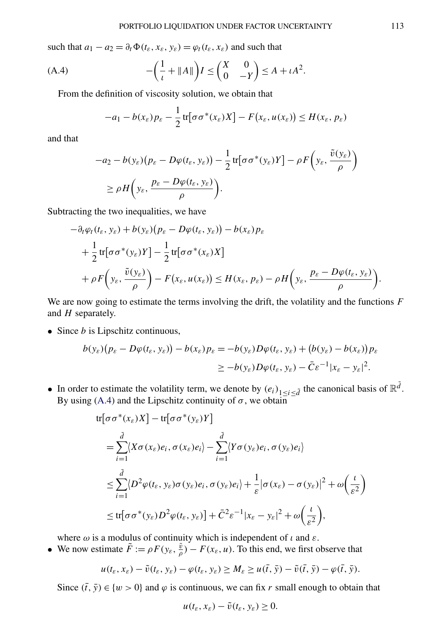such that  $a_1 - a_2 = \partial_t \Phi(t_\varepsilon, x_\varepsilon, y_\varepsilon) = \varphi_t(t_\varepsilon, x_\varepsilon)$  and such that

(A.4) 
$$
-\left(\frac{1}{\iota} + ||A||\right)I \leq \left(\begin{matrix} X & 0 \\ 0 & -Y \end{matrix}\right) \leq A + \iota A^2.
$$

From the definition of viscosity solution, we obtain that

$$
-a_1 - b(x_\varepsilon)p_\varepsilon - \frac{1}{2}\text{tr}[\sigma\sigma^*(x_\varepsilon)X] - F(x_\varepsilon, u(x_\varepsilon)) \le H(x_\varepsilon, p_\varepsilon)
$$

and that

$$
-a_2 - b(y_\varepsilon)(p_\varepsilon - D\varphi(t_\varepsilon, y_\varepsilon)) - \frac{1}{2} \text{tr}[\sigma \sigma^*(y_\varepsilon)Y] - \rho F(y_\varepsilon, \frac{\tilde{v}(y_\varepsilon)}{\rho})
$$
  
 
$$
\ge \rho H(y_\varepsilon, \frac{p_\varepsilon - D\varphi(t_\varepsilon, y_\varepsilon)}{\rho}).
$$

Subtracting the two inequalities, we have

$$
-\partial_t \varphi_t(t_\varepsilon, y_\varepsilon) + b(y_\varepsilon) (p_\varepsilon - D\varphi(t_\varepsilon, y_\varepsilon)) - b(x_\varepsilon) p_\varepsilon + \frac{1}{2} \text{tr} [\sigma \sigma^*(y_\varepsilon) Y] - \frac{1}{2} \text{tr} [\sigma \sigma^*(x_\varepsilon) X] + \rho F\left(y_\varepsilon, \frac{\tilde{v}(y_\varepsilon)}{\rho}\right) - F(x_\varepsilon, u(x_\varepsilon)) \le H(x_\varepsilon, p_\varepsilon) - \rho H\left(y_\varepsilon, \frac{p_\varepsilon - D\varphi(t_\varepsilon, y_\varepsilon)}{\rho}\right).
$$

We are now going to estimate the terms involving the drift, the volatility and the functions *F* and *H* separately.

• Since *b* is Lipschitz continuous,

$$
b(y_{\varepsilon})(p_{\varepsilon}-D\varphi(t_{\varepsilon}, y_{\varepsilon})) - b(x_{\varepsilon})p_{\varepsilon} = -b(y_{\varepsilon})D\varphi(t_{\varepsilon}, y_{\varepsilon}) + (b(y_{\varepsilon}) - b(x_{\varepsilon}))p_{\varepsilon}
$$
  

$$
\geq -b(y_{\varepsilon})D\varphi(t_{\varepsilon}, y_{\varepsilon}) - \bar{C}\varepsilon^{-1}|x_{\varepsilon} - y_{\varepsilon}|^{2}.
$$

• In order to estimate the volatility term, we denote by  $(e_i)_{1 \leq i \leq \tilde{d}}$  the canonical basis of  $\mathbb{R}^{\tilde{d}}$ . By using (A.4) and the Lipschitz continuity of  $\sigma$ , we obtain

$$
\begin{split} \n\text{tr}[\sigma \sigma^*(x_{\varepsilon}) X] - \text{tr}[\sigma \sigma^*(y_{\varepsilon}) Y] \\ \n&= \sum_{i=1}^{\tilde{d}} \langle X \sigma(x_{\varepsilon}) e_i, \sigma(x_{\varepsilon}) e_i \rangle - \sum_{i=1}^{\tilde{d}} \langle Y \sigma(y_{\varepsilon}) e_i, \sigma(y_{\varepsilon}) e_i \rangle \\ \n&\le \sum_{i=1}^{\tilde{d}} \langle D^2 \varphi(t_{\varepsilon}, y_{\varepsilon}) \sigma(y_{\varepsilon}) e_i, \sigma(y_{\varepsilon}) e_i \rangle + \frac{1}{\varepsilon} |\sigma(x_{\varepsilon}) - \sigma(y_{\varepsilon})|^2 + \omega\left(\frac{t}{\varepsilon^2}\right) \\ \n&\le \text{tr}[\sigma \sigma^*(y_{\varepsilon}) D^2 \varphi(t_{\varepsilon}, y_{\varepsilon})] + \bar{C}^2 \varepsilon^{-1} |x_{\varepsilon} - y_{\varepsilon}|^2 + \omega\left(\frac{t}{\varepsilon^2}\right), \n\end{split}
$$

where  $\omega$  is a modulus of continuity which is independent of  $\iota$  and  $\varepsilon$ .

• We now estimate  $\tilde{F} := \rho F(y_{\varepsilon}, \frac{\tilde{v}}{\rho}) - F(x_{\varepsilon}, u)$ . To this end, we first observe that

$$
u(t_{\varepsilon},x_{\varepsilon})-\tilde{v}(t_{\varepsilon},y_{\varepsilon})-\varphi(t_{\varepsilon},y_{\varepsilon})\geq M_{\varepsilon}\geq u(\bar{t},\bar{y})-\tilde{v}(\bar{t},\bar{y})-\varphi(\bar{t},\bar{y}).
$$

Since  $(\bar{t}, \bar{y}) \in \{w > 0\}$  and  $\varphi$  is continuous, we can fix *r* small enough to obtain that

$$
u(t_{\varepsilon},x_{\varepsilon})-\tilde{v}(t_{\varepsilon},y_{\varepsilon})\geq 0.
$$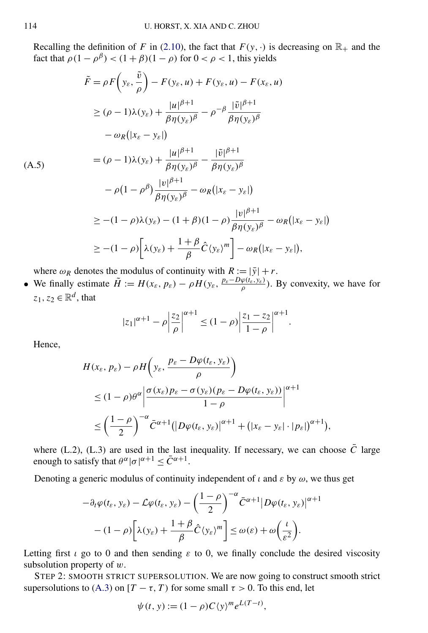<span id="page-34-0"></span>Recalling the definition of *F* in [\(2.10\)](#page-8-0), the fact that  $F(y, \cdot)$  is decreasing on  $\mathbb{R}_+$  and the fact that  $\rho(1 - \rho^{\beta}) < (1 + \beta)(1 - \rho)$  for  $0 < \rho < 1$ , this yields

$$
\tilde{F} = \rho F\left(y_{\varepsilon}, \frac{\tilde{v}}{\rho}\right) - F(y_{\varepsilon}, u) + F(y_{\varepsilon}, u) - F(x_{\varepsilon}, u)
$$
\n
$$
\geq (\rho - 1)\lambda(y_{\varepsilon}) + \frac{|u|^{\beta + 1}}{\beta \eta(y_{\varepsilon})^{\beta}} - \rho^{-\beta} \frac{|\tilde{v}|^{\beta + 1}}{\beta \eta(y_{\varepsilon})^{\beta}}
$$
\n
$$
-\omega_R(|x_{\varepsilon} - y_{\varepsilon}|)
$$
\n(A.5)\n
$$
= (\rho - 1)\lambda(y_{\varepsilon}) + \frac{|u|^{\beta + 1}}{\beta \eta(y_{\varepsilon})^{\beta}} - \frac{|\tilde{v}|^{\beta + 1}}{\beta \eta(y_{\varepsilon})^{\beta}}
$$
\n
$$
-\rho(1 - \rho^{\beta}) \frac{|v|^{\beta + 1}}{\beta \eta(y_{\varepsilon})^{\beta}} - \omega_R(|x_{\varepsilon} - y_{\varepsilon}|)
$$
\n
$$
\geq -(1 - \rho)\lambda(y_{\varepsilon}) - (1 + \beta)(1 - \rho) \frac{|v|^{\beta + 1}}{\beta \eta(y_{\varepsilon})^{\beta}} - \omega_R(|x_{\varepsilon} - y_{\varepsilon}|)
$$
\n
$$
\geq -(1 - \rho) \left[\lambda(y_{\varepsilon}) + \frac{1 + \beta}{\beta} \hat{C}\langle y_{\varepsilon}\rangle^{m}\right] - \omega_R(|x_{\varepsilon} - y_{\varepsilon}|),
$$

where  $\omega_R$  denotes the modulus of continuity with  $R := |\bar{y}| + r$ .

• We finally estimate  $\tilde{H} := H(x_{\varepsilon}, p_{\varepsilon}) - \rho H(y_{\varepsilon}, \frac{p_{\varepsilon} - D\varphi(t_{\varepsilon}, y_{\varepsilon})}{\rho})$ . By convexity, we have for  $z_1, z_2 \in \mathbb{R}^d$ , that

$$
|z_1|^{\alpha+1} - \rho \left| \frac{z_2}{\rho} \right|^{\alpha+1} \le (1 - \rho) \left| \frac{z_1 - z_2}{1 - \rho} \right|^{\alpha+1}.
$$

Hence,

$$
H(x_{\varepsilon}, p_{\varepsilon}) - \rho H\left(y_{\varepsilon}, \frac{p_{\varepsilon} - D\varphi(t_{\varepsilon}, y_{\varepsilon})}{\rho}\right)
$$
  
\n
$$
\leq (1 - \rho)\theta^{\alpha} \left| \frac{\sigma(x_{\varepsilon})p_{\varepsilon} - \sigma(y_{\varepsilon})(p_{\varepsilon} - D\varphi(t_{\varepsilon}, y_{\varepsilon}))}{1 - \rho}\right|^{\alpha + 1}
$$
  
\n
$$
\leq \left(\frac{1 - \rho}{2}\right)^{-\alpha} \bar{C}^{\alpha + 1} \left(|D\varphi(t_{\varepsilon}, y_{\varepsilon})|^{\alpha + 1} + (|x_{\varepsilon} - y_{\varepsilon}| \cdot |p_{\varepsilon}|)^{\alpha + 1}\right),
$$

where (L.2), (L.3) are used in the last inequality. If necessary, we can choose  $\bar{C}$  large enough to satisfy that  $\theta^{\alpha}|\sigma|^{\alpha+1} \leq \overline{C}^{\alpha+1}$ .

Denoting a generic modulus of continuity independent of  $\iota$  and  $\varepsilon$  by  $\omega$ , we thus get

$$
-\partial_t \varphi(t_\varepsilon, y_\varepsilon) - \mathcal{L}\varphi(t_\varepsilon, y_\varepsilon) - \left(\frac{1-\rho}{2}\right)^{-\alpha} \bar{C}^{\alpha+1} |D\varphi(t_\varepsilon, y_\varepsilon)|^{\alpha+1}
$$

$$
- (1-\rho) \bigg[ \lambda(y_\varepsilon) + \frac{1+\beta}{\beta} \hat{C} \langle y_\varepsilon \rangle^m \bigg] \le \omega(\varepsilon) + \omega \bigg(\frac{t}{\varepsilon^2}\bigg).
$$

Letting first  $\iota$  go to 0 and then sending  $\varepsilon$  to 0, we finally conclude the desired viscosity subsolution property of *w*.

STEP 2: SMOOTH STRICT SUPERSOLUTION. We are now going to construct smooth strict supersolutions to [\(A.3\)](#page-32-0) on  $[T - \tau, T)$  for some small  $\tau > 0$ . To this end, let

$$
\psi(t, y) := (1 - \rho)C\langle y \rangle^m e^{L(T - t)},
$$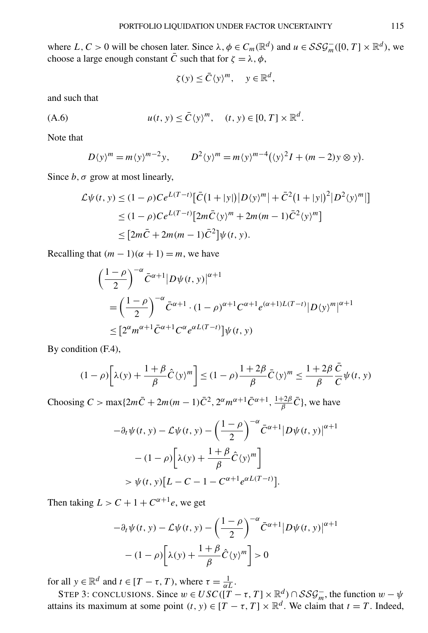<span id="page-35-0"></span>where  $L, C > 0$  will be chosen later. Since  $\lambda, \phi \in C_m(\mathbb{R}^d)$  and  $u \in \mathcal{SSG}_m^-([0, T] \times \mathbb{R}^d)$ , we choose a large enough constant  $\bar{C}$  such that for  $\zeta = \lambda$ ,  $\phi$ ,

$$
\zeta(y) \le \bar{C}\langle y \rangle^m, \quad y \in \mathbb{R}^d,
$$

and such that

$$
(A.6) \t u(t, y) \leq \bar{C} \langle y \rangle^m, \t (t, y) \in [0, T] \times \mathbb{R}^d.
$$

Note that

$$
D(y)^m = m\langle y \rangle^{m-2} y, \qquad D^2\langle y \rangle^m = m\langle y \rangle^{m-4} (\langle y \rangle^2 I + (m-2) y \otimes y).
$$

Since  $b, \sigma$  grow at most linearly,

$$
\mathcal{L}\psi(t, y) \le (1 - \rho)Ce^{L(T-t)}[\bar{C}(1+|y|)|D\langle y\rangle^m| + \bar{C}^2(1+|y|)^2|D^2\langle y\rangle^m|]
$$
  
\n
$$
\le (1 - \rho)Ce^{L(T-t)}[2m\bar{C}\langle y\rangle^m + 2m(m-1)\bar{C}^2\langle y\rangle^m]
$$
  
\n
$$
\le [2m\bar{C} + 2m(m-1)\bar{C}^2]\psi(t, y).
$$

Recalling that  $(m - 1)(\alpha + 1) = m$ , we have

$$
\begin{aligned} &\left(\frac{1-\rho}{2}\right)^{-\alpha}\bar{C}^{\alpha+1}|D\psi(t,y)|^{\alpha+1} \\ &=\left(\frac{1-\rho}{2}\right)^{-\alpha}\bar{C}^{\alpha+1}\cdot(1-\rho)^{\alpha+1}C^{\alpha+1}e^{(\alpha+1)L(T-t)}|D\langle y\rangle^{m}|^{\alpha+1} \\ &\leq [2^{\alpha}m^{\alpha+1}\bar{C}^{\alpha+1}C^{\alpha}e^{\alpha L(T-t)}]\psi(t,y) \end{aligned}
$$

By condition (F.4),

$$
(1 - \rho) \left[ \lambda(y) + \frac{1 + \beta}{\beta} \hat{C}(y)^m \right] \le (1 - \rho) \frac{1 + 2\beta}{\beta} \bar{C}(y)^m \le \frac{1 + 2\beta}{\beta} \frac{\bar{C}}{C} \psi(t, y)
$$

Choosing  $C > \max\{2m\bar{C} + 2m(m-1)\bar{C}^2, 2^{\alpha}m^{\alpha+1}\bar{C}^{\alpha+1}, \frac{1+2\beta}{\beta}\bar{C}\}\)$ , we have

$$
-\partial_t \psi(t, y) - \mathcal{L}\psi(t, y) - \left(\frac{1-\rho}{2}\right)^{-\alpha} \bar{C}^{\alpha+1} |D\psi(t, y)|^{\alpha+1}
$$

$$
- (1-\rho) \left[ \lambda(y) + \frac{1+\beta}{\beta} \hat{C}(y)^m \right]
$$

$$
> \psi(t, y) [L - C - 1 - C^{\alpha+1} e^{\alpha L(T-t)}].
$$

Then taking  $L > C + 1 + C^{\alpha+1}e$ , we get

$$
-\partial_t \psi(t, y) - \mathcal{L}\psi(t, y) - \left(\frac{1-\rho}{2}\right)^{-\alpha} \bar{C}^{\alpha+1} |D\psi(t, y)|^{\alpha+1}
$$

$$
-(1-\rho)\left[\lambda(y) + \frac{1+\beta}{\beta}\hat{C}(y)^m\right] > 0
$$

for all  $y \in \mathbb{R}^d$  and  $t \in [T - \tau, T)$ , where  $\tau = \frac{1}{\alpha L}$ .

STEP 3: CONCLUSIONS. Since  $w \in USC([T - \tau, T] \times \mathbb{R}^d) \cap SSG_m^-$ , the function  $w - \psi$ attains its maximum at some point  $(t, y) \in [T - \tau, T] \times \mathbb{R}^d$ . We claim that  $t = T$ . Indeed,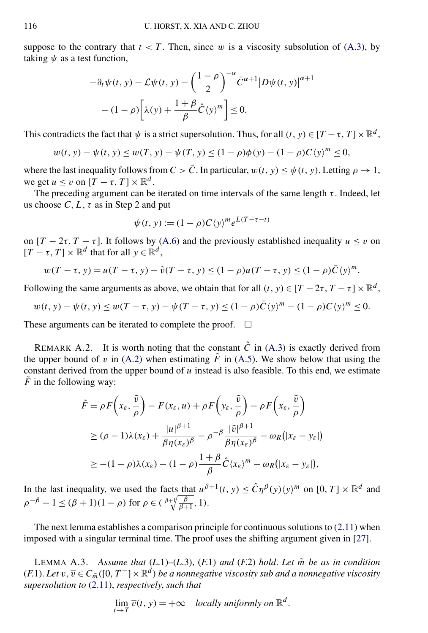<span id="page-36-0"></span>suppose to the contrary that  $t < T$ . Then, since w is a viscosity subsolution of [\(A.3\)](#page-32-0), by taking *ψ* as a test function,

$$
-\partial_t \psi(t, y) - \mathcal{L}\psi(t, y) - \left(\frac{1-\rho}{2}\right)^{-\alpha} \bar{C}^{\alpha+1} |D\psi(t, y)|^{\alpha+1}
$$

$$
- (1-\rho) \left[ \lambda(y) + \frac{1+\beta}{\beta} \hat{C}(y)^m \right] \le 0.
$$

This contradicts the fact that  $\psi$  is a strict supersolution. Thus, for all  $(t, y) \in [T - \tau, T] \times \mathbb{R}^d$ .

$$
w(t, y) - \psi(t, y) \le w(T, y) - \psi(T, y) \le (1 - \rho)\phi(y) - (1 - \rho)C\langle y \rangle^m \le 0,
$$

where the last inequality follows from  $C > \overline{C}$ . In particular,  $w(t, y) < \psi(t, y)$ . Letting  $\rho \to 1$ , we get  $u \le v$  on  $[T - \tau, T] \times \mathbb{R}^d$ .

The preceding argument can be iterated on time intervals of the same length  $\tau$ . Indeed, let us choose  $C, L, \tau$  as in Step 2 and put

$$
\psi(t, y) := (1 - \rho)C\langle y \rangle^m e^{L(T - \tau - t)}
$$

on  $[T - 2\tau, T - \tau]$ . It follows by [\(A.6\)](#page-35-0) and the previously established inequality  $u \le v$  on  $[T - \tau, T] \times \mathbb{R}^d$  that for all  $y \in \mathbb{R}^d$ ,

$$
w(T - \tau, y) = u(T - \tau, y) - \tilde{v}(T - \tau, y) \le (1 - \rho)u(T - \tau, y) \le (1 - \rho)\bar{C}\langle y \rangle^{m}.
$$

Following the same arguments as above, we obtain that for all  $(t, y) \in [T - 2\tau, T - \tau] \times \mathbb{R}^d$ ,

$$
w(t, y) - \psi(t, y) \le w(T - \tau, y) - \psi(T - \tau, y) \le (1 - \rho)\bar{C}\langle y \rangle^m - (1 - \rho)C\langle y \rangle^m \le 0.
$$

These arguments can be iterated to complete the proof.  $\Box$ 

REMARK A.2. It is worth noting that the constant  $\hat{C}$  in [\(A.3\)](#page-32-0) is exactly derived from the upper bound of *v* in [\(A.2\)](#page-31-0) when estimating  $\tilde{F}$  in [\(A.5\)](#page-34-0). We show below that using the constant derived from the upper bound of  $u$  instead is also feasible. To this end, we estimate  $\tilde{F}$  in the following way:

$$
\tilde{F} = \rho F\left(x_{\varepsilon}, \frac{\tilde{v}}{\rho}\right) - F(x_{\varepsilon}, u) + \rho F\left(y_{\varepsilon}, \frac{\tilde{v}}{\rho}\right) - \rho F\left(x_{\varepsilon}, \frac{\tilde{v}}{\rho}\right)
$$
\n
$$
\geq (\rho - 1)\lambda(x_{\varepsilon}) + \frac{|u|^{\beta + 1}}{\beta \eta(x_{\varepsilon})^{\beta}} - \rho^{-\beta} \frac{|\tilde{v}|^{\beta + 1}}{\beta \eta(x_{\varepsilon})^{\beta}} - \omega_R(|x_{\varepsilon} - y_{\varepsilon}|)
$$
\n
$$
\geq -(1 - \rho)\lambda(x_{\varepsilon}) - (1 - \rho) \frac{1 + \beta}{\beta} \hat{C}\langle x_{\varepsilon}\rangle^m - \omega_R(|x_{\varepsilon} - y_{\varepsilon}|),
$$

In the last inequality, we used the facts that  $u^{\beta+1}(t, y) \leq \hat{C} \eta^{\beta}(y) \langle y \rangle^m$  on  $[0, T] \times \mathbb{R}^d$  and  $\rho^{-\beta} - 1 \leq (\beta + 1)(1 - \rho)$  for  $\rho \in (\frac{\beta + 1}{\beta + 1}, 1)$ .

The next lemma establishes a comparison principle for continuous solutions to  $(2.11)$  when imposed with a singular terminal time. The proof uses the shifting argument given in [\[27\]](#page-43-0).

LEMMA A.3. Assume that  $(L.1)$ – $(L.3)$ ,  $(F.1)$  and  $(F.2)$  hold. Let  $\tilde{m}$  be as in condition  $(F.1)$ . *Let*  $\underline{v}, \overline{v} \in C_{\tilde{m}}([0, T^{-}] \times \mathbb{R}^{d})$  *be a nonnegative viscosity sub and a nonnegative viscosity supersolution to* [\(2.11\)](#page-8-0), *respectively*, *such that*

$$
\lim_{t \to T} \overline{v}(t, y) = +\infty
$$
 locally uniformly on  $\mathbb{R}^d$ .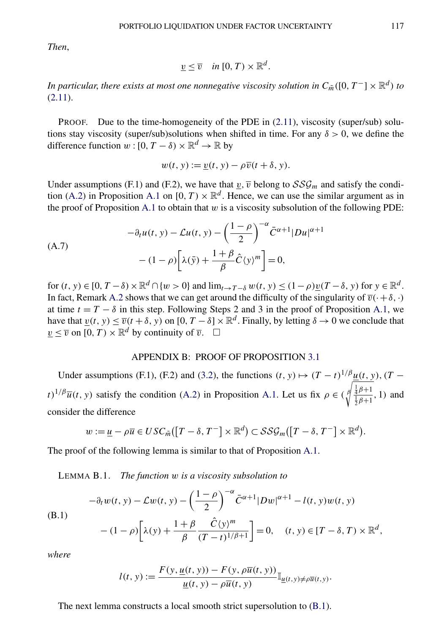<span id="page-37-0"></span>*Then*,

$$
\underline{v} \leq \overline{v} \quad \text{in } [0, T) \times \mathbb{R}^d.
$$

*In particular, there exists at most one nonnegative viscosity solution in*  $C_{\tilde{m}}([0, T^-] \times \mathbb{R}^d)$  *to*  $(2.11).$  $(2.11).$ 

PROOF. Due to the time-homogeneity of the PDE in [\(2.11\)](#page-8-0), viscosity (super/sub) solutions stay viscosity (super/sub)solutions when shifted in time. For any *δ >* 0, we define the difference function  $w : [0, T - \delta) \times \mathbb{R}^d \to \mathbb{R}$  by

$$
w(t, y) := \underline{v}(t, y) - \rho \overline{v}(t + \delta, y).
$$

Under assumptions (F.1) and (F.2), we have that  $v, \overline{v}$  belong to  $SSG_m$  and satisfy the condi-tion [\(A.2\)](#page-31-0) in Proposition [A.1](#page-31-0) on  $[0, T) \times \mathbb{R}^d$ . Hence, we can use the similar argument as in the proof of Proposition [A.1](#page-31-0) to obtain that  $w$  is a viscosity subsolution of the following PDE:

$$
-\partial_t u(t, y) - \mathcal{L}u(t, y) - \left(\frac{1-\rho}{2}\right)^{-\alpha} \bar{C}^{\alpha+1} |Du|^{\alpha+1}
$$

$$
- (1-\rho) \left[\lambda(\bar{y}) + \frac{1+\beta}{\beta} \hat{C}\langle y \rangle^m\right] = 0,
$$

for  $(t, y) \in [0, T - \delta) \times \mathbb{R}^d \cap \{w > 0\}$  and  $\lim_{t \to T - \delta} w(t, y) \leq (1 - \rho) v(T - \delta, y)$  for  $y \in \mathbb{R}^d$ . In fact, Remark [A.2](#page-36-0) shows that we can get around the difficulty of the singularity of  $\overline{v}(\cdot+\delta,\cdot)$ at time  $t = T - \delta$  in this step. Following Steps 2 and 3 in the proof of Proposition [A.1,](#page-31-0) we have that  $v(t, y) \leq \overline{v}(t + \delta, y)$  on  $[0, T - \delta] \times \mathbb{R}^d$ . Finally, by letting  $\delta \to 0$  we conclude that  $\nu \leq \overline{v}$  on  $[0, T) \times \mathbb{R}^d$  by continuity of  $\overline{v}$ .  $\Box$ 

### APPENDIX B: PROOF OF PROPOSITION [3.1](#page-11-0)

Under assumptions (F.1), (F.2) and [\(3.2\)](#page-11-0), the functions  $(t, y) \mapsto (T - t)^{1/\beta} u(t, y)$ ,  $(T - t)$  $t$ <sup>)</sup><sup>1</sup>/<sup>*β*</sup> $\overline{u}(t, y)$  satisfy the condition [\(A.2\)](#page-31-0) in Proposition [A.1.](#page-31-0) Let us fix  $\rho \in (\sqrt[{\frac{4}{3}\beta+1 \over 2\beta+1}}, 1)$  and consider the difference

$$
w := \underline{u} - \rho \overline{u} \in USC_{\tilde{m}}([T - \delta, T^{-}] \times \mathbb{R}^{d}) \subset \mathcal{SSG}_{m}([T - \delta, T^{-}] \times \mathbb{R}^{d}).
$$

The proof of the following lemma is similar to that of Proposition [A.1.](#page-31-0)

LEMMA B.1. *The function w is a viscosity subsolution to*

$$
-\partial_t w(t, y) - \mathcal{L}w(t, y) - \left(\frac{1-\rho}{2}\right)^{-\alpha} \bar{C}^{\alpha+1} |Dw|^{\alpha+1} - l(t, y)w(t, y)
$$
  
(B.1)  

$$
- (1-\rho) \left[ \lambda(y) + \frac{1+\beta}{\beta} \frac{\hat{C}(y)^m}{(T-t)^{1/\beta+1}} \right] = 0, \quad (t, y) \in [T-\delta, T) \times \mathbb{R}^d,
$$

*where*

$$
l(t, y) := \frac{F(y, \underline{u}(t, y)) - F(y, \rho \overline{u}(t, y))}{\underline{u}(t, y) - \rho \overline{u}(t, y)} \mathbb{I}_{\underline{u}(t, y) \neq \rho \overline{u}(t, y)}.
$$

The next lemma constructs a local smooth strict supersolution to (B.1).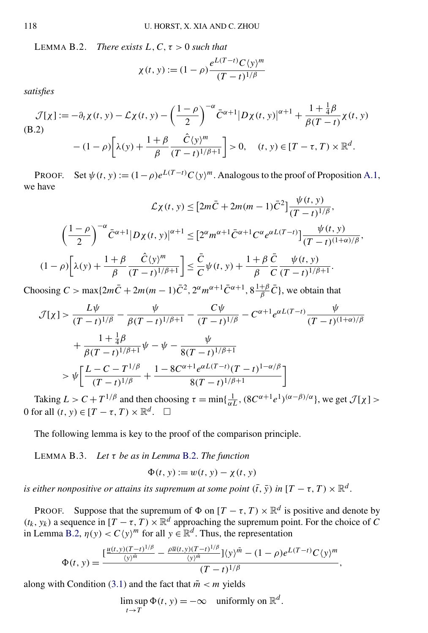<span id="page-38-0"></span>LEMMA B.2. *There exists L, C,*  $\tau > 0$  *such that* 

$$
\chi(t, y) := (1 - \rho) \frac{e^{L(T - t)} C \langle y \rangle^m}{(T - t)^{1/\beta}}
$$

*satisfies*

$$
\mathcal{J}[\chi] := -\partial_t \chi(t, y) - \mathcal{L}\chi(t, y) - \left(\frac{1-\rho}{2}\right)^{-\alpha} \bar{C}^{\alpha+1} |D\chi(t, y)|^{\alpha+1} + \frac{1+\frac{1}{4}\beta}{\beta(T-t)} \chi(t, y)
$$
  
(B.2)  

$$
- (1-\rho) \left[ \lambda(y) + \frac{1+\beta}{\beta} \frac{\hat{C}(y)^m}{(T-t)^{1/\beta+1}} \right] > 0, \quad (t, y) \in [T-\tau, T) \times \mathbb{R}^d.
$$

PROOF. Set  $\psi(t, y) := (1 - \rho)e^{L(T - t)}C(y)^m$ . Analogous to the proof of Proposition [A.1,](#page-31-0) we have

$$
\mathcal{L}\chi(t, y) \leq \left[2m\bar{C} + 2m(m-1)\bar{C}^2\right] \frac{\psi(t, y)}{(T - t)^{1/\beta}},
$$

$$
\left(\frac{1 - \rho}{2}\right)^{-\alpha} \bar{C}^{\alpha+1} |D\chi(t, y)|^{\alpha+1} \leq \left[2^{\alpha} m^{\alpha+1} \bar{C}^{\alpha+1} C^{\alpha} e^{\alpha L(T - t)}\right] \frac{\psi(t, y)}{(T - t)^{(1 + \alpha)/\beta}},
$$

$$
(1 - \rho) \left[\lambda(y) + \frac{1 + \beta}{\beta} \frac{\hat{C}(y)^m}{(T - t)^{1/\beta+1}}\right] \leq \frac{\bar{C}}{C} \psi(t, y) + \frac{1 + \beta}{\beta} \frac{\bar{C}}{C} \frac{\psi(t, y)}{(T - t)^{1/\beta+1}}.
$$

Choosing  $C > \max\{2m\bar{C} + 2m(m-1)\bar{C}^2, 2^{\alpha}m^{\alpha+1}\bar{C}^{\alpha+1}, 8\frac{1+\beta}{\beta}\bar{C}\}$ , we obtain that

$$
\mathcal{J}[\chi] > \frac{L\psi}{(T-t)^{1/\beta}} - \frac{\psi}{\beta(T-t)^{1/\beta+1}} - \frac{C\psi}{(T-t)^{1/\beta}} - C^{\alpha+1}e^{\alpha L(T-t)}\frac{\psi}{(T-t)^{(1+\alpha)/\beta}}
$$

$$
+ \frac{1+\frac{1}{4}\beta}{\beta(T-t)^{1/\beta+1}}\psi - \psi - \frac{\psi}{8(T-t)^{1/\beta+1}}
$$

$$
> \psi \left[ \frac{L-C-T^{1/\beta}}{(T-t)^{1/\beta}} + \frac{1-8C^{\alpha+1}e^{\alpha L(T-t)}(T-t)^{1-\alpha/\beta}}{8(T-t)^{1/\beta+1}} \right]
$$

Taking  $L > C + T^{1/\beta}$  and then choosing  $\tau = \min\{\frac{1}{\alpha L}, (8C^{\alpha+1}e^{1})^{(\alpha-\beta)/\alpha}\}\)$ , we get  $\mathcal{J}[\chi]$  > 0 for all  $(t, y) \in [T - \tau, T) \times \mathbb{R}^d$ .  $\Box$ 

The following lemma is key to the proof of the comparison principle.

LEMMA B.3. *Let τ be as in Lemma* B.2. *The function*

$$
\Phi(t, y) := w(t, y) - \chi(t, y)
$$

*is either nonpositive or attains its supremum at some point*  $(\bar{t}, \bar{y})$  *in*  $[T - \tau, T) \times \mathbb{R}^d$ .

PROOF. Suppose that the supremum of  $\Phi$  on  $[T - \tau, T] \times \mathbb{R}^d$  is positive and denote by  $(t_k, y_k)$  a sequence in  $[T - \tau, T] \times \mathbb{R}^d$  approaching the supremum point. For the choice of *C* in Lemma B.2,  $\eta(y) < C(y)^m$  for all  $y \in \mathbb{R}^d$ . Thus, the representation

$$
\Phi(t, y) = \frac{\left[\frac{u(t, y)(T-t)^{1/\beta}}{\langle y \rangle^{\tilde{m}}} - \frac{\rho \overline{u}(t, y)(T-t)^{1/\beta}}{\langle y \rangle^{\tilde{m}}}\right] \langle y \rangle^{\tilde{m}} - (1 - \rho)e^{L(T-t)}C\langle y \rangle^{\tilde{m}}}{(T-t)^{1/\beta}},
$$

along with Condition [\(3.1\)](#page-11-0) and the fact that  $\tilde{m} < m$  yields

lim sup  $t \rightarrow T$  $\Phi(t, y) = -\infty$  uniformly on  $\mathbb{R}^d$ .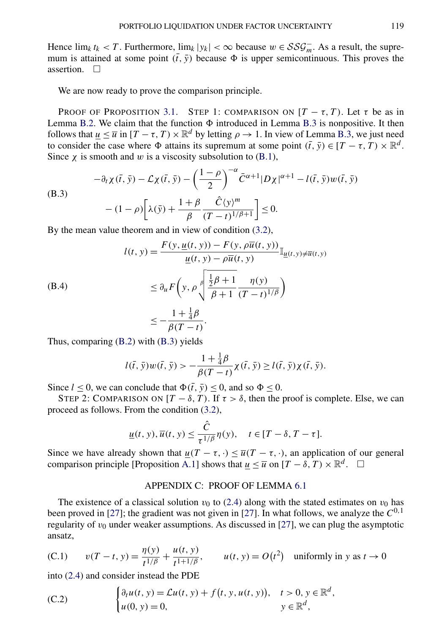<span id="page-39-0"></span>Hence  $\lim_k t_k < T$ . Furthermore,  $\lim_k |y_k| < \infty$  because  $w \in \mathcal{SSG}_m^-$ . As a result, the supremum is attained at some point  $(\bar{t}, \bar{y})$  because  $\Phi$  is upper semicontinuous. This proves the assertion.  $\Box$ 

We are now ready to prove the comparison principle.

PROOF OF PROPOSITION [3.1.](#page-11-0) STEP 1: COMPARISON ON  $[T - \tau, T)$ . Let  $\tau$  be as in Lemma [B.2.](#page-38-0) We claim that the function  $\Phi$  introduced in Lemma [B.3](#page-38-0) is nonpositive. It then follows that  $\underline{u} \leq \overline{u}$  in  $[T - \tau, T) \times \mathbb{R}^d$  by letting  $\rho \to 1$ . In view of Lemma [B.3,](#page-38-0) we just need to consider the case where  $\Phi$  attains its supremum at some point  $(\bar{t}, \bar{y}) \in [T - \tau, T) \times \mathbb{R}^d$ . Since  $\chi$  is smooth and *w* is a viscosity subsolution to [\(B.1\)](#page-37-0),

(B.3)  
\n
$$
-\partial_t \chi(\bar{t}, \bar{y}) - \mathcal{L}\chi(\bar{t}, \bar{y}) - \left(\frac{1-\rho}{2}\right)^{-\alpha} \bar{C}^{\alpha+1} |D\chi|^{\alpha+1} - l(\bar{t}, \bar{y}) w(\bar{t}, \bar{y})
$$
\n
$$
- (1-\rho) \left[ \lambda(\bar{y}) + \frac{1+\beta}{\beta} \frac{\hat{C}\langle y \rangle^m}{(T-t)^{1/\beta+1}} \right] \le 0.
$$

By the mean value theorem and in view of condition [\(3.2\)](#page-11-0),

(B.4)  

$$
l(t, y) = \frac{F(y, \underline{u}(t, y)) - F(y, \rho \overline{u}(t, y))}{\underline{u}(t, y) - \rho \overline{u}(t, y)} \mathbb{I}_{\underline{u}(t, y) \neq \overline{u}(t, y)}
$$

$$
\leq \partial_u F\left(y, \rho \sqrt{\frac{\frac{1}{2}\beta + 1}{\beta + 1} \frac{\eta(y)}{(T - t)^{1/\beta}}}\right)
$$

$$
\leq -\frac{1 + \frac{1}{4}\beta}{\beta(T - t)}.
$$

Thus, comparing [\(B.2\)](#page-38-0) with (B.3) yields

$$
l(\bar{t},\bar{y})w(\bar{t},\bar{y})>-\frac{1+\frac{1}{4}\beta}{\beta(T-t)}\chi(\bar{t},\bar{y})\geq l(\bar{t},\bar{y})\chi(\bar{t},\bar{y}).
$$

Since  $l \le 0$ , we can conclude that  $\Phi(\bar{t}, \bar{y}) \le 0$ , and so  $\Phi \le 0$ .

STEP 2: COMPARISON ON  $[T - \delta, T)$ . If  $\tau > \delta$ , then the proof is complete. Else, we can proceed as follows. From the condition [\(3.2\)](#page-11-0),

$$
\underline{u}(t, y), \overline{u}(t, y) \le \frac{\hat{C}}{\tau^{1/\beta}} \eta(y), \quad t \in [T - \delta, T - \tau].
$$

Since we have already shown that  $u(T - \tau, \cdot) \leq \overline{u}(T - \tau, \cdot)$ , an application of our general comparison principle [Proposition [A.1\]](#page-31-0) shows that  $\mu \leq \overline{u}$  on  $[T - \delta, T) \times \mathbb{R}^d$ .  $\Box$ 

## APPENDIX C: PROOF OF LEMMA [6.1](#page-25-0)

The existence of a classical solution  $v_0$  to [\(2.4\)](#page-4-0) along with the stated estimates on  $v_0$  has been proved in [\[27\]](#page-43-0); the gradient was not given in [27]. In what follows, we analyze the  $C^{0,1}$ regularity of  $v_0$  under weaker assumptions. As discussed in [\[27\]](#page-43-0), we can plug the asymptotic ansatz,

(C.1) 
$$
v(T - t, y) = \frac{\eta(y)}{t^{1/\beta}} + \frac{u(t, y)}{t^{1 + 1/\beta}}, \qquad u(t, y) = O(t^2) \text{ uniformly in } y \text{ as } t \to 0
$$

into [\(2.4\)](#page-4-0) and consider instead the PDE

(C.2) 
$$
\begin{cases} \partial_t u(t, y) = \mathcal{L}u(t, y) + f(t, y, u(t, y)), & t > 0, y \in \mathbb{R}^d, \\ u(0, y) = 0, & y \in \mathbb{R}^d, \end{cases}
$$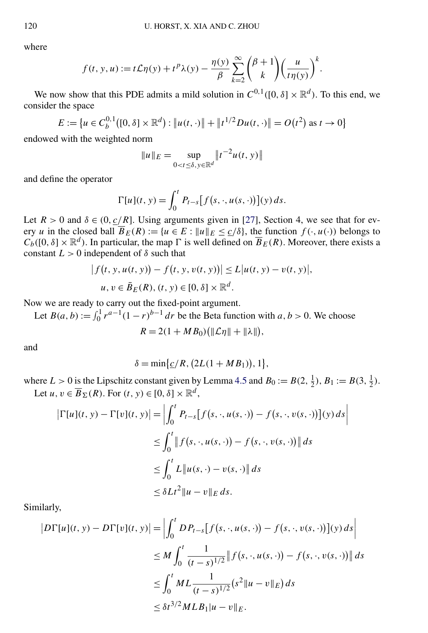where

$$
f(t, y, u) := t\mathcal{L}\eta(y) + t^p \lambda(y) - \frac{\eta(y)}{\beta} \sum_{k=2}^{\infty} {\binom{\beta+1}{k}} {\left(\frac{u}{t\eta(y)}\right)}^k.
$$

We now show that this PDE admits a mild solution in  $C^{0,1}([0,\delta] \times \mathbb{R}^d)$ . To this end, we consider the space

$$
E := \{ u \in C_b^{0,1}([0,\delta] \times \mathbb{R}^d) : \| u(t,\cdot) \| + \| t^{1/2} D u(t,\cdot) \| = O(t^2) \text{ as } t \to 0 \}
$$

endowed with the weighted norm

$$
||u||_E = \sup_{0 < t \leq \delta, y \in \mathbb{R}^d} ||t^{-2}u(t, y)||
$$

and define the operator

$$
\Gamma[u](t, y) = \int_0^t P_{t-s}[f(s, \cdot, u(s, \cdot))](y) ds.
$$

Let  $R > 0$  and  $\delta \in (0, c/R]$ . Using arguments given in [\[27\]](#page-43-0), Section 4, we see that for every *u* in the closed ball  $\overline{B}_E(R) := \{u \in E : ||u||_E \le \frac{c}{\delta}\}$ , the function  $f(\cdot, u(\cdot))$  belongs to  $C_b([0, \delta] \times \mathbb{R}^d)$ . In particular, the map  $\Gamma$  is well defined on  $\overline{B}_E(R)$ . Moreover, there exists a constant  $L > 0$  independent of  $\delta$  such that

$$
|f(t, y, u(t, y)) - f(t, y, v(t, y))| \le L |u(t, y) - v(t, y)|,
$$
  
  $u, v \in \bar{B}_E(R), (t, y) \in [0, \delta] \times \mathbb{R}^d.$ 

Now we are ready to carry out the fixed-point argument.

Let  $B(a, b) := \int_0^1 r^{a-1} (1 - r)^{b-1} dr$  be the Beta function with  $a, b > 0$ . We choose

$$
R=2(1+MB_0)\big(\|\mathcal{L}\eta\|+\|\lambda\|\big),\,
$$

and

$$
\delta = \min\{\underline{c}/R, (2L(1+MB_1)), 1\},\
$$

where  $L > 0$  is the Lipschitz constant given by Lemma [4.5](#page-18-0) and  $B_0 := B(2, \frac{1}{2})$ ,  $B_1 := B(3, \frac{1}{2})$ . Let  $u, v \in \overline{B}_{\Sigma}(R)$ . For  $(t, y) \in [0, \delta] \times \mathbb{R}^d$ ,

$$
\begin{aligned} \left| \Gamma[u](t, y) - \Gamma[v](t, y) \right| &= \left| \int_0^t P_{t-s} \left[ f(s, \cdot, u(s, \cdot)) - f(s, \cdot, v(s, \cdot)) \right](y) \, ds \right| \\ &\le \int_0^t \left| f(s, \cdot, u(s, \cdot)) - f(s, \cdot, v(s, \cdot)) \right| \, ds \\ &\le \int_0^t L \left\| u(s, \cdot) - v(s, \cdot) \right\| \, ds \\ &\le \delta L t^2 \left\| u - v \right\|_E \, ds. \end{aligned}
$$

Similarly,

$$
|D\Gamma[u](t, y) - D\Gamma[v](t, y)| = \left| \int_0^t D P_{t-s} [f(s, \cdot, u(s, \cdot)) - f(s, \cdot, v(s, \cdot))](y) ds \right|
$$
  
\n
$$
\leq M \int_0^t \frac{1}{(t-s)^{1/2}} \| f(s, \cdot, u(s, \cdot)) - f(s, \cdot, v(s, \cdot)) \| ds
$$
  
\n
$$
\leq \int_0^t M L \frac{1}{(t-s)^{1/2}} (s^2 \| u - v \|_E) ds
$$
  
\n
$$
\leq \delta t^{3/2} M L B_1 \| u - v \|_E.
$$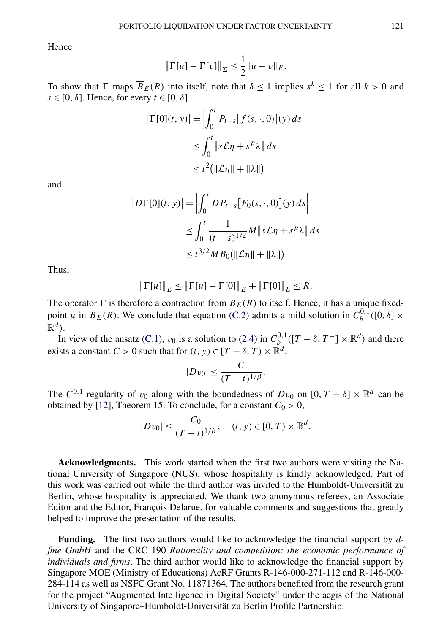Hence

$$
\|\Gamma[u] - \Gamma[v]\|_{\Sigma} \le \frac{1}{2} \|u - v\|_{E}.
$$

To show that  $\Gamma$  maps  $\overline{B}_E(R)$  into itself, note that  $\delta \le 1$  implies  $s^k \le 1$  for all  $k > 0$  and  $s \in [0, \delta]$ . Hence, for every  $t \in [0, \delta]$ 

$$
|\Gamma[0](t, y)| = \left| \int_0^t P_{t-s} [f(s, \cdot, 0)](y) ds \right|
$$
  
\n
$$
\leq \int_0^t \|s \mathcal{L} \eta + s^p \lambda \| ds
$$
  
\n
$$
\leq t^2 (\|\mathcal{L} \eta\| + \|\lambda\|)
$$

and

$$
|D\Gamma[0](t, y)| = \left| \int_0^t D P_{t-s} [F_0(s, \cdot, 0)](y) ds \right|
$$
  
\n
$$
\leq \int_0^t \frac{1}{(t-s)^{1/2}} M \|s\mathcal{L}\eta + s^p \lambda \| ds
$$
  
\n
$$
\leq t^{3/2} M B_0 (\|\mathcal{L}\eta\| + \|\lambda\|)
$$

Thus,

$$
\|\Gamma[u]\|_E \le \|\Gamma[u] - \Gamma[0]\|_E + \|\Gamma[0]\|_E \le R.
$$

The operator  $\Gamma$  is therefore a contraction from  $\overline{B}_E(R)$  to itself. Hence, it has a unique fixedpoint *u* in  $\overline{B}_E(R)$ . We conclude that equation [\(C.2\)](#page-39-0) admits a mild solution in  $C_b^{0,1}([0, \delta] \times$  $\mathbb{R}^d$ .

In view of the ansatz [\(C.1\)](#page-39-0),  $v_0$  is a solution to [\(2.4\)](#page-4-0) in  $C_b^{0,1}([T-\delta, T^-] \times \mathbb{R}^d)$  and there exists a constant  $C > 0$  such that for  $(t, y) \in [T - \delta, T) \times \mathbb{R}^d$ ,

$$
|Dv_0| \leq \frac{C}{(T-t)^{1/\beta}}.
$$

The  $C^{0,1}$ -regularity of  $v_0$  along with the boundedness of  $Dv_0$  on  $[0, T - \delta] \times \mathbb{R}^d$  can be obtained by [\[12\]](#page-42-0), Theorem 15. To conclude, for a constant  $C_0 > 0$ ,

$$
|Dv_0| \le \frac{C_0}{(T-t)^{1/\beta}}, \quad (t, y) \in [0, T) \times \mathbb{R}^d.
$$

**Acknowledgments.** This work started when the first two authors were visiting the National University of Singapore (NUS), whose hospitality is kindly acknowledged. Part of this work was carried out while the third author was invited to the Humboldt-Universität zu Berlin, whose hospitality is appreciated. We thank two anonymous referees, an Associate Editor and the Editor, François Delarue, for valuable comments and suggestions that greatly helped to improve the presentation of the results.

**Funding.** The first two authors would like to acknowledge the financial support by *dfine GmbH* and the CRC 190 *Rationality and competition: the economic performance of individuals and firms*. The third author would like to acknowledge the financial support by Singapore MOE (Ministry of Educations) AcRF Grants R-146-000-271-112 and R-146-000- 284-114 as well as NSFC Grant No. 11871364. The authors benefited from the research grant for the project "Augmented Intelligence in Digital Society" under the aegis of the National University of Singapore–Humboldt-Universität zu Berlin Profile Partnership.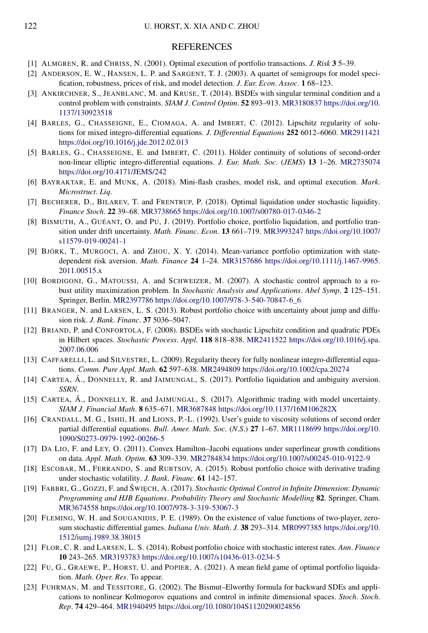#### **REFERENCES**

- <span id="page-42-0"></span>[1] ALMGREN, R. and CHRISS, N. (2001). Optimal execution of portfolio transactions. *J*. *Risk* **3** 5–39.
- [2] ANDERSON, E. W., HANSEN, L. P. and SARGENT, T. J. (2003). A quartet of semigroups for model specification, robustness, prices of risk, and model detection. *J*. *Eur*. *Econ*. *Assoc*. **1** 68–123.
- [3] ANKIRCHNER, S., JEANBLANC, M. and KRUSE, T. (2014). BSDEs with singular terminal condition and a control problem with constraints. *SIAM J*. *Control Optim*. **52** 893–913. [MR3180837](http://www.ams.org/mathscinet-getitem?mr=3180837) [https://doi.org/10.](https://doi.org/10.1137/130923518) [1137/130923518](https://doi.org/10.1137/130923518)
- [4] BARLES, G., CHASSEIGNE, E., CIOMAGA, A. and IMBERT, C. (2012). Lipschitz regularity of solutions for mixed integro-differential equations. *J*. *Differential Equations* **252** 6012–6060. [MR2911421](http://www.ams.org/mathscinet-getitem?mr=2911421) <https://doi.org/10.1016/j.jde.2012.02.013>
- [5] BARLES, G., CHASSEIGNE, E. and IMBERT, C. (2011). Hölder continuity of solutions of second-order non-linear elliptic integro-differential equations. *J*. *Eur*. *Math*. *Soc*. (*JEMS*) **13** 1–26. [MR2735074](http://www.ams.org/mathscinet-getitem?mr=2735074) <https://doi.org/10.4171/JEMS/242>
- [6] BAYRAKTAR, E. and MUNK, A. (2018). Mini-flash crashes, model risk, and optimal execution. *Mark*. *Microstruct*. *Liq*.
- [7] BECHERER, D., BILAREV, T. and FRENTRUP, P. (2018). Optimal liquidation under stochastic liquidity. *Finance Stoch*. **22** 39–68. [MR3738665](http://www.ams.org/mathscinet-getitem?mr=3738665)<https://doi.org/10.1007/s00780-017-0346-2>
- [8] BISMUTH, A., GUÉANT, O. and PU, J. (2019). Portfolio choice, portfolio liquidation, and portfolio transition under drift uncertainty. *Math*. *Financ*. *Econ*. **13** 661–719. [MR3993247](http://www.ams.org/mathscinet-getitem?mr=3993247) [https://doi.org/10.1007/](https://doi.org/10.1007/s11579-019-00241-1) [s11579-019-00241-1](https://doi.org/10.1007/s11579-019-00241-1)
- [9] BJÖRK, T., MURGOCI, A. and ZHOU, X. Y. (2014). Mean-variance portfolio optimization with statedependent risk aversion. *Math*. *Finance* **24** 1–24. [MR3157686](http://www.ams.org/mathscinet-getitem?mr=3157686) [https://doi.org/10.1111/j.1467-9965.](https://doi.org/10.1111/j.1467-9965.2011.00515.x) [2011.00515.x](https://doi.org/10.1111/j.1467-9965.2011.00515.x)
- [10] BORDIGONI, G., MATOUSSI, A. and SCHWEIZER, M. (2007). A stochastic control approach to a robust utility maximization problem. In *Stochastic Analysis and Applications*. *Abel Symp*. **2** 125–151. Springer, Berlin. [MR2397786](http://www.ams.org/mathscinet-getitem?mr=2397786) [https://doi.org/10.1007/978-3-540-70847-6\\_6](https://doi.org/10.1007/978-3-540-70847-6_6)
- [11] BRANGER, N. and LARSEN, L. S. (2013). Robust portfolio choice with uncertainty about jump and diffusion risk. *J*. *Bank*. *Financ*. **37** 5036–5047.
- [12] BRIAND, P. and CONFORTOLA, F. (2008). BSDEs with stochastic Lipschitz condition and quadratic PDEs in Hilbert spaces. *Stochastic Process*. *Appl*. **118** 818–838. [MR2411522](http://www.ams.org/mathscinet-getitem?mr=2411522) [https://doi.org/10.1016/j.spa.](https://doi.org/10.1016/j.spa.2007.06.006) [2007.06.006](https://doi.org/10.1016/j.spa.2007.06.006)
- [13] CAFFARELLI, L. and SILVESTRE, L. (2009). Regularity theory for fully nonlinear integro-differential equations. *Comm*. *Pure Appl*. *Math*. **62** 597–638. [MR2494809](http://www.ams.org/mathscinet-getitem?mr=2494809)<https://doi.org/10.1002/cpa.20274>
- [14] CARTEA, Á., DONNELLY, R. and JAIMUNGAL, S. (2017). Portfolio liquidation and ambiguity aversion. *SSRN*.
- [15] CARTEA, Á., DONNELLY, R. and JAIMUNGAL, S. (2017). Algorithmic trading with model uncertainty. *SIAM J*. *Financial Math*. **8** 635–671. [MR3687848](http://www.ams.org/mathscinet-getitem?mr=3687848)<https://doi.org/10.1137/16M106282X>
- [16] CRANDALL, M. G., ISHII, H. and LIONS, P.-L. (1992). User's guide to viscosity solutions of second order partial differential equations. *Bull*. *Amer*. *Math*. *Soc*. (*N*.*S*.) **27** 1–67. [MR1118699](http://www.ams.org/mathscinet-getitem?mr=1118699) [https://doi.org/10.](https://doi.org/10.1090/S0273-0979-1992-00266-5) [1090/S0273-0979-1992-00266-5](https://doi.org/10.1090/S0273-0979-1992-00266-5)
- [17] DA LIO, F. and LEY, O. (2011). Convex Hamilton–Jacobi equations under superlinear growth conditions on data. *Appl*. *Math*. *Optim*. **63** 309–339. [MR2784834](http://www.ams.org/mathscinet-getitem?mr=2784834)<https://doi.org/10.1007/s00245-010-9122-9>
- [18] ESCOBAR, M., FERRANDO, S. and RUBTSOV, A. (2015). Robust portfolio choice with derivative trading under stochastic volatility. *J*. *Bank*. *Financ*. **61** 142–157.
- [19] FABBRI, G., GOZZI, F. and ŚWIĘCH, A. (2017). *Stochastic Optimal Control in Infinite Dimension: Dynamic Programming and HJB Equations*. *Probability Theory and Stochastic Modelling* **82**. Springer, Cham. [MR3674558](http://www.ams.org/mathscinet-getitem?mr=3674558)<https://doi.org/10.1007/978-3-319-53067-3>
- [20] FLEMING, W. H. and SOUGANIDIS, P. E. (1989). On the existence of value functions of two-player, zerosum stochastic differential games. *Indiana Univ*. *Math*. *J*. **38** 293–314. [MR0997385](http://www.ams.org/mathscinet-getitem?mr=0997385) [https://doi.org/10.](https://doi.org/10.1512/iumj.1989.38.38015) [1512/iumj.1989.38.38015](https://doi.org/10.1512/iumj.1989.38.38015)
- [21] FLOR, C. R. and LARSEN, L. S. (2014). Robust portfolio choice with stochastic interest rates. *Ann*. *Finance* **10** 243–265. [MR3193783](http://www.ams.org/mathscinet-getitem?mr=3193783)<https://doi.org/10.1007/s10436-013-0234-5>
- [22] FU, G., GRAEWE, P., HORST, U. and POPIER, A. (2021). A mean field game of optimal portfolio liquidation. *Math*. *Oper*. *Res*. To appear.
- [23] FUHRMAN, M. and TESSITORE, G. (2002). The Bismut–Elworthy formula for backward SDEs and applications to nonlinear Kolmogorov equations and control in infinite dimensional spaces. *Stoch*. *Stoch*. *Rep*. **74** 429–464. [MR1940495](http://www.ams.org/mathscinet-getitem?mr=1940495)<https://doi.org/10.1080/104S1120290024856>